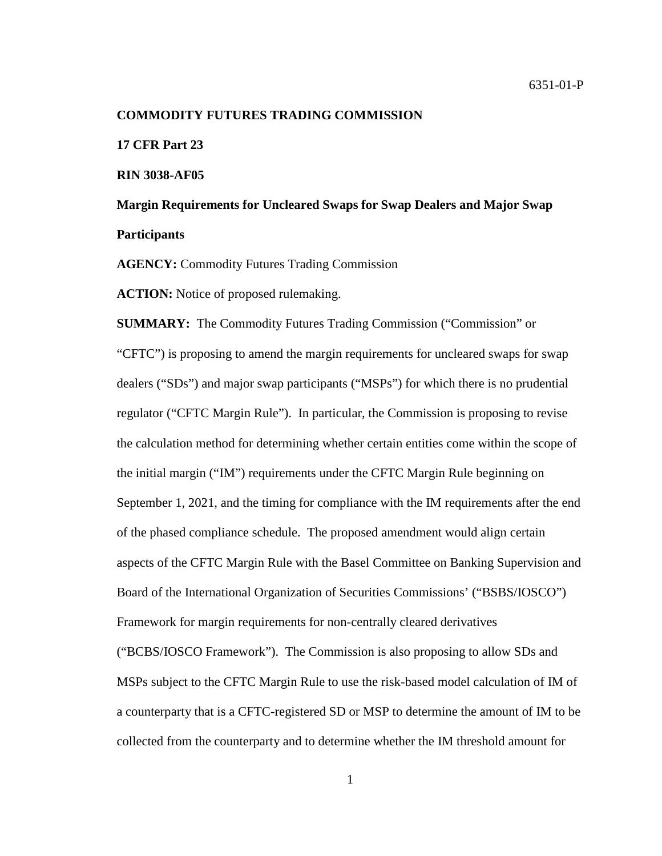#### **COMMODITY FUTURES TRADING COMMISSION**

**17 CFR Part 23**

**RIN 3038-AF05**

**Margin Requirements for Uncleared Swaps for Swap Dealers and Major Swap Participants**

**AGENCY:** Commodity Futures Trading Commission

**ACTION:** Notice of proposed rulemaking.

**SUMMARY:** The Commodity Futures Trading Commission ("Commission" or "CFTC") is proposing to amend the margin requirements for uncleared swaps for swap dealers ("SDs") and major swap participants ("MSPs") for which there is no prudential regulator ("CFTC Margin Rule"). In particular, the Commission is proposing to revise the calculation method for determining whether certain entities come within the scope of the initial margin ("IM") requirements under the CFTC Margin Rule beginning on September 1, 2021, and the timing for compliance with the IM requirements after the end of the phased compliance schedule. The proposed amendment would align certain aspects of the CFTC Margin Rule with the Basel Committee on Banking Supervision and Board of the International Organization of Securities Commissions' ("BSBS/IOSCO") Framework for margin requirements for non-centrally cleared derivatives ("BCBS/IOSCO Framework"). The Commission is also proposing to allow SDs and MSPs subject to the CFTC Margin Rule to use the risk-based model calculation of IM of a counterparty that is a CFTC-registered SD or MSP to determine the amount of IM to be collected from the counterparty and to determine whether the IM threshold amount for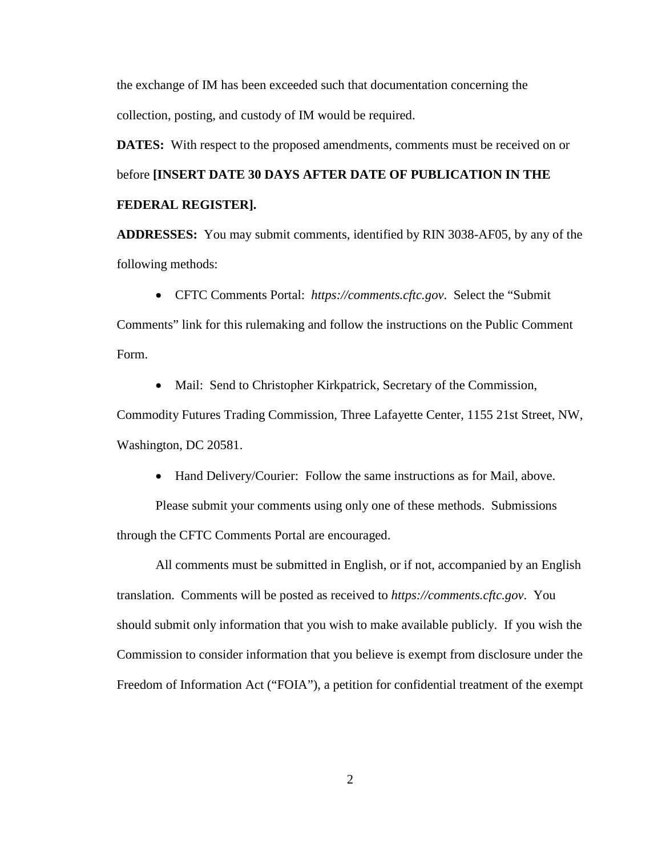the exchange of IM has been exceeded such that documentation concerning the collection, posting, and custody of IM would be required.

**DATES:** With respect to the proposed amendments, comments must be received on or before **[INSERT DATE 30 DAYS AFTER DATE OF PUBLICATION IN THE FEDERAL REGISTER].**

**ADDRESSES:** You may submit comments, identified by RIN 3038-AF05, by any of the following methods:

• CFTC Comments Portal: *[https://comments.cftc.gov](https://comments.cftc.gov/)*. Select the "Submit

Comments" link for this rulemaking and follow the instructions on the Public Comment Form.

• Mail: Send to Christopher Kirkpatrick, Secretary of the Commission,

Commodity Futures Trading Commission, Three Lafayette Center, 1155 21st Street, NW, Washington, DC 20581.

• Hand Delivery/Courier: Follow the same instructions as for Mail, above.

Please submit your comments using only one of these methods. Submissions through the CFTC Comments Portal are encouraged.

All comments must be submitted in English, or if not, accompanied by an English translation. Comments will be posted as received to *[https://comments.cftc.gov](https://comments.cftc.gov/)*. You should submit only information that you wish to make available publicly. If you wish the Commission to consider information that you believe is exempt from disclosure under the Freedom of Information Act ("FOIA"), a petition for confidential treatment of the exempt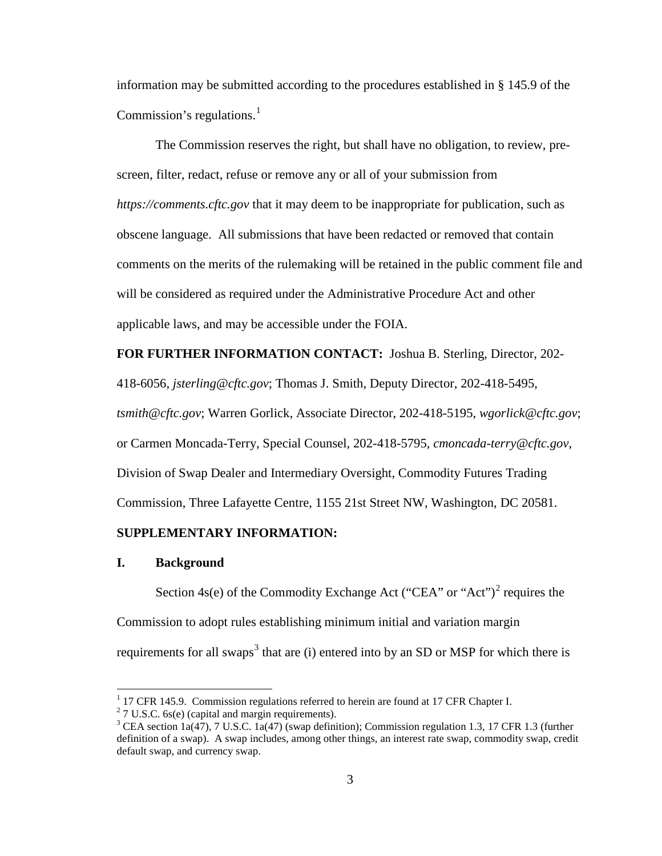information may be submitted according to the procedures established in § 145.9 of the Commission's regulations. $<sup>1</sup>$  $<sup>1</sup>$  $<sup>1</sup>$ </sup>

The Commission reserves the right, but shall have no obligation, to review, prescreen, filter, redact, refuse or remove any or all of your submission from *[https://comments.cftc.gov](https://comments.cftc.gov/)* that it may deem to be inappropriate for publication, such as obscene language. All submissions that have been redacted or removed that contain comments on the merits of the rulemaking will be retained in the public comment file and will be considered as required under the Administrative Procedure Act and other applicable laws, and may be accessible under the FOIA.

**FOR FURTHER INFORMATION CONTACT:** Joshua B. Sterling, Director, 202- 418-6056, *jsterling@cftc.gov*; Thomas J. Smith, Deputy Director, 202-418-5495, *tsmith@cftc.gov*; Warren Gorlick, Associate Director, 202-418-5195, *wgorlick@cftc.gov*; or Carmen Moncada-Terry, Special Counsel, 202-418-5795, *cmoncada-terry@cftc.gov*, Division of Swap Dealer and Intermediary Oversight, Commodity Futures Trading Commission, Three Lafayette Centre, 1155 21st Street NW, Washington, DC 20581.

## **SUPPLEMENTARY INFORMATION:**

#### **I. Background**

Section  $4s(e)$  of the Commodity Exchange Act ("CEA" or "Act")<sup>[2](#page-2-1)</sup> requires the Commission to adopt rules establishing minimum initial and variation margin requirements for all swaps<sup>[3](#page-2-2)</sup> that are (i) entered into by an SD or MSP for which there is

<span id="page-2-0"></span><sup>&</sup>lt;sup>1</sup> 17 CFR 145.9. Commission regulations referred to herein are found at 17 CFR Chapter I. <sup>2</sup> 7 U.S.C. 6s(e) (capital and margin requirements).

<span id="page-2-2"></span><span id="page-2-1"></span><sup>&</sup>lt;sup>3</sup> CEA section 1a(47), 7 U.S.C. 1a(47) (swap definition); Commission regulation 1.3, 17 CFR 1.3 (further definition of a swap). A swap includes, among other things, an interest rate swap, commodity swap, credit default swap, and currency swap.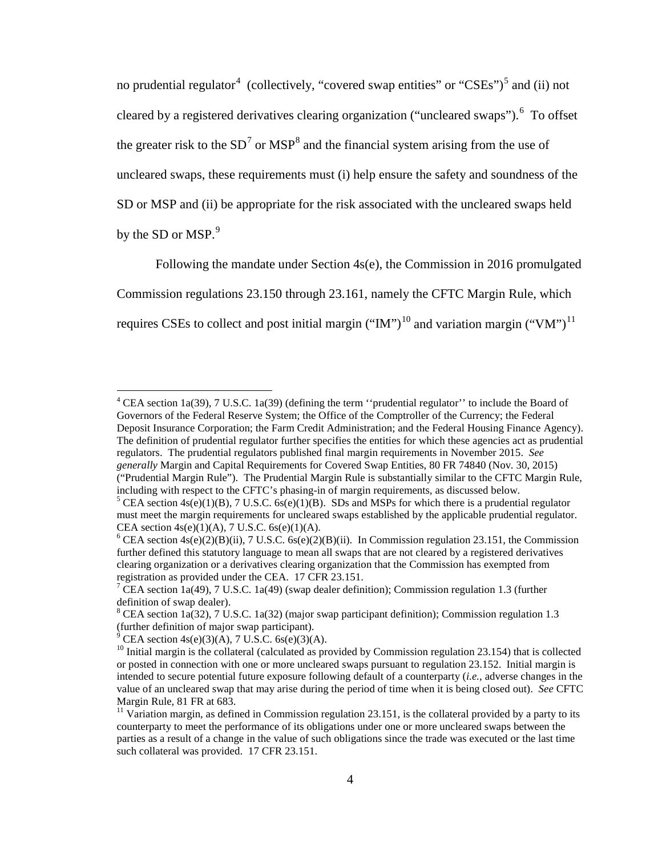no prudential regulator<sup>[4](#page-3-0)</sup> (collectively, "covered swap entities" or "CSEs")<sup>[5](#page-3-1)</sup> and (ii) not cleared by a registered derivatives clearing organization ("uncleared swaps").<sup>[6](#page-3-2)</sup> To offset the greater risk to the  $SD<sup>7</sup>$  $SD<sup>7</sup>$  $SD<sup>7</sup>$  or  $MSP<sup>8</sup>$  $MSP<sup>8</sup>$  $MSP<sup>8</sup>$  and the financial system arising from the use of uncleared swaps, these requirements must (i) help ensure the safety and soundness of the SD or MSP and (ii) be appropriate for the risk associated with the uncleared swaps held by the SD or MSP.<sup>[9](#page-3-5)</sup>

Following the mandate under Section 4s(e), the Commission in 2016 promulgated Commission regulations 23.150 through 23.161, namely the CFTC Margin Rule, which requires CSEs to collect and post initial margin ("IM")<sup>[10](#page-3-6)</sup> and variation margin ("VM")<sup>[11](#page-3-7)</sup>

<span id="page-3-0"></span><sup>&</sup>lt;sup>4</sup> CEA section 1a(39), 7 U.S.C. 1a(39) (defining the term "prudential regulator" to include the Board of Governors of the Federal Reserve System; the Office of the Comptroller of the Currency; the Federal Deposit Insurance Corporation; the Farm Credit Administration; and the Federal Housing Finance Agency). The definition of prudential regulator further specifies the entities for which these agencies act as prudential regulators. The prudential regulators published final margin requirements in November 2015. *See generally* Margin and Capital Requirements for Covered Swap Entities, 80 FR 74840 (Nov. 30, 2015) ("Prudential Margin Rule"). The Prudential Margin Rule is substantially similar to the CFTC Margin Rule, including with respect to the CFTC's phasing-in of margin requirements, as discussed below.<br><sup>5</sup> CEA section 4s(e)(1)(B), 7 U.S.C. 6s(e)(1)(B). SDs and MSPs for which there is a prudential regulator

<span id="page-3-1"></span>must meet the margin requirements for uncleared swaps established by the applicable prudential regulator. CEA section  $4s(e)(1)(A)$ , 7 U.S.C.  $6s(e)(1)(A)$ .

<span id="page-3-2"></span><sup>&</sup>lt;sup>6</sup> CEA section  $4s(e)(2)(B)(ii)$ , 7 U.S.C.  $6s(e)(2)(B)(ii)$ . In Commission regulation 23.151, the Commission further defined this statutory language to mean all swaps that are not cleared by a registered derivatives clearing organization or a derivatives clearing organization that the Commission has exempted from registration as provided under the CEA. 17 CFR 23.151.

<span id="page-3-3"></span><sup>&</sup>lt;sup>7</sup> CEA section 1a(49), 7 U.S.C. 1a(49) (swap dealer definition); Commission regulation 1.3 (further definition of swap dealer).

<span id="page-3-4"></span><sup>&</sup>lt;sup>8</sup> CEA section 1a(32), 7 U.S.C. 1a(32) (major swap participant definition); Commission regulation 1.3 (further definition of major swap participant).

<span id="page-3-5"></span> $^{9}$  CEA section 4s(e)(3)(A), 7 U.S.C. 6s(e)(3)(A).

<span id="page-3-6"></span><sup>&</sup>lt;sup>10</sup> Initial margin is the collateral (calculated as provided by Commission regulation 23.154) that is collected or posted in connection with one or more uncleared swaps pursuant to regulation 23.152. Initial margin is intended to secure potential future exposure following default of a counterparty (*i.e.*, adverse changes in the value of an uncleared swap that may arise during the period of time when it is being closed out). *See* CFTC Margin Rule, 81 FR at 683.

<span id="page-3-7"></span> $11$  Variation margin, as defined in Commission regulation 23.151, is the collateral provided by a party to its counterparty to meet the performance of its obligations under one or more uncleared swaps between the parties as a result of a change in the value of such obligations since the trade was executed or the last time such collateral was provided. 17 CFR 23.151.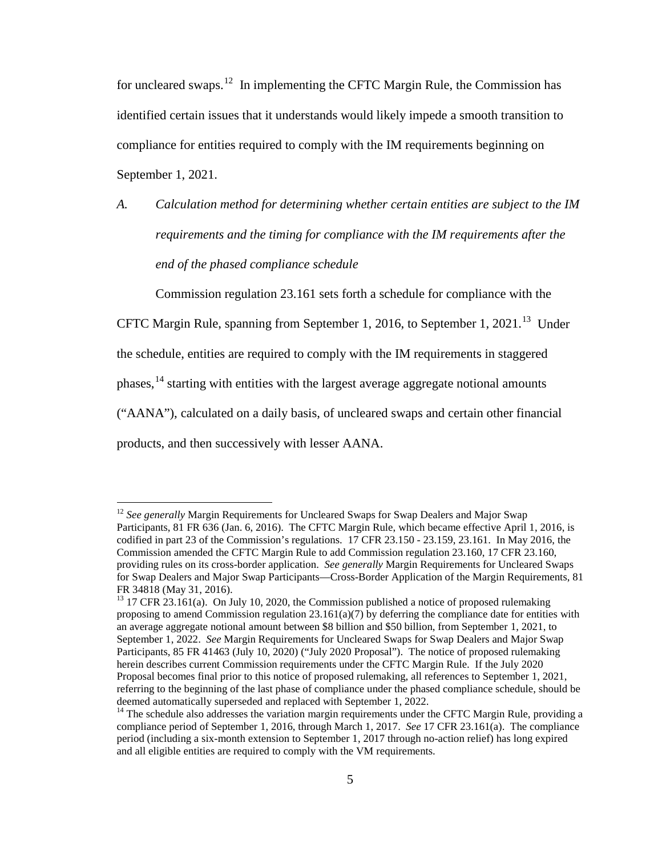for uncleared swaps.<sup>[12](#page-4-0)</sup> In implementing the CFTC Margin Rule, the Commission has identified certain issues that it understands would likely impede a smooth transition to compliance for entities required to comply with the IM requirements beginning on September 1, 2021.

*A. Calculation method for determining whether certain entities are subject to the IM requirements and the timing for compliance with the IM requirements after the end of the phased compliance schedule*

Commission regulation 23.161 sets forth a schedule for compliance with the

CFTC Margin Rule, spanning from September 1, 2016, to September 1, 2021.<sup>[13](#page-4-1)</sup> Under

the schedule, entities are required to comply with the IM requirements in staggered

phases,  $^{14}$  $^{14}$  $^{14}$  starting with entities with the largest average aggregate notional amounts

("AANA"), calculated on a daily basis, of uncleared swaps and certain other financial

products, and then successively with lesser AANA.

<span id="page-4-0"></span><sup>&</sup>lt;sup>12</sup> *See generally* Margin Requirements for Uncleared Swaps for Swap Dealers and Major Swap Participants, 81 FR 636 (Jan. 6, 2016). The CFTC Margin Rule, which became effective April 1, 2016, is codified in part 23 of the Commission's regulations. 17 CFR 23.150 - 23.159, 23.161. In May 2016, the Commission amended the CFTC Margin Rule to add Commission regulation 23.160, 17 CFR 23.160, providing rules on its cross-border application. *See generally* Margin Requirements for Uncleared Swaps for Swap Dealers and Major Swap Participants—Cross-Border Application of the Margin Requirements, 81 FR 34818 (May 31, 2016).

<span id="page-4-1"></span> $13$  17 CFR 23.161(a). On July 10, 2020, the Commission published a notice of proposed rulemaking proposing to amend Commission regulation  $23.161(a)(7)$  by deferring the compliance date for entities with an average aggregate notional amount between \$8 billion and \$50 billion, from September 1, 2021, to September 1, 2022. *See* Margin Requirements for Uncleared Swaps for Swap Dealers and Major Swap Participants, 85 FR 41463 (July 10, 2020) ("July 2020 Proposal"). The notice of proposed rulemaking herein describes current Commission requirements under the CFTC Margin Rule. If the July 2020 Proposal becomes final prior to this notice of proposed rulemaking, all references to September 1, 2021, referring to the beginning of the last phase of compliance under the phased compliance schedule, should be deemed automatically superseded and replaced with September 1, 2022.

<span id="page-4-2"></span><sup>&</sup>lt;sup>14</sup> The schedule also addresses the variation margin requirements under the CFTC Margin Rule, providing a compliance period of September 1, 2016, through March 1, 2017. *See* 17 CFR 23.161(a). The compliance period (including a six-month extension to September 1, 2017 through no-action relief) has long expired and all eligible entities are required to comply with the VM requirements.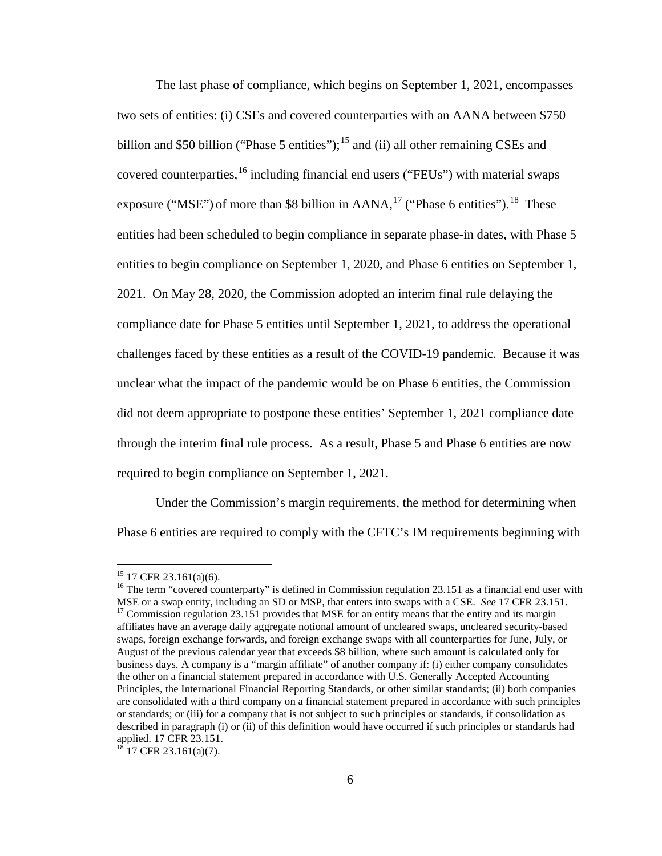<span id="page-5-4"></span>The last phase of compliance, which begins on September 1, 2021, encompasses two sets of entities: (i) CSEs and covered counterparties with an AANA between \$750 billion and \$50 billion ("Phase 5 entities");<sup>[15](#page-5-0)</sup> and (ii) all other remaining CSEs and covered counterparties, <sup>[16](#page-5-1)</sup> including financial end users ("FEUs") with material swaps exposure ("MSE") of more than \$8 billion in AANA, $^{17}$  $^{17}$  $^{17}$  ("Phase 6 entities"). <sup>[18](#page-5-3)</sup> These entities had been scheduled to begin compliance in separate phase-in dates, with Phase 5 entities to begin compliance on September 1, 2020, and Phase 6 entities on September 1, 2021. On May 28, 2020, the Commission adopted an interim final rule delaying the compliance date for Phase 5 entities until September 1, 2021, to address the operational challenges faced by these entities as a result of the COVID-19 pandemic. Because it was unclear what the impact of the pandemic would be on Phase 6 entities, the Commission did not deem appropriate to postpone these entities' September 1, 2021 compliance date through the interim final rule process. As a result, Phase 5 and Phase 6 entities are now required to begin compliance on September 1, 2021.

Under the Commission's margin requirements, the method for determining when Phase 6 entities are required to comply with the CFTC's IM requirements beginning with

<span id="page-5-2"></span><span id="page-5-1"></span><span id="page-5-0"></span><sup>&</sup>lt;sup>15</sup> 17 CFR 23.161(a)(6).<br><sup>16</sup> The term "covered counterparty" is defined in Commission regulation 23.151 as a financial end user with MSE or a swap entity, including an SD or MSP, that enters into swaps with a CSE. *See* 17 CFR 23.151. <sup>17</sup> Commission regulation 23.151 provides that MSE for an entity means that the entity and its margin affiliates have an average daily aggregate notional amount of uncleared swaps, uncleared security-based swaps, foreign exchange forwards, and foreign exchange swaps with all counterparties for June, July, or August of the previous calendar year that exceeds \$8 billion, where such amount is calculated only for business days. A company is a "margin affiliate" of another company if: (i) either company consolidates the other on a financial statement prepared in accordance with U.S. Generally Accepted Accounting Principles, the International Financial Reporting Standards, or other similar standards; (ii) both companies are consolidated with a third company on a financial statement prepared in accordance with such principles or standards; or (iii) for a company that is not subject to such principles or standards, if consolidation as described in paragraph (i) or (ii) of this definition would have occurred if such principles or standards had applied. 17 CFR 23.151.

<span id="page-5-3"></span> $18$  17 CFR 23.161(a)(7).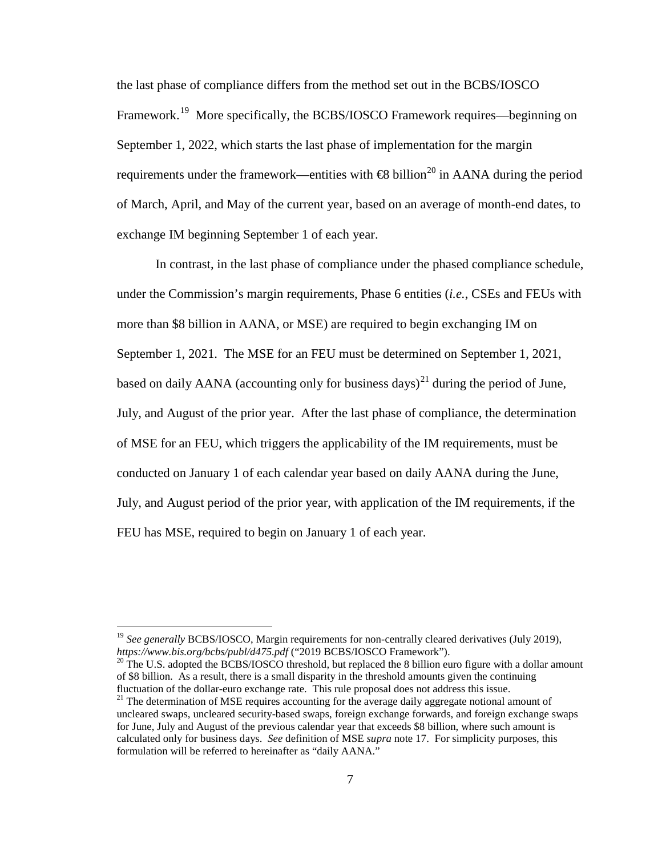the last phase of compliance differs from the method set out in the BCBS/IOSCO Framework.<sup>19</sup> More specifically, the BCBS/IOSCO Framework requires—beginning on September 1, 2022, which starts the last phase of implementation for the margin requirements under the framework—entities with  $\bigoplus$  billion<sup>[20](#page-6-1)</sup> in AANA during the period of March, April, and May of the current year, based on an average of month-end dates, to exchange IM beginning September 1 of each year.

In contrast, in the last phase of compliance under the phased compliance schedule, under the Commission's margin requirements, Phase 6 entities (*i.e.*, CSEs and FEUs with more than \$8 billion in AANA, or MSE) are required to begin exchanging IM on September 1, 2021. The MSE for an FEU must be determined on September 1, 2021, based on daily AANA (accounting only for business days)<sup>[21](#page-6-2)</sup> during the period of June, July, and August of the prior year. After the last phase of compliance, the determination of MSE for an FEU, which triggers the applicability of the IM requirements, must be conducted on January 1 of each calendar year based on daily AANA during the June, July, and August period of the prior year, with application of the IM requirements, if the FEU has MSE, required to begin on January 1 of each year.

<span id="page-6-1"></span><sup>20</sup> The U.S. adopted the BCBS/IOSCO threshold, but replaced the 8 billion euro figure with a dollar amount of \$8 billion. As a result, there is a small disparity in the threshold amounts given the continuing

<span id="page-6-0"></span><sup>&</sup>lt;sup>19</sup> *See generally BCBS/IOSCO*, Margin requirements for non-centrally cleared derivatives (July 2019), https://www.bis.org/bcbs/publ/d475.pdf ("2019 BCBS/IOSCO Framework").

<span id="page-6-2"></span> $^{21}$  The determination of MSE requires accounting for the average daily aggregate notional amount of uncleared swaps, uncleared security-based swaps, foreign exchange forwards, and foreign exchange swaps for June, July and August of the previous calendar year that exceeds \$8 billion, where such amount is calculated only for business days. *See* definition of MSE *supra* note [17.](#page-5-4) For simplicity purposes, this formulation will be referred to hereinafter as "daily AANA."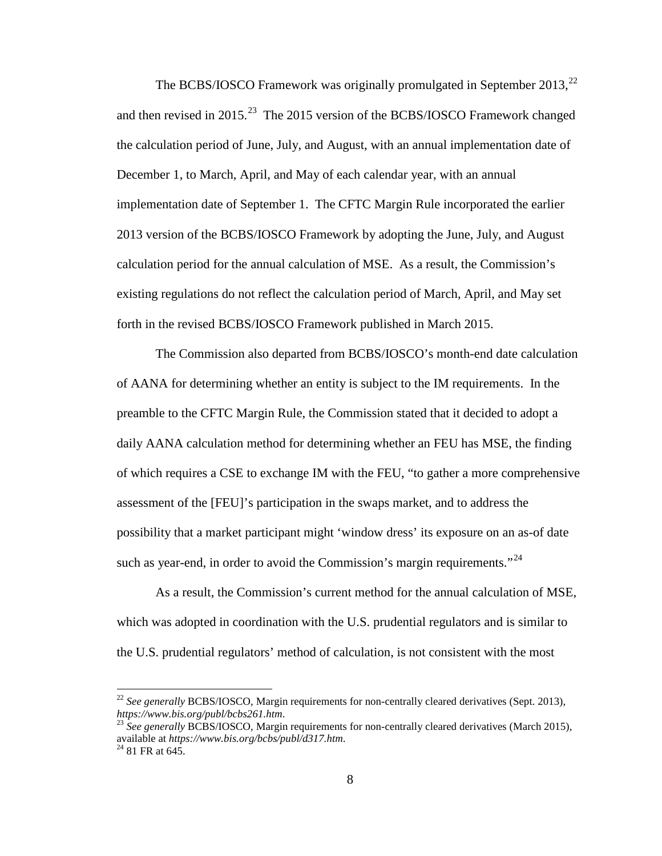The BCBS/IOSCO Framework was originally promulgated in September 2013.<sup>[22](#page-7-0)</sup> and then revised in  $2015$ .<sup>23</sup> The  $2015$  version of the BCBS/IOSCO Framework changed the calculation period of June, July, and August, with an annual implementation date of December 1, to March, April, and May of each calendar year, with an annual implementation date of September 1. The CFTC Margin Rule incorporated the earlier 2013 version of the BCBS/IOSCO Framework by adopting the June, July, and August calculation period for the annual calculation of MSE. As a result, the Commission's existing regulations do not reflect the calculation period of March, April, and May set forth in the revised BCBS/IOSCO Framework published in March 2015.

The Commission also departed from BCBS/IOSCO's month-end date calculation of AANA for determining whether an entity is subject to the IM requirements. In the preamble to the CFTC Margin Rule, the Commission stated that it decided to adopt a daily AANA calculation method for determining whether an FEU has MSE, the finding of which requires a CSE to exchange IM with the FEU, "to gather a more comprehensive assessment of the [FEU]'s participation in the swaps market, and to address the possibility that a market participant might 'window dress' its exposure on an as-of date such as year-end, in order to avoid the Commission's margin requirements. $124$  $124$ 

<span id="page-7-3"></span>As a result, the Commission's current method for the annual calculation of MSE, which was adopted in coordination with the U.S. prudential regulators and is similar to the U.S. prudential regulators' method of calculation, is not consistent with the most

<span id="page-7-0"></span><sup>&</sup>lt;sup>22</sup> See generally BCBS/IOSCO, Margin requirements for non-centrally cleared derivatives (Sept. 2013), *https://www.bis.org/publ/bcbs261.htm.* 23 *See generally BCBS/IOSCO, Margin requirements for non-centrally cleared derivatives (March 2015),* 

<span id="page-7-1"></span>available at *https://www.bis.org/bcbs/publ/d317.htm*. <sup>24</sup> 81 FR at 645.

<span id="page-7-2"></span>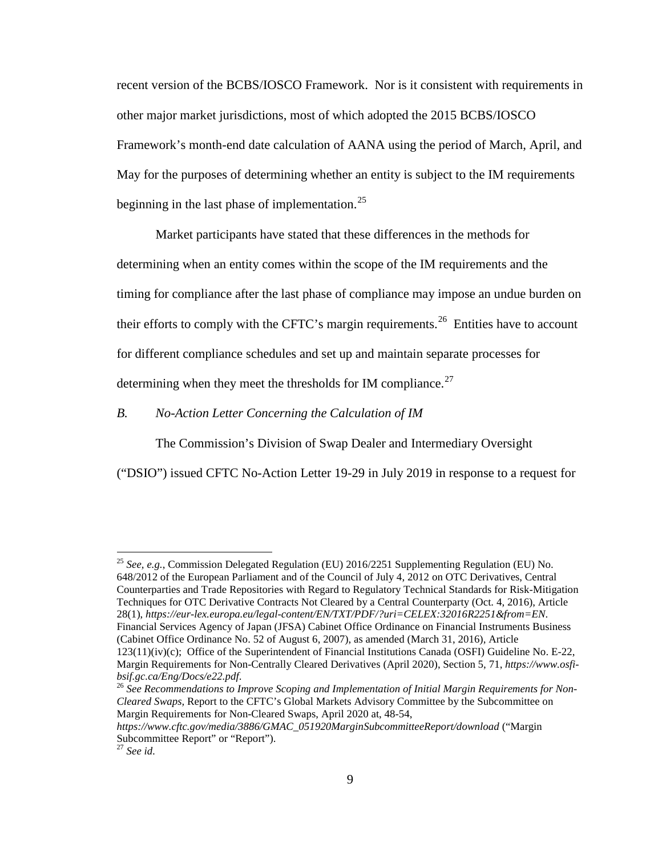recent version of the BCBS/IOSCO Framework. Nor is it consistent with requirements in other major market jurisdictions, most of which adopted the 2015 BCBS/IOSCO Framework's month-end date calculation of AANA using the period of March, April, and May for the purposes of determining whether an entity is subject to the IM requirements beginning in the last phase of implementation.<sup>[25](#page-8-0)</sup>

Market participants have stated that these differences in the methods for determining when an entity comes within the scope of the IM requirements and the timing for compliance after the last phase of compliance may impose an undue burden on their efforts to comply with the CFTC's margin requirements.<sup>26</sup> Entities have to account for different compliance schedules and set up and maintain separate processes for determining when they meet the thresholds for IM compliance. $27$ 

*B. No-Action Letter Concerning the Calculation of IM*

<span id="page-8-3"></span>The Commission's Division of Swap Dealer and Intermediary Oversight

("DSIO") issued CFTC No-Action Letter 19-29 in July 2019 in response to a request for

<span id="page-8-0"></span> <sup>25</sup> *See, e.g.*, Commission Delegated Regulation (EU) 2016/2251 Supplementing Regulation (EU) No. 648/2012 of the European Parliament and of the Council of July 4, 2012 on OTC Derivatives, Central Counterparties and Trade Repositories with Regard to Regulatory Technical Standards for Risk-Mitigation Techniques for OTC Derivative Contracts Not Cleared by a Central Counterparty (Oct. 4, 2016), Article 28(1), *https://eur-lex.europa.eu/legal-content/EN/TXT/PDF/?uri=CELEX:32016R2251&from=EN*. Financial Services Agency of Japan (JFSA) Cabinet Office Ordinance on Financial Instruments Business (Cabinet Office Ordinance No. 52 of August 6, 2007), as amended (March 31, 2016), Article 123(11)(iv)(c); Office of the Superintendent of Financial Institutions Canada (OSFI) Guideline No. E-22, Margin Requirements for Non-Centrally Cleared Derivatives (April 2020), Section 5, 71, *https://www.osfi-*

<span id="page-8-1"></span>bsif.gc.ca/Eng/Docs/e22.pdf.<br><sup>26</sup> See Recommendations to Improve Scoping and Implementation of Initial Margin Requirements for Non-*Cleared Swaps,* Report to the CFTC's Global Markets Advisory Committee by the Subcommittee on Margin Requirements for Non-Cleared Swaps, April 2020 at, 48-54,

*https://www.cftc.gov/media/3886/GMAC\_051920MarginSubcommitteeReport/download* ("Margin Subcommittee Report" or "Report").

<span id="page-8-2"></span><sup>27</sup> *See id.*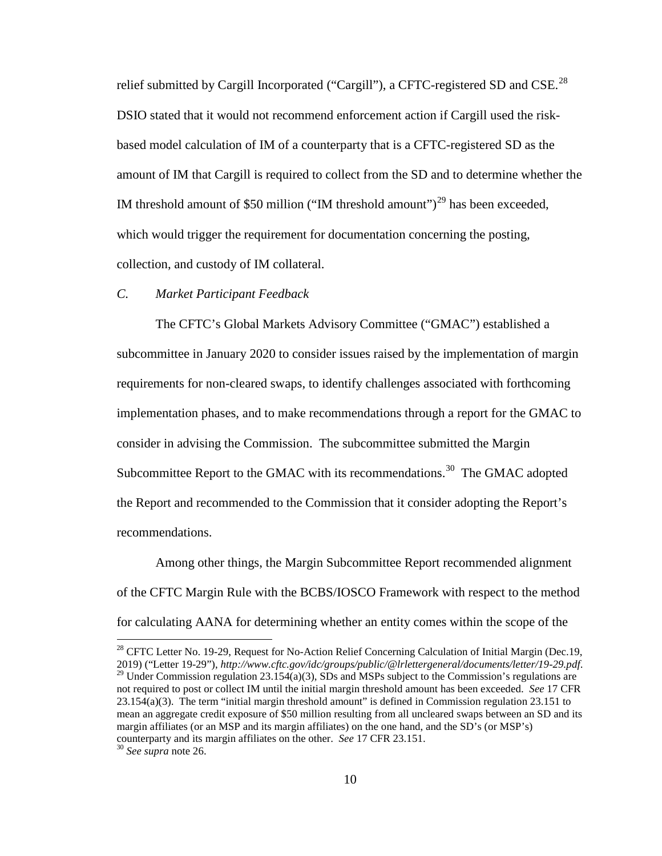relief submitted by Cargill Incorporated ("Cargill"), a CFTC-registered SD and CSE.<sup>[28](#page-9-0)</sup> DSIO stated that it would not recommend enforcement action if Cargill used the riskbased model calculation of IM of a counterparty that is a CFTC-registered SD as the amount of IM that Cargill is required to collect from the SD and to determine whether the IM threshold amount of \$50 million ("IM threshold amount")<sup>[29](#page-9-1)</sup> has been exceeded, which would trigger the requirement for documentation concerning the posting, collection, and custody of IM collateral.

#### *C. Market Participant Feedback*

The CFTC's Global Markets Advisory Committee ("GMAC") established a subcommittee in January 2020 to consider issues raised by the implementation of margin requirements for non-cleared swaps, to identify challenges associated with forthcoming implementation phases, and to make recommendations through a report for the GMAC to consider in advising the Commission. The subcommittee submitted the Margin Subcommittee Report to the GMAC with its recommendations.<sup>30</sup> The GMAC adopted the Report and recommended to the Commission that it consider adopting the Report's recommendations.

Among other things, the Margin Subcommittee Report recommended alignment of the CFTC Margin Rule with the BCBS/IOSCO Framework with respect to the method for calculating AANA for determining whether an entity comes within the scope of the

<span id="page-9-2"></span><span id="page-9-1"></span><span id="page-9-0"></span><sup>28</sup> CFTC Letter No. 19-29, Request for No-Action Relief Concerning Calculation of Initial Margin (Dec.19, 2019) ("Letter 19-29"), http://www.cftc.gov/idc/groups/public/@lrlettergeneral/documents/letter/19-29.pdf. <sup>29</sup> Under Commission regulation 23.154(a)(3), SDs and MSPs subject to the Commission's regulations are not required to post or collect IM until the initial margin threshold amount has been exceeded. *See* 17 CFR 23.154(a)(3). The term "initial margin threshold amount" is defined in Commission regulation 23.151 to mean an aggregate credit exposure of \$50 million resulting from all uncleared swaps between an SD and its margin affiliates (or an MSP and its margin affiliates) on the one hand, and the SD's (or MSP's) counterparty and its margin affiliates on the other. *See* 17 CFR 23.151. <sup>30</sup> *See supra* note [26.](#page-8-3)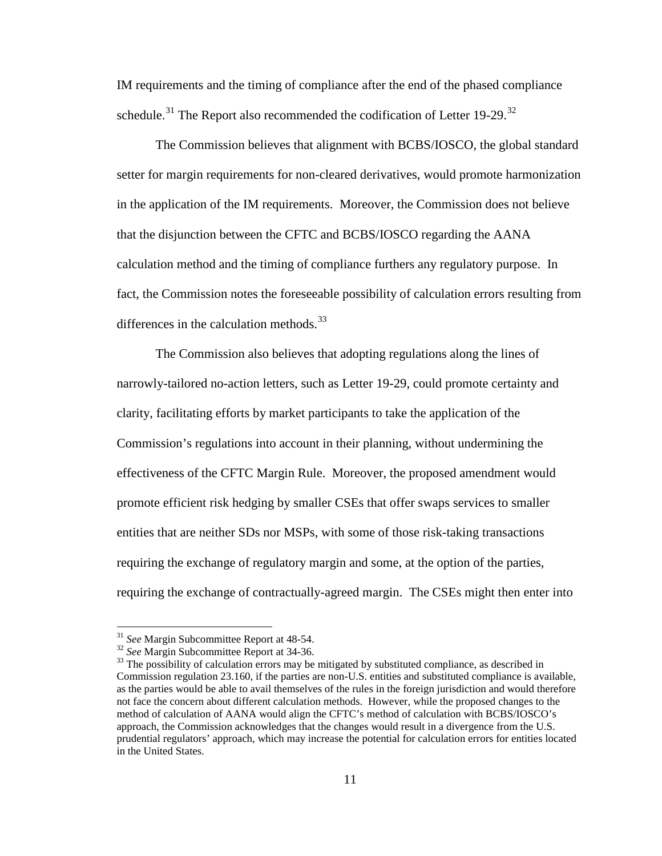IM requirements and the timing of compliance after the end of the phased compliance schedule.<sup>[31](#page-10-0)</sup> The Report also recommended the codification of Letter 19-29.<sup>32</sup>

The Commission believes that alignment with BCBS/IOSCO, the global standard setter for margin requirements for non-cleared derivatives, would promote harmonization in the application of the IM requirements. Moreover, the Commission does not believe that the disjunction between the CFTC and BCBS/IOSCO regarding the AANA calculation method and the timing of compliance furthers any regulatory purpose. In fact, the Commission notes the foreseeable possibility of calculation errors resulting from differences in the calculation methods.<sup>[33](#page-10-2)</sup>

The Commission also believes that adopting regulations along the lines of narrowly-tailored no-action letters, such as Letter 19-29, could promote certainty and clarity, facilitating efforts by market participants to take the application of the Commission's regulations into account in their planning, without undermining the effectiveness of the CFTC Margin Rule. Moreover, the proposed amendment would promote efficient risk hedging by smaller CSEs that offer swaps services to smaller entities that are neither SDs nor MSPs, with some of those risk-taking transactions requiring the exchange of regulatory margin and some, at the option of the parties, requiring the exchange of contractually-agreed margin. The CSEs might then enter into

<span id="page-10-2"></span><span id="page-10-1"></span>

<span id="page-10-0"></span><sup>&</sup>lt;sup>31</sup> *See* Margin Subcommittee Report at 48-54.<br><sup>32</sup> *See* Margin Subcommittee Report at 34-36.<br><sup>33</sup> The possibility of calculation errors may be mitigated by substituted compliance, as described in Commission regulation 23.160, if the parties are non-U.S. entities and substituted compliance is available, as the parties would be able to avail themselves of the rules in the foreign jurisdiction and would therefore not face the concern about different calculation methods. However, while the proposed changes to the method of calculation of AANA would align the CFTC's method of calculation with BCBS/IOSCO's approach, the Commission acknowledges that the changes would result in a divergence from the U.S. prudential regulators' approach, which may increase the potential for calculation errors for entities located in the United States.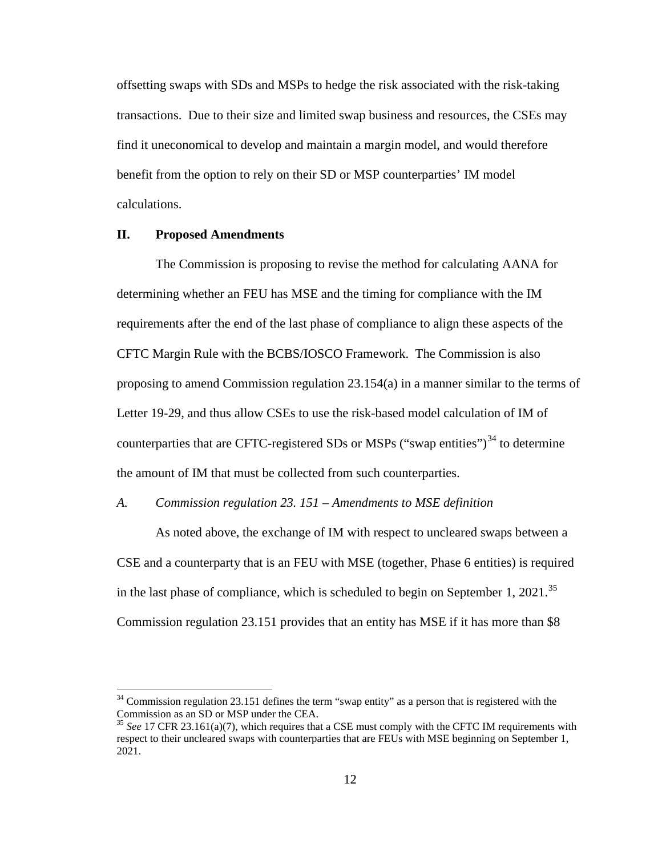offsetting swaps with SDs and MSPs to hedge the risk associated with the risk-taking transactions. Due to their size and limited swap business and resources, the CSEs may find it uneconomical to develop and maintain a margin model, and would therefore benefit from the option to rely on their SD or MSP counterparties' IM model calculations.

## **II. Proposed Amendments**

The Commission is proposing to revise the method for calculating AANA for determining whether an FEU has MSE and the timing for compliance with the IM requirements after the end of the last phase of compliance to align these aspects of the CFTC Margin Rule with the BCBS/IOSCO Framework. The Commission is also proposing to amend Commission regulation 23.154(a) in a manner similar to the terms of Letter 19-29, and thus allow CSEs to use the risk-based model calculation of IM of counterparties that are CFTC-registered SDs or MSPs ("swap entities") $^{34}$  $^{34}$  $^{34}$  to determine the amount of IM that must be collected from such counterparties.

## *A. Commission regulation 23. 151 – Amendments to MSE definition*

As noted above, the exchange of IM with respect to uncleared swaps between a CSE and a counterparty that is an FEU with MSE (together, Phase 6 entities) is required in the last phase of compliance, which is scheduled to begin on September 1, 2021.<sup>35</sup> Commission regulation 23.151 provides that an entity has MSE if it has more than \$8

<span id="page-11-0"></span> $34$  Commission regulation 23.151 defines the term "swap entity" as a person that is registered with the Commission as an SD or MSP under the CEA.

<span id="page-11-1"></span><sup>35</sup> *See* 17 CFR 23.161(a)(7), which requires that a CSE must comply with the CFTC IM requirements with respect to their uncleared swaps with counterparties that are FEUs with MSE beginning on September 1, 2021.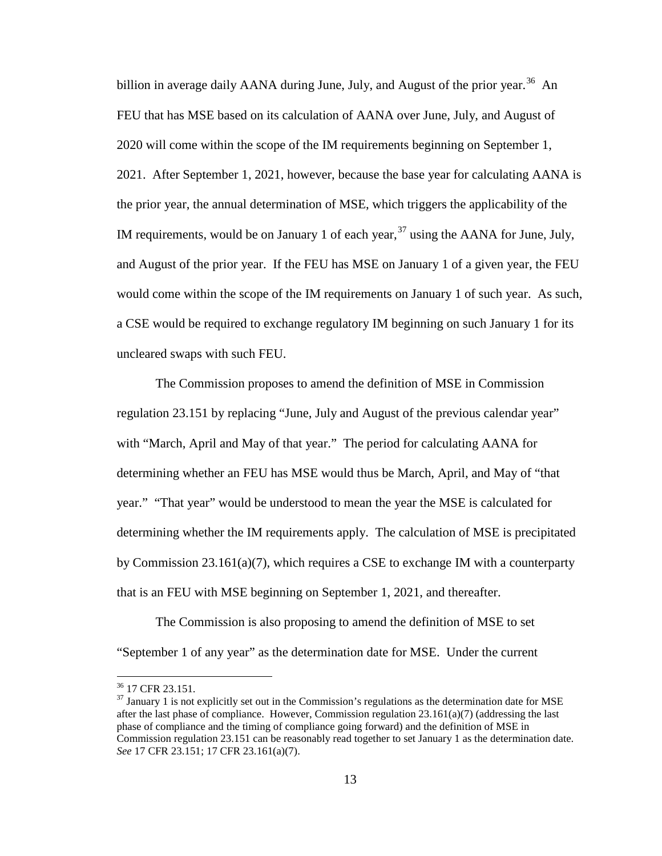billion in average daily AANA during June, July, and August of the prior year.<sup>[36](#page-12-0)</sup> An FEU that has MSE based on its calculation of AANA over June, July, and August of 2020 will come within the scope of the IM requirements beginning on September 1, 2021. After September 1, 2021, however, because the base year for calculating AANA is the prior year, the annual determination of MSE, which triggers the applicability of the IM requirements, would be on January 1 of each year,  $37$  using the AANA for June, July, and August of the prior year. If the FEU has MSE on January 1 of a given year, the FEU would come within the scope of the IM requirements on January 1 of such year. As such, a CSE would be required to exchange regulatory IM beginning on such January 1 for its uncleared swaps with such FEU.

The Commission proposes to amend the definition of MSE in Commission regulation 23.151 by replacing "June, July and August of the previous calendar year" with "March, April and May of that year." The period for calculating AANA for determining whether an FEU has MSE would thus be March, April, and May of "that year." "That year" would be understood to mean the year the MSE is calculated for determining whether the IM requirements apply. The calculation of MSE is precipitated by Commission 23.161(a)(7), which requires a CSE to exchange IM with a counterparty that is an FEU with MSE beginning on September 1, 2021, and thereafter.

The Commission is also proposing to amend the definition of MSE to set "September 1 of any year" as the determination date for MSE. Under the current

<span id="page-12-1"></span><span id="page-12-0"></span> $\frac{36}{37}$  17 CFR 23.151.<br><sup>37</sup> January 1 is not explicitly set out in the Commission's regulations as the determination date for MSE after the last phase of compliance. However, Commission regulation  $23.161(a)(7)$  (addressing the last phase of compliance and the timing of compliance going forward) and the definition of MSE in Commission regulation 23.151 can be reasonably read together to set January 1 as the determination date. *See* 17 CFR 23.151; 17 CFR 23.161(a)(7).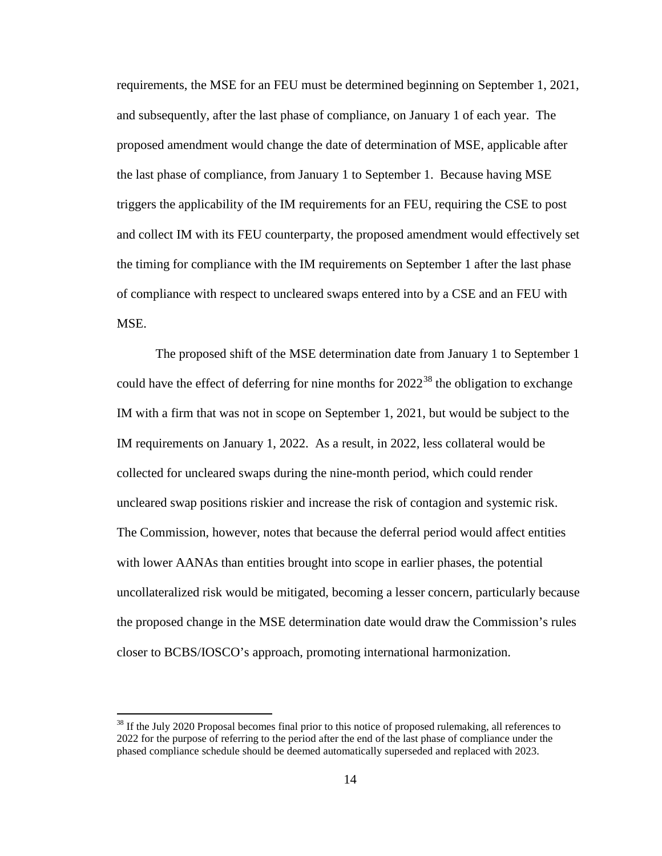requirements, the MSE for an FEU must be determined beginning on September 1, 2021, and subsequently, after the last phase of compliance, on January 1 of each year. The proposed amendment would change the date of determination of MSE, applicable after the last phase of compliance, from January 1 to September 1. Because having MSE triggers the applicability of the IM requirements for an FEU, requiring the CSE to post and collect IM with its FEU counterparty, the proposed amendment would effectively set the timing for compliance with the IM requirements on September 1 after the last phase of compliance with respect to uncleared swaps entered into by a CSE and an FEU with MSE.

The proposed shift of the MSE determination date from January 1 to September 1 could have the effect of deferring for nine months for  $2022^{38}$  $2022^{38}$  $2022^{38}$  the obligation to exchange IM with a firm that was not in scope on September 1, 2021, but would be subject to the IM requirements on January 1, 2022. As a result, in 2022, less collateral would be collected for uncleared swaps during the nine-month period, which could render uncleared swap positions riskier and increase the risk of contagion and systemic risk. The Commission, however, notes that because the deferral period would affect entities with lower AANAs than entities brought into scope in earlier phases, the potential uncollateralized risk would be mitigated, becoming a lesser concern, particularly because the proposed change in the MSE determination date would draw the Commission's rules closer to BCBS/IOSCO's approach, promoting international harmonization.

<span id="page-13-0"></span><sup>&</sup>lt;sup>38</sup> If the July 2020 Proposal becomes final prior to this notice of proposed rulemaking, all references to 2022 for the purpose of referring to the period after the end of the last phase of compliance under the phased compliance schedule should be deemed automatically superseded and replaced with 2023.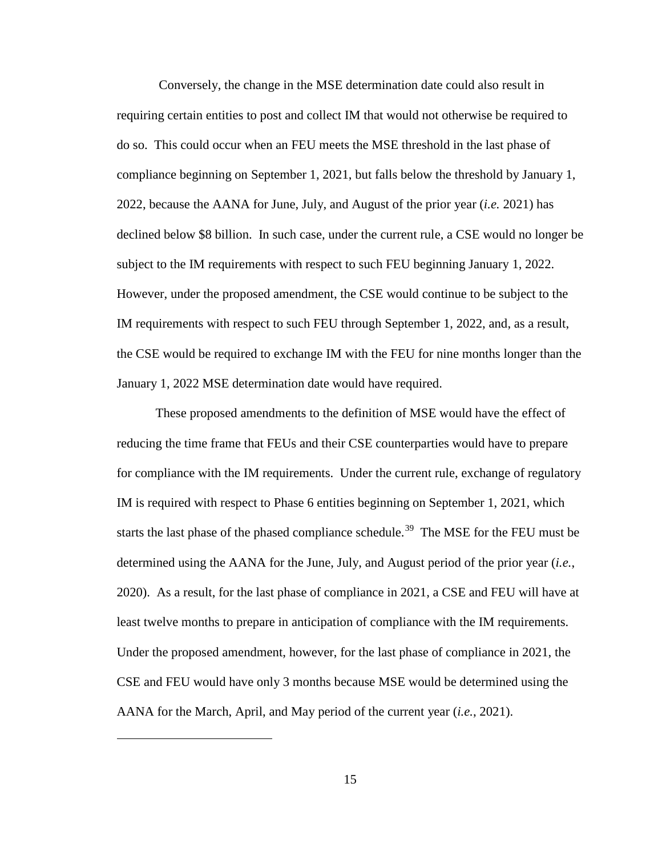Conversely, the change in the MSE determination date could also result in requiring certain entities to post and collect IM that would not otherwise be required to do so. This could occur when an FEU meets the MSE threshold in the last phase of compliance beginning on September 1, 2021, but falls below the threshold by January 1, 2022, because the AANA for June, July, and August of the prior year (*i.e.* 2021) has declined below \$8 billion. In such case, under the current rule, a CSE would no longer be subject to the IM requirements with respect to such FEU beginning January 1, 2022. However, under the proposed amendment, the CSE would continue to be subject to the IM requirements with respect to such FEU through September 1, 2022, and, as a result, the CSE would be required to exchange IM with the FEU for nine months longer than the January 1, 2022 MSE determination date would have required.

These proposed amendments to the definition of MSE would have the effect of reducing the time frame that FEUs and their CSE counterparties would have to prepare for compliance with the IM requirements. Under the current rule, exchange of regulatory IM is required with respect to Phase 6 entities beginning on September 1, 2021, which starts the last phase of the phased compliance schedule.<sup>39</sup> The MSE for the FEU must be determined using the AANA for the June, July, and August period of the prior year (*i.e.*, 2020). As a result, for the last phase of compliance in 2021, a CSE and FEU will have at least twelve months to prepare in anticipation of compliance with the IM requirements. Under the proposed amendment, however, for the last phase of compliance in 2021, the CSE and FEU would have only 3 months because MSE would be determined using the AANA for the March, April, and May period of the current year (*i.e.*, 2021).

<span id="page-14-0"></span> $\overline{a}$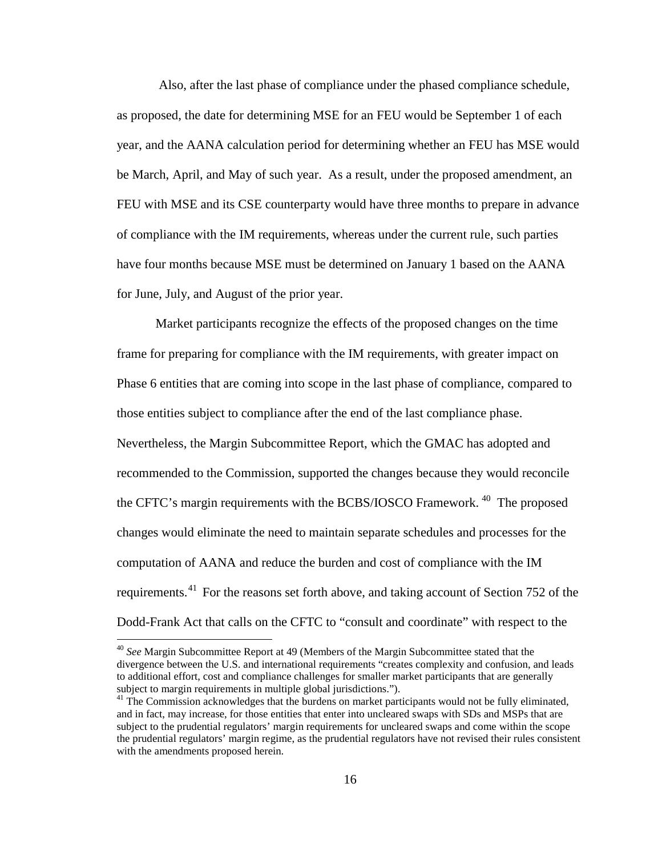Also, after the last phase of compliance under the phased compliance schedule, as proposed, the date for determining MSE for an FEU would be September 1 of each year, and the AANA calculation period for determining whether an FEU has MSE would be March, April, and May of such year. As a result, under the proposed amendment, an FEU with MSE and its CSE counterparty would have three months to prepare in advance of compliance with the IM requirements, whereas under the current rule, such parties have four months because MSE must be determined on January 1 based on the AANA for June, July, and August of the prior year.

Market participants recognize the effects of the proposed changes on the time frame for preparing for compliance with the IM requirements, with greater impact on Phase 6 entities that are coming into scope in the last phase of compliance, compared to those entities subject to compliance after the end of the last compliance phase. Nevertheless, the Margin Subcommittee Report, which the GMAC has adopted and recommended to the Commission, supported the changes because they would reconcile the CFTC's margin requirements with the BCBS/IOSCO Framework.<sup>40</sup> The proposed changes would eliminate the need to maintain separate schedules and processes for the computation of AANA and reduce the burden and cost of compliance with the IM requirements.<sup>[41](#page-15-1)</sup> For the reasons set forth above, and taking account of Section 752 of the Dodd-Frank Act that calls on the CFTC to "consult and coordinate" with respect to the

<span id="page-15-0"></span> <sup>40</sup> *See* Margin Subcommittee Report at 49 (Members of the Margin Subcommittee stated that the divergence between the U.S. and international requirements "creates complexity and confusion, and leads to additional effort, cost and compliance challenges for smaller market participants that are generally subject to margin requirements in multiple global jurisdictions.").

<span id="page-15-1"></span><sup>&</sup>lt;sup>41</sup> The Commission acknowledges that the burdens on market participants would not be fully eliminated, and in fact, may increase, for those entities that enter into uncleared swaps with SDs and MSPs that are subject to the prudential regulators' margin requirements for uncleared swaps and come within the scope the prudential regulators' margin regime, as the prudential regulators have not revised their rules consistent with the amendments proposed herein.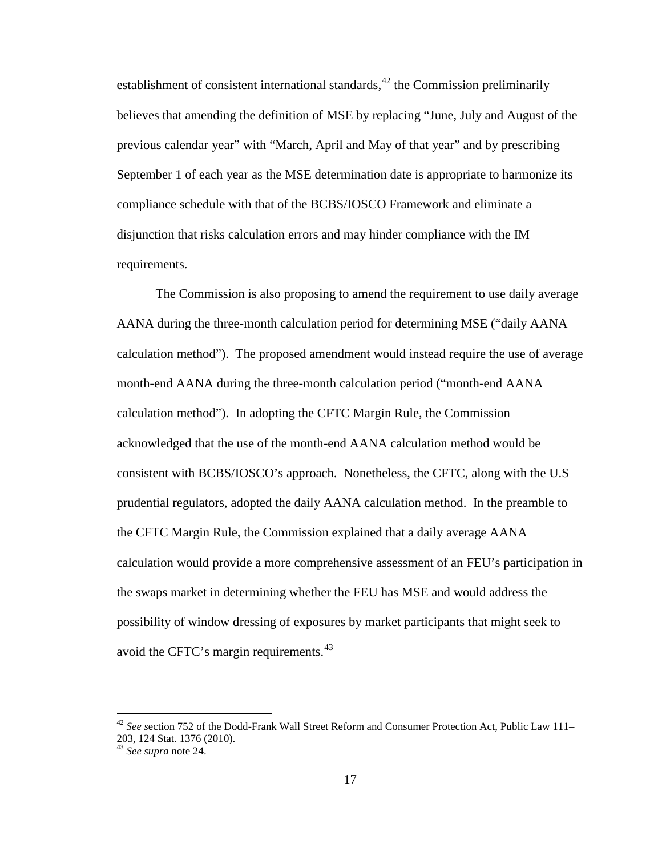establishment of consistent international standards,  $42$  the Commission preliminarily believes that amending the definition of MSE by replacing "June, July and August of the previous calendar year" with "March, April and May of that year" and by prescribing September 1 of each year as the MSE determination date is appropriate to harmonize its compliance schedule with that of the BCBS/IOSCO Framework and eliminate a disjunction that risks calculation errors and may hinder compliance with the IM requirements.

The Commission is also proposing to amend the requirement to use daily average AANA during the three-month calculation period for determining MSE ("daily AANA calculation method"). The proposed amendment would instead require the use of average month-end AANA during the three-month calculation period ("month-end AANA calculation method"). In adopting the CFTC Margin Rule, the Commission acknowledged that the use of the month-end AANA calculation method would be consistent with BCBS/IOSCO's approach. Nonetheless, the CFTC, along with the U.S prudential regulators, adopted the daily AANA calculation method. In the preamble to the CFTC Margin Rule, the Commission explained that a daily average AANA calculation would provide a more comprehensive assessment of an FEU's participation in the swaps market in determining whether the FEU has MSE and would address the possibility of window dressing of exposures by market participants that might seek to avoid the CFTC's margin requirements.<sup>[43](#page-16-1)</sup>

<span id="page-16-0"></span> <sup>42</sup> *See s*ection 752 of the Dodd-Frank Wall Street Reform and Consumer Protection Act, Public Law 111– 203, 124 Stat. 1376 (2010).

<span id="page-16-1"></span><sup>43</sup> *See supra* note [24.](#page-7-3)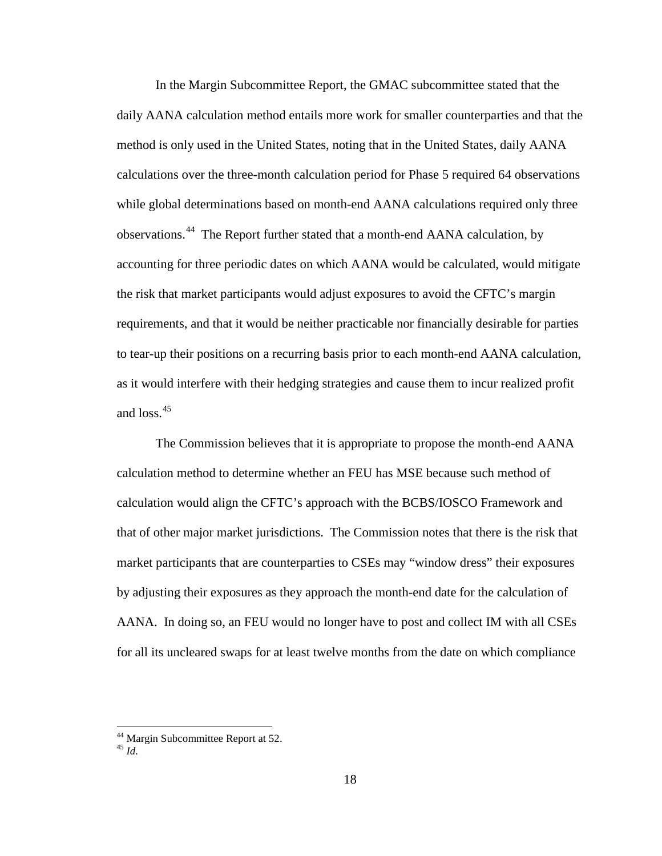In the Margin Subcommittee Report, the GMAC subcommittee stated that the daily AANA calculation method entails more work for smaller counterparties and that the method is only used in the United States, noting that in the United States, daily AANA calculations over the three-month calculation period for Phase 5 required 64 observations while global determinations based on month-end AANA calculations required only three observations.<sup>[44](#page-17-0)</sup> The Report further stated that a month-end AANA calculation, by accounting for three periodic dates on which AANA would be calculated, would mitigate the risk that market participants would adjust exposures to avoid the CFTC's margin requirements, and that it would be neither practicable nor financially desirable for parties to tear-up their positions on a recurring basis prior to each month-end AANA calculation, as it would interfere with their hedging strategies and cause them to incur realized profit and  $\cos^{45}$ 

The Commission believes that it is appropriate to propose the month-end AANA calculation method to determine whether an FEU has MSE because such method of calculation would align the CFTC's approach with the BCBS/IOSCO Framework and that of other major market jurisdictions. The Commission notes that there is the risk that market participants that are counterparties to CSEs may "window dress" their exposures by adjusting their exposures as they approach the month-end date for the calculation of AANA. In doing so, an FEU would no longer have to post and collect IM with all CSEs for all its uncleared swaps for at least twelve months from the date on which compliance

<span id="page-17-0"></span><sup>44</sup> Margin Subcommittee Report at 52. <sup>45</sup> *Id.* 

<span id="page-17-1"></span>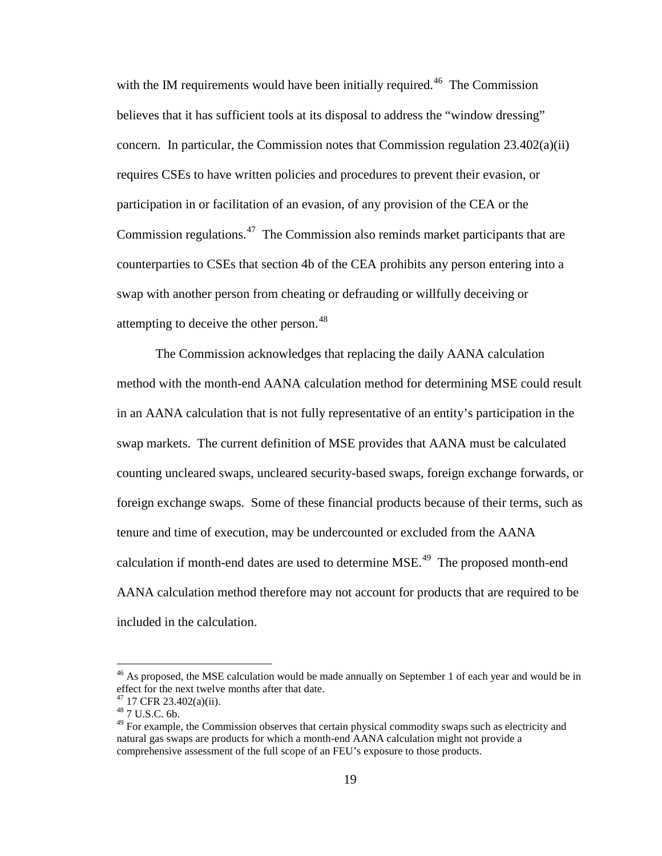with the IM requirements would have been initially required.<sup>46</sup> The Commission believes that it has sufficient tools at its disposal to address the "window dressing" concern. In particular, the Commission notes that Commission regulation  $23.402(a)(ii)$ requires CSEs to have written policies and procedures to prevent their evasion, or participation in or facilitation of an evasion, of any provision of the CEA or the Commission regulations.<sup>47</sup> The Commission also reminds market participants that are counterparties to CSEs that section 4b of the CEA prohibits any person entering into a swap with another person from cheating or defrauding or willfully deceiving or attempting to deceive the other person.<sup>[48](#page-18-2)</sup>

The Commission acknowledges that replacing the daily AANA calculation method with the month-end AANA calculation method for determining MSE could result in an AANA calculation that is not fully representative of an entity's participation in the swap markets. The current definition of MSE provides that AANA must be calculated counting uncleared swaps, uncleared security-based swaps, foreign exchange forwards, or foreign exchange swaps. Some of these financial products because of their terms, such as tenure and time of execution, may be undercounted or excluded from the AANA calculation if month-end dates are used to determine  $MSE<sup>49</sup>$ . The proposed month-end AANA calculation method therefore may not account for products that are required to be included in the calculation.

<span id="page-18-4"></span><span id="page-18-0"></span><sup>&</sup>lt;sup>46</sup> As proposed, the MSE calculation would be made annually on September 1 of each year and would be in effect for the next twelve months after that date.

<span id="page-18-2"></span><span id="page-18-1"></span> $^{47}$  17 CFR 23.402(a)(ii).<br> $^{48}$  7 U.S.C. 6b.

<span id="page-18-3"></span> $49$  For example, the Commission observes that certain physical commodity swaps such as electricity and natural gas swaps are products for which a month-end AANA calculation might not provide a comprehensive assessment of the full scope of an FEU's exposure to those products.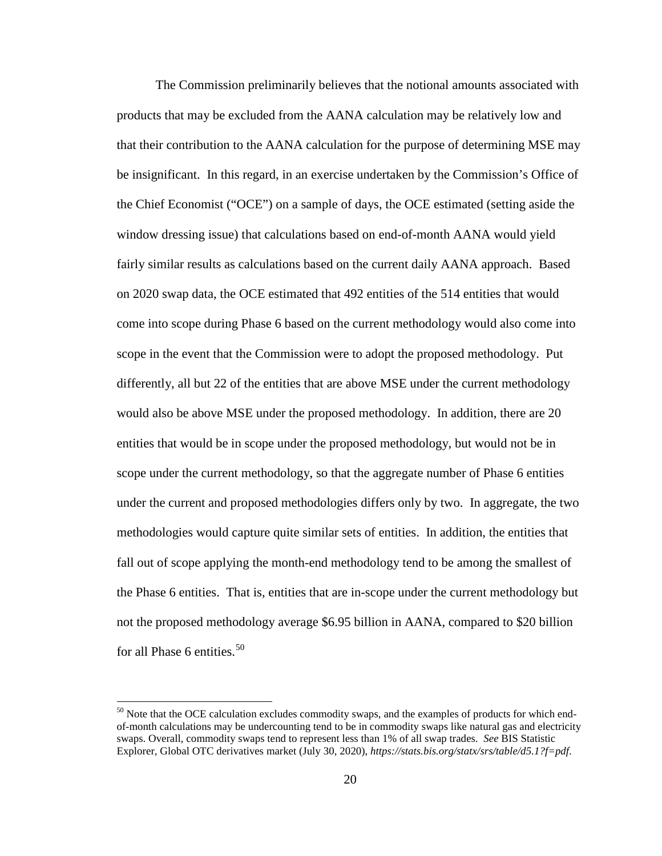The Commission preliminarily believes that the notional amounts associated with products that may be excluded from the AANA calculation may be relatively low and that their contribution to the AANA calculation for the purpose of determining MSE may be insignificant. In this regard, in an exercise undertaken by the Commission's Office of the Chief Economist ("OCE") on a sample of days, the OCE estimated (setting aside the window dressing issue) that calculations based on end-of-month AANA would yield fairly similar results as calculations based on the current daily AANA approach. Based on 2020 swap data, the OCE estimated that 492 entities of the 514 entities that would come into scope during Phase 6 based on the current methodology would also come into scope in the event that the Commission were to adopt the proposed methodology. Put differently, all but 22 of the entities that are above MSE under the current methodology would also be above MSE under the proposed methodology. In addition, there are 20 entities that would be in scope under the proposed methodology, but would not be in scope under the current methodology, so that the aggregate number of Phase 6 entities under the current and proposed methodologies differs only by two. In aggregate, the two methodologies would capture quite similar sets of entities. In addition, the entities that fall out of scope applying the month-end methodology tend to be among the smallest of the Phase 6 entities. That is, entities that are in-scope under the current methodology but not the proposed methodology average \$6.95 billion in AANA, compared to \$20 billion for all Phase 6 entities. $50$ 

<span id="page-19-1"></span><span id="page-19-0"></span><sup>&</sup>lt;sup>50</sup> Note that the OCE calculation excludes commodity swaps, and the examples of products for which endof-month calculations may be undercounting tend to be in commodity swaps like natural gas and electricity swaps. Overall, commodity swaps tend to represent less than 1% of all swap trades. *See* BIS Statistic Explorer, Global OTC derivatives market (July 30, 2020), *https://stats.bis.org/statx/srs/table/d5.1?f=pdf*.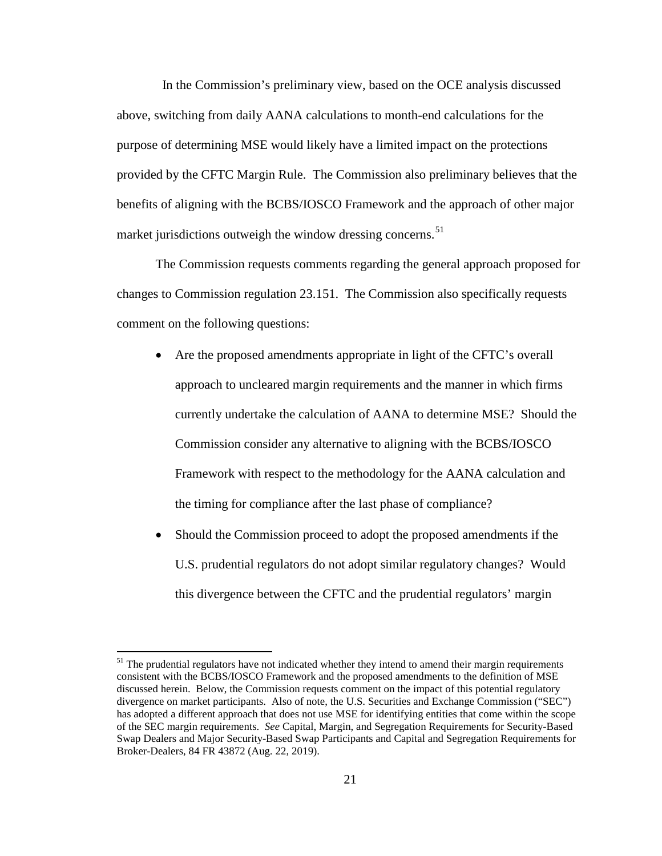In the Commission's preliminary view, based on the OCE analysis discussed above, switching from daily AANA calculations to month-end calculations for the purpose of determining MSE would likely have a limited impact on the protections provided by the CFTC Margin Rule. The Commission also preliminary believes that the benefits of aligning with the BCBS/IOSCO Framework and the approach of other major market jurisdictions outweigh the window dressing concerns.<sup>[51](#page-20-0)</sup>

The Commission requests comments regarding the general approach proposed for changes to Commission regulation 23.151. The Commission also specifically requests comment on the following questions:

- Are the proposed amendments appropriate in light of the CFTC's overall approach to uncleared margin requirements and the manner in which firms currently undertake the calculation of AANA to determine MSE? Should the Commission consider any alternative to aligning with the BCBS/IOSCO Framework with respect to the methodology for the AANA calculation and the timing for compliance after the last phase of compliance?
- Should the Commission proceed to adopt the proposed amendments if the U.S. prudential regulators do not adopt similar regulatory changes? Would this divergence between the CFTC and the prudential regulators' margin

<span id="page-20-0"></span> $51$  The prudential regulators have not indicated whether they intend to amend their margin requirements consistent with the BCBS/IOSCO Framework and the proposed amendments to the definition of MSE discussed herein. Below, the Commission requests comment on the impact of this potential regulatory divergence on market participants. Also of note, the U.S. Securities and Exchange Commission ("SEC") has adopted a different approach that does not use MSE for identifying entities that come within the scope of the SEC margin requirements. *See* Capital, Margin, and Segregation Requirements for Security-Based Swap Dealers and Major Security-Based Swap Participants and Capital and Segregation Requirements for Broker-Dealers, 84 FR 43872 (Aug. 22, 2019).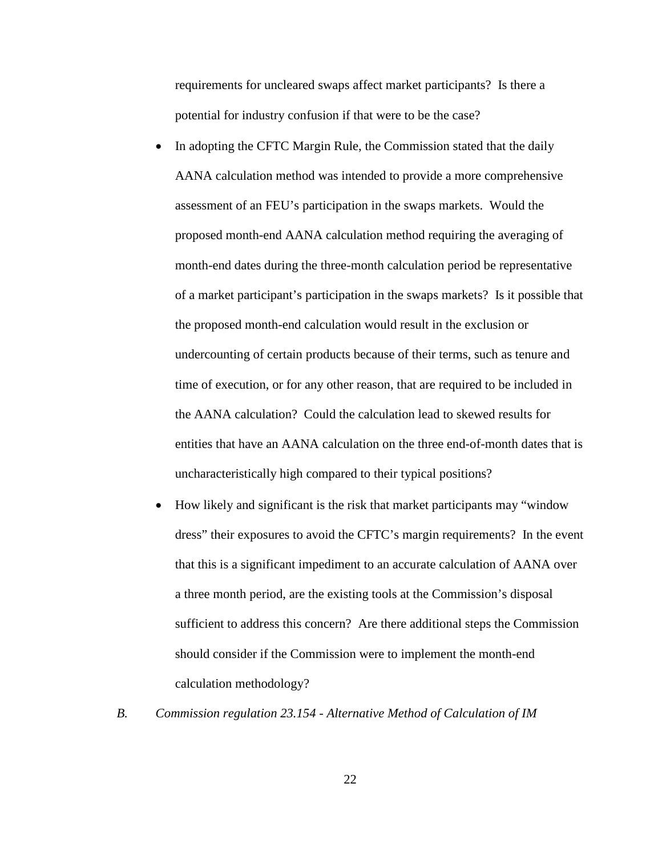requirements for uncleared swaps affect market participants? Is there a potential for industry confusion if that were to be the case?

- In adopting the CFTC Margin Rule, the Commission stated that the daily AANA calculation method was intended to provide a more comprehensive assessment of an FEU's participation in the swaps markets. Would the proposed month-end AANA calculation method requiring the averaging of month-end dates during the three-month calculation period be representative of a market participant's participation in the swaps markets? Is it possible that the proposed month-end calculation would result in the exclusion or undercounting of certain products because of their terms, such as tenure and time of execution, or for any other reason, that are required to be included in the AANA calculation? Could the calculation lead to skewed results for entities that have an AANA calculation on the three end-of-month dates that is uncharacteristically high compared to their typical positions?
- How likely and significant is the risk that market participants may "window dress" their exposures to avoid the CFTC's margin requirements? In the event that this is a significant impediment to an accurate calculation of AANA over a three month period, are the existing tools at the Commission's disposal sufficient to address this concern? Are there additional steps the Commission should consider if the Commission were to implement the month-end calculation methodology?
- *B. Commission regulation 23.154 - Alternative Method of Calculation of IM*

22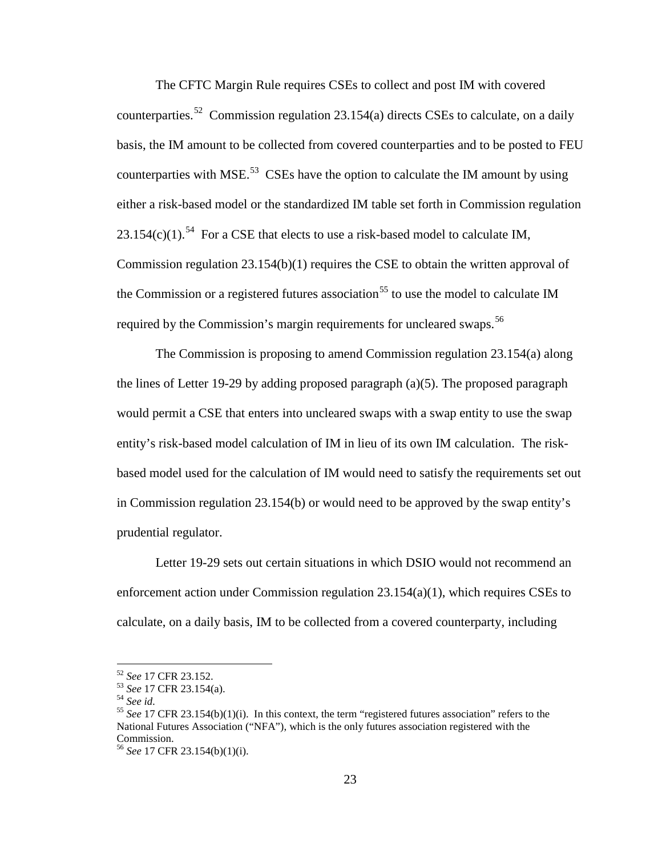The CFTC Margin Rule requires CSEs to collect and post IM with covered counterparties.<sup>52</sup> Commission regulation 23.154(a) directs CSEs to calculate, on a daily basis, the IM amount to be collected from covered counterparties and to be posted to FEU counterparties with MSE.<sup>53</sup> CSEs have the option to calculate the IM amount by using either a risk-based model or the standardized IM table set forth in Commission regulation 23.1[54](#page-22-2)(c)(1).<sup>54</sup> For a CSE that elects to use a risk-based model to calculate IM, Commission regulation 23.154(b)(1) requires the CSE to obtain the written approval of the Commission or a registered futures association<sup>[55](#page-22-3)</sup> to use the model to calculate IM required by the Commission's margin requirements for uncleared swaps.<sup>[56](#page-22-4)</sup>

The Commission is proposing to amend Commission regulation 23.154(a) along the lines of Letter 19-29 by adding proposed paragraph (a)(5). The proposed paragraph would permit a CSE that enters into uncleared swaps with a swap entity to use the swap entity's risk-based model calculation of IM in lieu of its own IM calculation. The riskbased model used for the calculation of IM would need to satisfy the requirements set out in Commission regulation 23.154(b) or would need to be approved by the swap entity's prudential regulator.

Letter 19-29 sets out certain situations in which DSIO would not recommend an enforcement action under Commission regulation 23.154(a)(1), which requires CSEs to calculate, on a daily basis, IM to be collected from a covered counterparty, including

<span id="page-22-2"></span><span id="page-22-1"></span>

<span id="page-22-3"></span>

<span id="page-22-0"></span><sup>&</sup>lt;sup>52</sup> *See* 17 CFR 23.152.<br><sup>53</sup> *See* 17 CFR 23.154(a).<br><sup>54</sup> *See id.* 55 *See* 17 CFR 23.154(b)(1)(i). In this context, the term "registered futures association" refers to the National Futures Association ("NFA"), which is the only futures association registered with the Commission.

<span id="page-22-4"></span><sup>56</sup> *See* 17 CFR 23.154(b)(1)(i).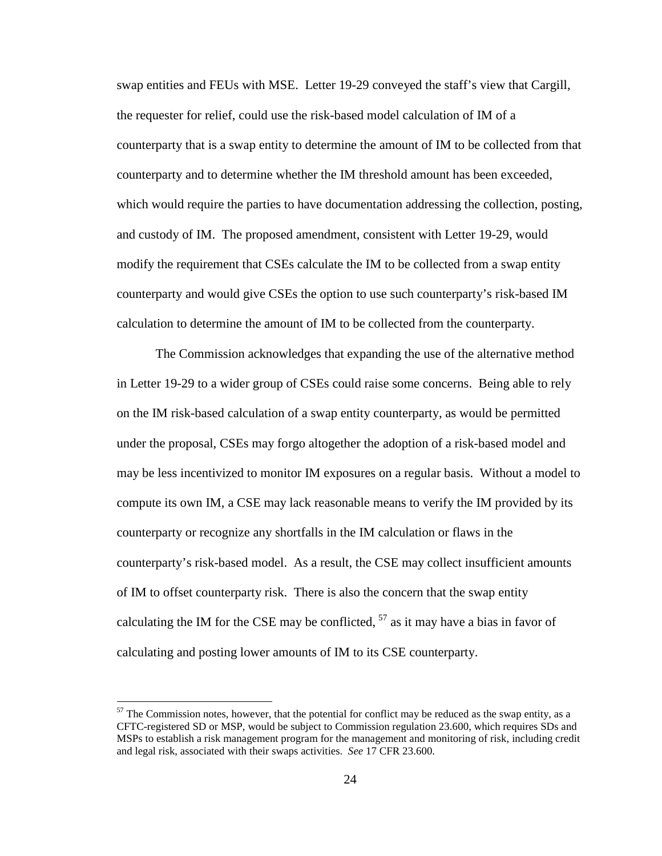swap entities and FEUs with MSE. Letter 19-29 conveyed the staff's view that Cargill, the requester for relief, could use the risk-based model calculation of IM of a counterparty that is a swap entity to determine the amount of IM to be collected from that counterparty and to determine whether the IM threshold amount has been exceeded, which would require the parties to have documentation addressing the collection, posting, and custody of IM. The proposed amendment, consistent with Letter 19-29, would modify the requirement that CSEs calculate the IM to be collected from a swap entity counterparty and would give CSEs the option to use such counterparty's risk-based IM calculation to determine the amount of IM to be collected from the counterparty.

The Commission acknowledges that expanding the use of the alternative method in Letter 19-29 to a wider group of CSEs could raise some concerns. Being able to rely on the IM risk-based calculation of a swap entity counterparty, as would be permitted under the proposal, CSEs may forgo altogether the adoption of a risk-based model and may be less incentivized to monitor IM exposures on a regular basis. Without a model to compute its own IM, a CSE may lack reasonable means to verify the IM provided by its counterparty or recognize any shortfalls in the IM calculation or flaws in the counterparty's risk-based model. As a result, the CSE may collect insufficient amounts of IM to offset counterparty risk. There is also the concern that the swap entity calculating the IM for the CSE may be conflicted,  $57$  as it may have a bias in favor of calculating and posting lower amounts of IM to its CSE counterparty.

<span id="page-23-0"></span> $57$  The Commission notes, however, that the potential for conflict may be reduced as the swap entity, as a CFTC-registered SD or MSP, would be subject to Commission regulation 23.600, which requires SDs and MSPs to establish a risk management program for the management and monitoring of risk, including credit and legal risk, associated with their swaps activities. *See* 17 CFR 23.600.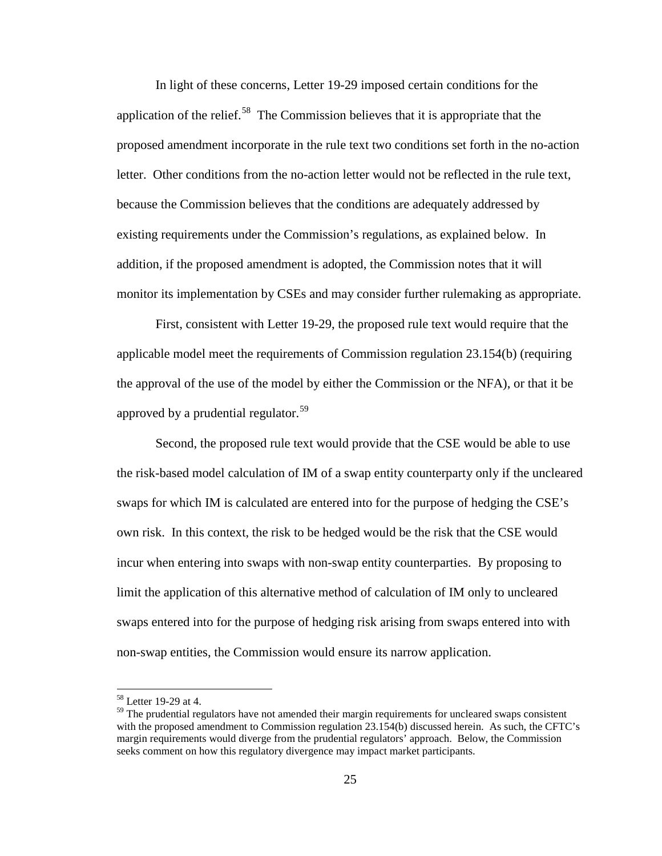In light of these concerns, Letter 19-29 imposed certain conditions for the application of the relief.<sup>[58](#page-24-0)</sup> The Commission believes that it is appropriate that the proposed amendment incorporate in the rule text two conditions set forth in the no-action letter. Other conditions from the no-action letter would not be reflected in the rule text, because the Commission believes that the conditions are adequately addressed by existing requirements under the Commission's regulations, as explained below. In addition, if the proposed amendment is adopted, the Commission notes that it will monitor its implementation by CSEs and may consider further rulemaking as appropriate.

First, consistent with Letter 19-29, the proposed rule text would require that the applicable model meet the requirements of Commission regulation 23.154(b) (requiring the approval of the use of the model by either the Commission or the NFA), or that it be approved by a prudential regulator.<sup>[59](#page-24-1)</sup>

Second, the proposed rule text would provide that the CSE would be able to use the risk-based model calculation of IM of a swap entity counterparty only if the uncleared swaps for which IM is calculated are entered into for the purpose of hedging the CSE's own risk. In this context, the risk to be hedged would be the risk that the CSE would incur when entering into swaps with non-swap entity counterparties. By proposing to limit the application of this alternative method of calculation of IM only to uncleared swaps entered into for the purpose of hedging risk arising from swaps entered into with non-swap entities, the Commission would ensure its narrow application.

<sup>&</sup>lt;sup>58</sup> Letter 19-29 at 4.

<span id="page-24-1"></span><span id="page-24-0"></span> $59$  The prudential regulators have not amended their margin requirements for uncleared swaps consistent with the proposed amendment to Commission regulation 23.154(b) discussed herein. As such, the CFTC's margin requirements would diverge from the prudential regulators' approach. Below, the Commission seeks comment on how this regulatory divergence may impact market participants.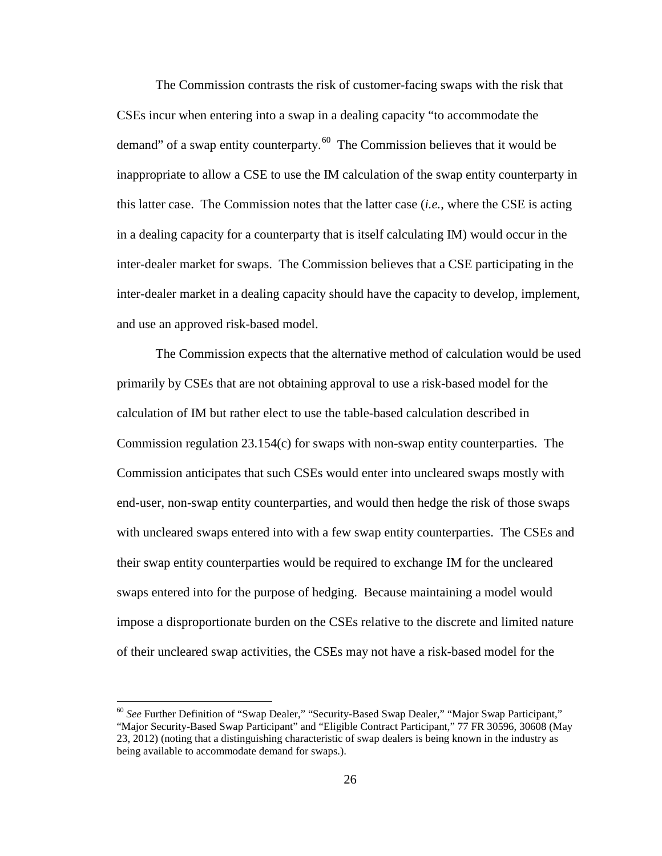The Commission contrasts the risk of customer-facing swaps with the risk that CSEs incur when entering into a swap in a dealing capacity "to accommodate the demand" of a swap entity counterparty. $60$  The Commission believes that it would be inappropriate to allow a CSE to use the IM calculation of the swap entity counterparty in this latter case. The Commission notes that the latter case (*i.e.*, where the CSE is acting in a dealing capacity for a counterparty that is itself calculating IM) would occur in the inter-dealer market for swaps. The Commission believes that a CSE participating in the inter-dealer market in a dealing capacity should have the capacity to develop, implement, and use an approved risk-based model.

The Commission expects that the alternative method of calculation would be used primarily by CSEs that are not obtaining approval to use a risk-based model for the calculation of IM but rather elect to use the table-based calculation described in Commission regulation 23.154(c) for swaps with non-swap entity counterparties. The Commission anticipates that such CSEs would enter into uncleared swaps mostly with end-user, non-swap entity counterparties, and would then hedge the risk of those swaps with uncleared swaps entered into with a few swap entity counterparties. The CSEs and their swap entity counterparties would be required to exchange IM for the uncleared swaps entered into for the purpose of hedging. Because maintaining a model would impose a disproportionate burden on the CSEs relative to the discrete and limited nature of their uncleared swap activities, the CSEs may not have a risk-based model for the

<span id="page-25-0"></span><sup>&</sup>lt;sup>60</sup> See Further Definition of "Swap Dealer," "Security-Based Swap Dealer," "Major Swap Participant," "Major Security-Based Swap Participant" and "Eligible Contract Participant," 77 FR 30596, 30608 (May 23, 2012) (noting that a distinguishing characteristic of swap dealers is being known in the industry as being available to accommodate demand for swaps.).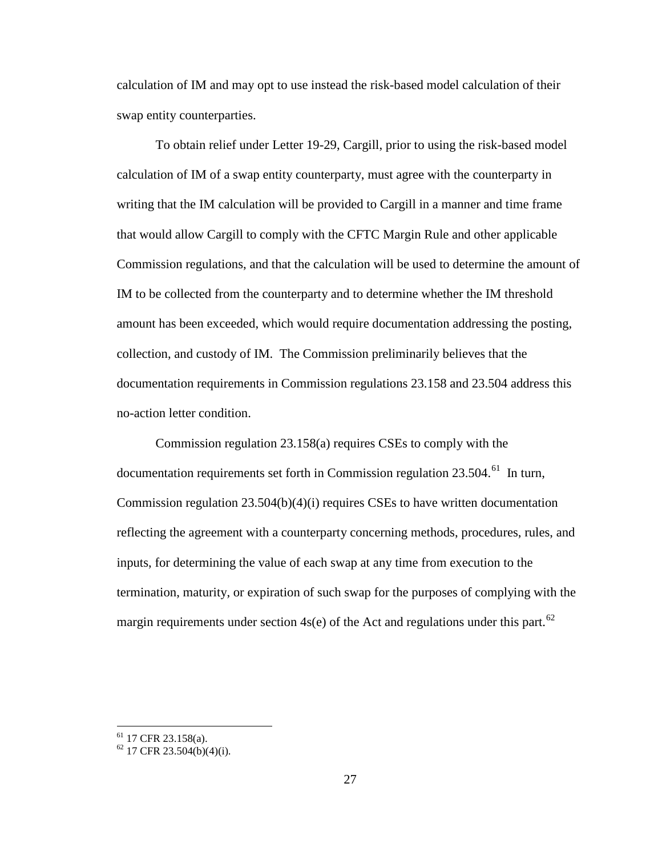calculation of IM and may opt to use instead the risk-based model calculation of their swap entity counterparties.

To obtain relief under Letter 19-29, Cargill, prior to using the risk-based model calculation of IM of a swap entity counterparty, must agree with the counterparty in writing that the IM calculation will be provided to Cargill in a manner and time frame that would allow Cargill to comply with the CFTC Margin Rule and other applicable Commission regulations, and that the calculation will be used to determine the amount of IM to be collected from the counterparty and to determine whether the IM threshold amount has been exceeded, which would require documentation addressing the posting, collection, and custody of IM. The Commission preliminarily believes that the documentation requirements in Commission regulations 23.158 and 23.504 address this no-action letter condition.

Commission regulation 23.158(a) requires CSEs to comply with the documentation requirements set forth in Commission regulation 23.504.<sup>61</sup> In turn, Commission regulation 23.504(b)(4)(i) requires CSEs to have written documentation reflecting the agreement with a counterparty concerning methods, procedures, rules, and inputs, for determining the value of each swap at any time from execution to the termination, maturity, or expiration of such swap for the purposes of complying with the margin requirements under section  $4s(e)$  of the Act and regulations under this part.<sup>[62](#page-26-1)</sup>

<span id="page-26-1"></span><span id="page-26-0"></span><sup>&</sup>lt;sup>61</sup> 17 CFR 23.158(a).<br><sup>62</sup> 17 CFR 23.504(b)(4)(i).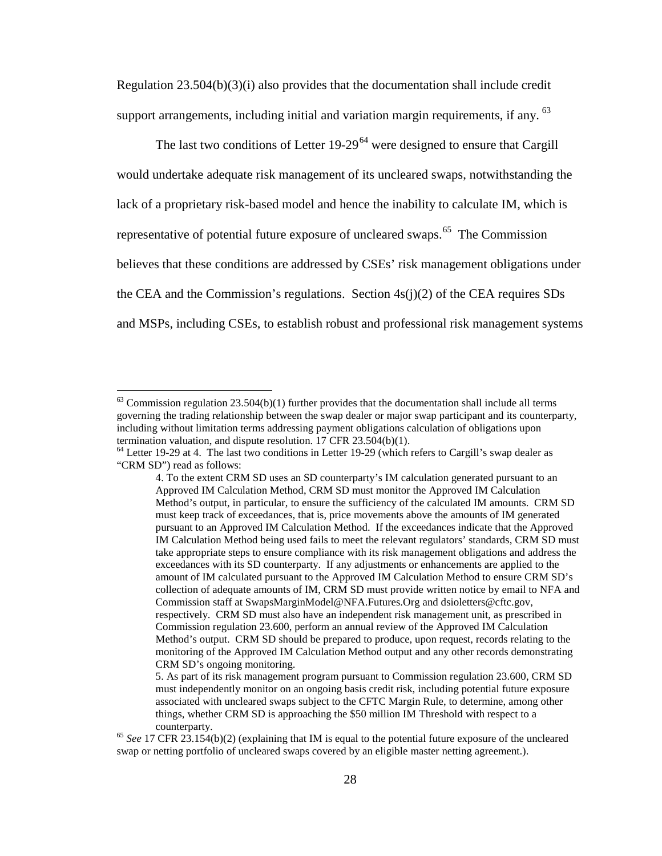Regulation  $23.504(b)(3)(i)$  also provides that the documentation shall include credit support arrangements, including initial and variation margin requirements, if any. <sup>[63](#page-27-0)</sup>

The last two conditions of Letter  $19-29<sup>64</sup>$  $19-29<sup>64</sup>$  $19-29<sup>64</sup>$  were designed to ensure that Cargill would undertake adequate risk management of its uncleared swaps, notwithstanding the lack of a proprietary risk-based model and hence the inability to calculate IM, which is representative of potential future exposure of uncleared swaps.<sup>65</sup> The Commission believes that these conditions are addressed by CSEs' risk management obligations under the CEA and the Commission's regulations. Section  $4s(i)(2)$  of the CEA requires SDs and MSPs, including CSEs, to establish robust and professional risk management systems

<span id="page-27-0"></span> $^{63}$  Commission regulation 23.504(b)(1) further provides that the documentation shall include all terms governing the trading relationship between the swap dealer or major swap participant and its counterparty, including without limitation terms addressing payment obligations calculation of obligations upon<br>termination valuation, and dispute resolution. 17 CFR 23.504(b)(1).

<span id="page-27-1"></span> $64$  Letter 19-29 at 4. The last two conditions in Letter 19-29 (which refers to Cargill's swap dealer as "CRM SD") read as follows:

<sup>4.</sup> To the extent CRM SD uses an SD counterparty's IM calculation generated pursuant to an Approved IM Calculation Method, CRM SD must monitor the Approved IM Calculation Method's output, in particular, to ensure the sufficiency of the calculated IM amounts. CRM SD must keep track of exceedances, that is, price movements above the amounts of IM generated pursuant to an Approved IM Calculation Method. If the exceedances indicate that the Approved IM Calculation Method being used fails to meet the relevant regulators' standards, CRM SD must take appropriate steps to ensure compliance with its risk management obligations and address the exceedances with its SD counterparty. If any adjustments or enhancements are applied to the amount of IM calculated pursuant to the Approved IM Calculation Method to ensure CRM SD's collection of adequate amounts of IM, CRM SD must provide written notice by email to NFA and Commission staff at SwapsMarginModel@NFA.Futures.Org and dsioletters@cftc.gov, respectively. CRM SD must also have an independent risk management unit, as prescribed in Commission regulation 23.600, perform an annual review of the Approved IM Calculation Method's output. CRM SD should be prepared to produce, upon request, records relating to the monitoring of the Approved IM Calculation Method output and any other records demonstrating CRM SD's ongoing monitoring.

<sup>5.</sup> As part of its risk management program pursuant to Commission regulation 23.600, CRM SD must independently monitor on an ongoing basis credit risk, including potential future exposure associated with uncleared swaps subject to the CFTC Margin Rule, to determine, among other things, whether CRM SD is approaching the \$50 million IM Threshold with respect to a counterparty. <sup>65</sup> *See* 17 CFR 23.154(b)(2) (explaining that IM is equal to the potential future exposure of the uncleared

<span id="page-27-2"></span>swap or netting portfolio of uncleared swaps covered by an eligible master netting agreement.).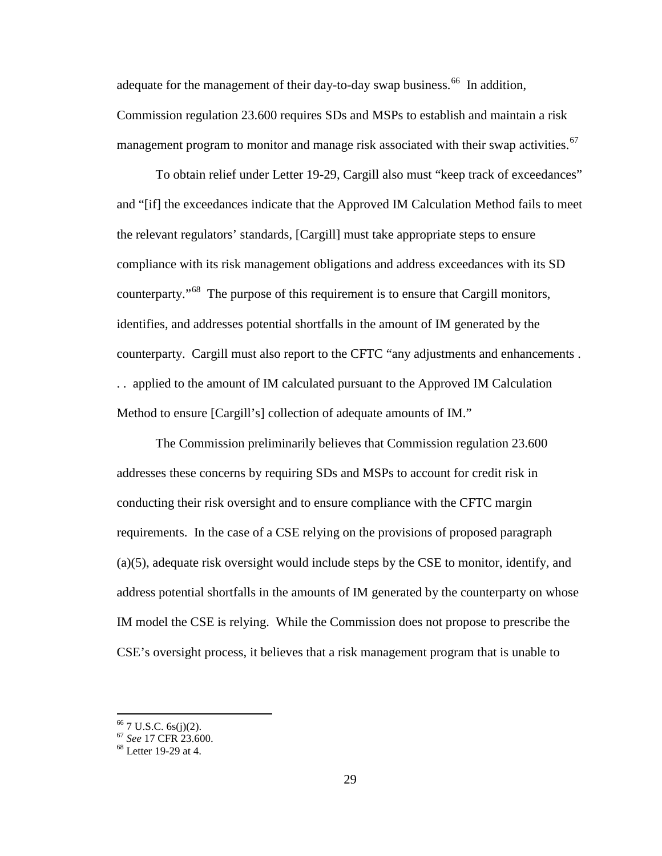adequate for the management of their day-to-day swap business.<sup>66</sup> In addition, Commission regulation 23.600 requires SDs and MSPs to establish and maintain a risk management program to monitor and manage risk associated with their swap activities.<sup>[67](#page-28-1)</sup>

To obtain relief under Letter 19-29, Cargill also must "keep track of exceedances" and "[if] the exceedances indicate that the Approved IM Calculation Method fails to meet the relevant regulators' standards, [Cargill] must take appropriate steps to ensure compliance with its risk management obligations and address exceedances with its SD counterparty."<sup>[68](#page-28-2)</sup> The purpose of this requirement is to ensure that Cargill monitors, identifies, and addresses potential shortfalls in the amount of IM generated by the counterparty. Cargill must also report to the CFTC "any adjustments and enhancements . . . applied to the amount of IM calculated pursuant to the Approved IM Calculation Method to ensure [Cargill's] collection of adequate amounts of IM."

The Commission preliminarily believes that Commission regulation 23.600 addresses these concerns by requiring SDs and MSPs to account for credit risk in conducting their risk oversight and to ensure compliance with the CFTC margin requirements. In the case of a CSE relying on the provisions of proposed paragraph (a)(5), adequate risk oversight would include steps by the CSE to monitor, identify, and address potential shortfalls in the amounts of IM generated by the counterparty on whose IM model the CSE is relying. While the Commission does not propose to prescribe the CSE's oversight process, it believes that a risk management program that is unable to

<span id="page-28-1"></span><span id="page-28-0"></span><sup>66</sup> 7 U.S.C. 6s(j)(2). <sup>67</sup> *See* 17 CFR 23.600. <sup>68</sup> Letter 19-29 at 4.

<span id="page-28-2"></span>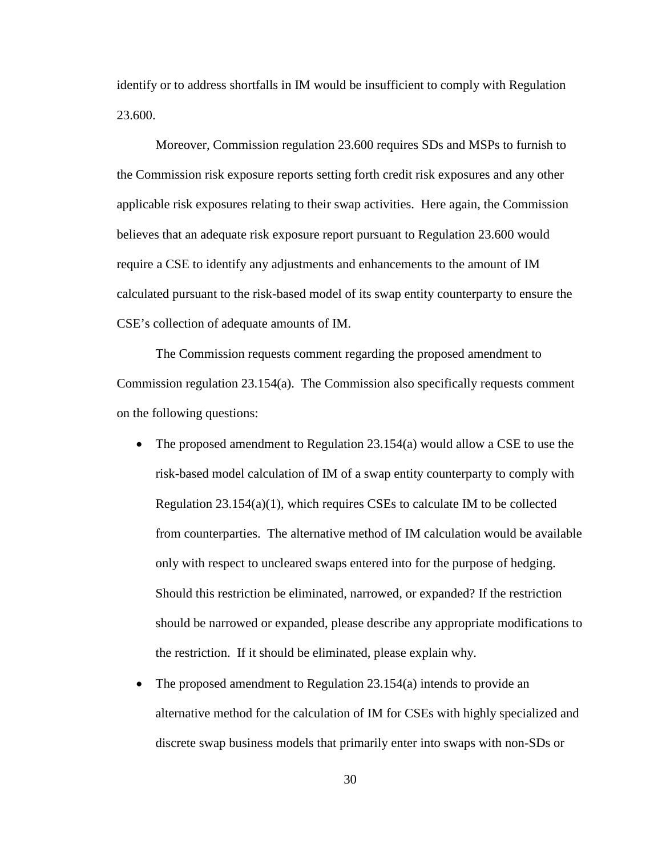identify or to address shortfalls in IM would be insufficient to comply with Regulation 23.600.

Moreover, Commission regulation 23.600 requires SDs and MSPs to furnish to the Commission risk exposure reports setting forth credit risk exposures and any other applicable risk exposures relating to their swap activities. Here again, the Commission believes that an adequate risk exposure report pursuant to Regulation 23.600 would require a CSE to identify any adjustments and enhancements to the amount of IM calculated pursuant to the risk-based model of its swap entity counterparty to ensure the CSE's collection of adequate amounts of IM.

The Commission requests comment regarding the proposed amendment to Commission regulation 23.154(a). The Commission also specifically requests comment on the following questions:

- The proposed amendment to Regulation 23.154(a) would allow a CSE to use the risk-based model calculation of IM of a swap entity counterparty to comply with Regulation 23.154(a)(1), which requires CSEs to calculate IM to be collected from counterparties. The alternative method of IM calculation would be available only with respect to uncleared swaps entered into for the purpose of hedging. Should this restriction be eliminated, narrowed, or expanded? If the restriction should be narrowed or expanded, please describe any appropriate modifications to the restriction. If it should be eliminated, please explain why.
- The proposed amendment to Regulation 23.154(a) intends to provide an alternative method for the calculation of IM for CSEs with highly specialized and discrete swap business models that primarily enter into swaps with non-SDs or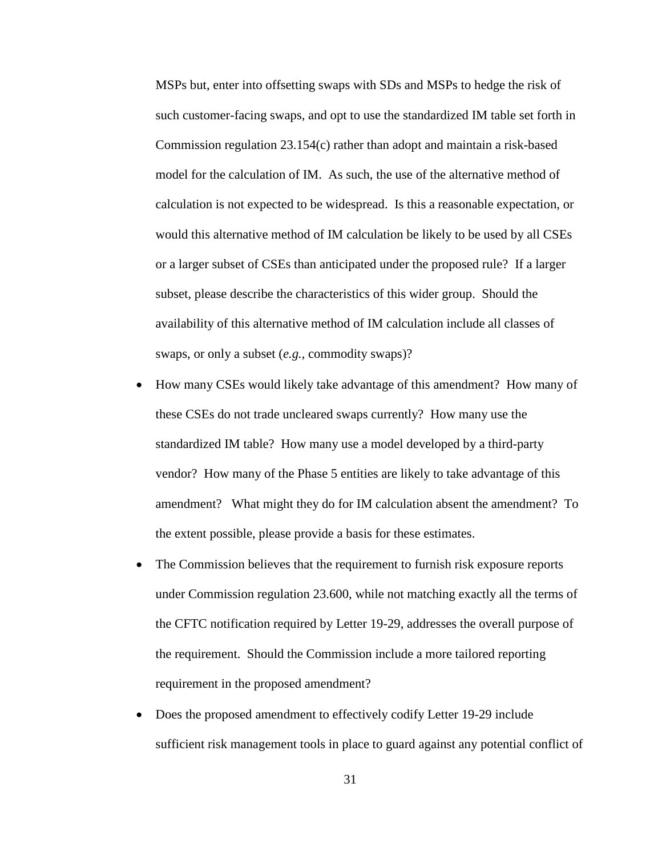MSPs but, enter into offsetting swaps with SDs and MSPs to hedge the risk of such customer-facing swaps, and opt to use the standardized IM table set forth in Commission regulation 23.154(c) rather than adopt and maintain a risk-based model for the calculation of IM. As such, the use of the alternative method of calculation is not expected to be widespread. Is this a reasonable expectation, or would this alternative method of IM calculation be likely to be used by all CSEs or a larger subset of CSEs than anticipated under the proposed rule? If a larger subset, please describe the characteristics of this wider group. Should the availability of this alternative method of IM calculation include all classes of swaps, or only a subset (*e.g.*, commodity swaps)?

- How many CSEs would likely take advantage of this amendment? How many of these CSEs do not trade uncleared swaps currently? How many use the standardized IM table? How many use a model developed by a third-party vendor? How many of the Phase 5 entities are likely to take advantage of this amendment? What might they do for IM calculation absent the amendment? To the extent possible, please provide a basis for these estimates.
- The Commission believes that the requirement to furnish risk exposure reports under Commission regulation 23.600, while not matching exactly all the terms of the CFTC notification required by Letter 19-29, addresses the overall purpose of the requirement. Should the Commission include a more tailored reporting requirement in the proposed amendment?
- Does the proposed amendment to effectively codify Letter 19-29 include sufficient risk management tools in place to guard against any potential conflict of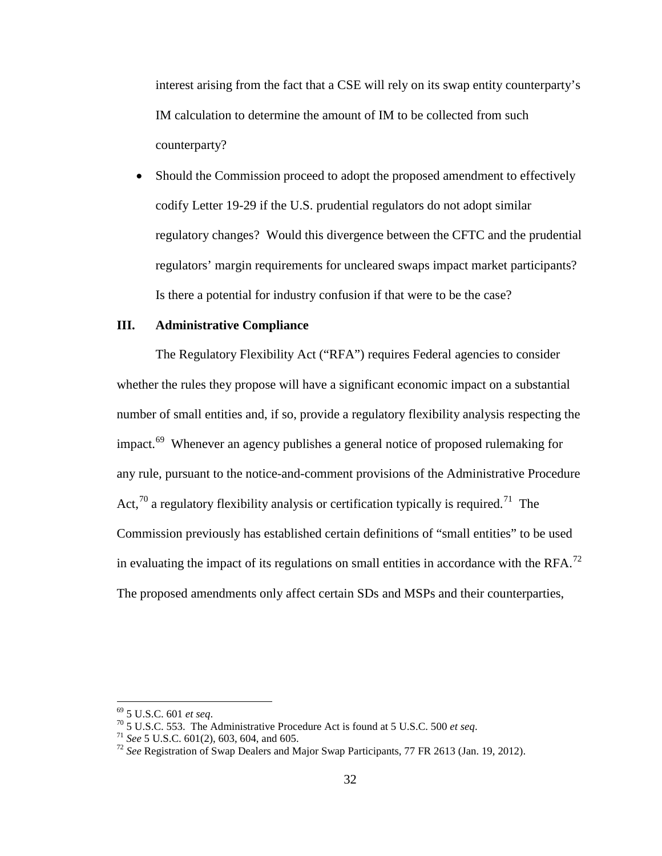interest arising from the fact that a CSE will rely on its swap entity counterparty's IM calculation to determine the amount of IM to be collected from such counterparty?

• Should the Commission proceed to adopt the proposed amendment to effectively codify Letter 19-29 if the U.S. prudential regulators do not adopt similar regulatory changes? Would this divergence between the CFTC and the prudential regulators' margin requirements for uncleared swaps impact market participants? Is there a potential for industry confusion if that were to be the case?

## **III. Administrative Compliance**

The Regulatory Flexibility Act ("RFA") requires Federal agencies to consider whether the rules they propose will have a significant economic impact on a substantial number of small entities and, if so, provide a regulatory flexibility analysis respecting the impact.<sup>[69](#page-31-0)</sup> Whenever an agency publishes a general notice of proposed rulemaking for any rule, pursuant to the notice-and-comment provisions of the Administrative Procedure Act,  $70$  a regulatory flexibility analysis or certification typically is required. <sup>[71](#page-31-2)</sup> The Commission previously has established certain definitions of "small entities" to be used in evaluating the impact of its regulations on small entities in accordance with the RFA.<sup>[72](#page-31-3)</sup> The proposed amendments only affect certain SDs and MSPs and their counterparties,

<span id="page-31-3"></span><span id="page-31-2"></span>

<span id="page-31-1"></span><span id="page-31-0"></span><sup>&</sup>lt;sup>69</sup> 5 U.S.C. 601 *et seq.*<br><sup>70</sup> 5 U.S.C. 553. The Administrative Procedure Act is found at 5 U.S.C. 500 *et seq.*<br><sup>71</sup> *See* 5 U.S.C. 601(2), 603, 604, and 605.<br><sup>72</sup> *See* Registration of Swap Dealers and Major Swap Part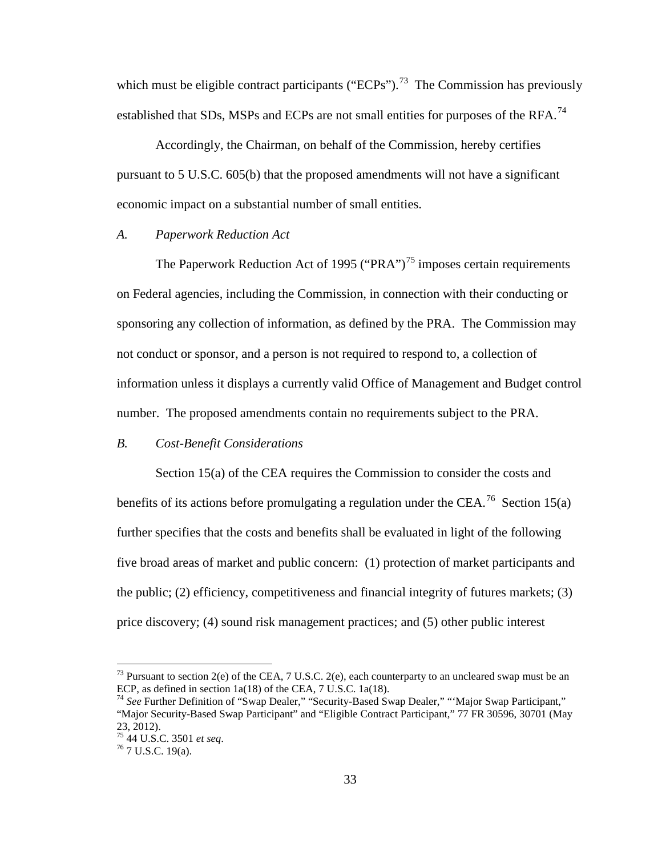which must be eligible contract participants ("ECPs").<sup>73</sup> The Commission has previously established that SDs, MSPs and ECPs are not small entities for purposes of the RFA.<sup>[74](#page-32-1)</sup>

Accordingly, the Chairman, on behalf of the Commission, hereby certifies pursuant to 5 U.S.C. 605(b) that the proposed amendments will not have a significant economic impact on a substantial number of small entities.

#### *A. Paperwork Reduction Act*

The Paperwork Reduction Act of 1995 ("PRA")<sup>[75](#page-32-2)</sup> imposes certain requirements on Federal agencies, including the Commission, in connection with their conducting or sponsoring any collection of information, as defined by the PRA. The Commission may not conduct or sponsor, and a person is not required to respond to, a collection of information unless it displays a currently valid Office of Management and Budget control number. The proposed amendments contain no requirements subject to the PRA.

## *B. Cost-Benefit Considerations*

Section 15(a) of the CEA requires the Commission to consider the costs and benefits of its actions before promulgating a regulation under the CEA.<sup>[76](#page-32-3)</sup> Section 15(a) further specifies that the costs and benefits shall be evaluated in light of the following five broad areas of market and public concern: (1) protection of market participants and the public; (2) efficiency, competitiveness and financial integrity of futures markets; (3) price discovery; (4) sound risk management practices; and (5) other public interest

<span id="page-32-0"></span><sup>&</sup>lt;sup>73</sup> Pursuant to section 2(e) of the CEA, 7 U.S.C. 2(e), each counterparty to an uncleared swap must be an ECP, as defined in section 1a(18) of the CEA, 7 U.S.C. 1a(18).

<span id="page-32-1"></span><sup>74</sup> *See* Further Definition of "Swap Dealer," "Security-Based Swap Dealer," "'Major Swap Participant," "Major Security-Based Swap Participant" and "Eligible Contract Participant," 77 FR 30596, 30701 (May 23, 2012).

<span id="page-32-3"></span><span id="page-32-2"></span><sup>75</sup> 44 U.S.C. 3501 *et seq*. <sup>76</sup> 7 U.S.C. 19(a).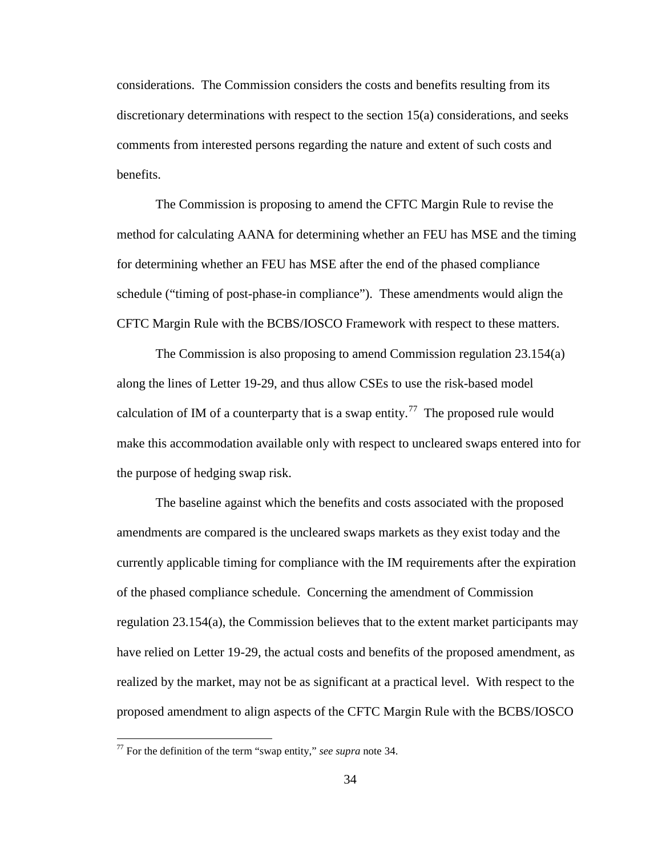considerations. The Commission considers the costs and benefits resulting from its discretionary determinations with respect to the section 15(a) considerations, and seeks comments from interested persons regarding the nature and extent of such costs and benefits.

The Commission is proposing to amend the CFTC Margin Rule to revise the method for calculating AANA for determining whether an FEU has MSE and the timing for determining whether an FEU has MSE after the end of the phased compliance schedule ("timing of post-phase-in compliance"). These amendments would align the CFTC Margin Rule with the BCBS/IOSCO Framework with respect to these matters.

The Commission is also proposing to amend Commission regulation 23.154(a) along the lines of Letter 19-29, and thus allow CSEs to use the risk-based model calculation of IM of a counterparty that is a swap entity.<sup>[77](#page-33-0)</sup> The proposed rule would make this accommodation available only with respect to uncleared swaps entered into for the purpose of hedging swap risk.

The baseline against which the benefits and costs associated with the proposed amendments are compared is the uncleared swaps markets as they exist today and the currently applicable timing for compliance with the IM requirements after the expiration of the phased compliance schedule. Concerning the amendment of Commission regulation 23.154(a), the Commission believes that to the extent market participants may have relied on Letter 19-29, the actual costs and benefits of the proposed amendment, as realized by the market, may not be as significant at a practical level. With respect to the proposed amendment to align aspects of the CFTC Margin Rule with the BCBS/IOSCO

<span id="page-33-0"></span> <sup>77</sup> For the definition of the term "swap entity," *see supra* note 34.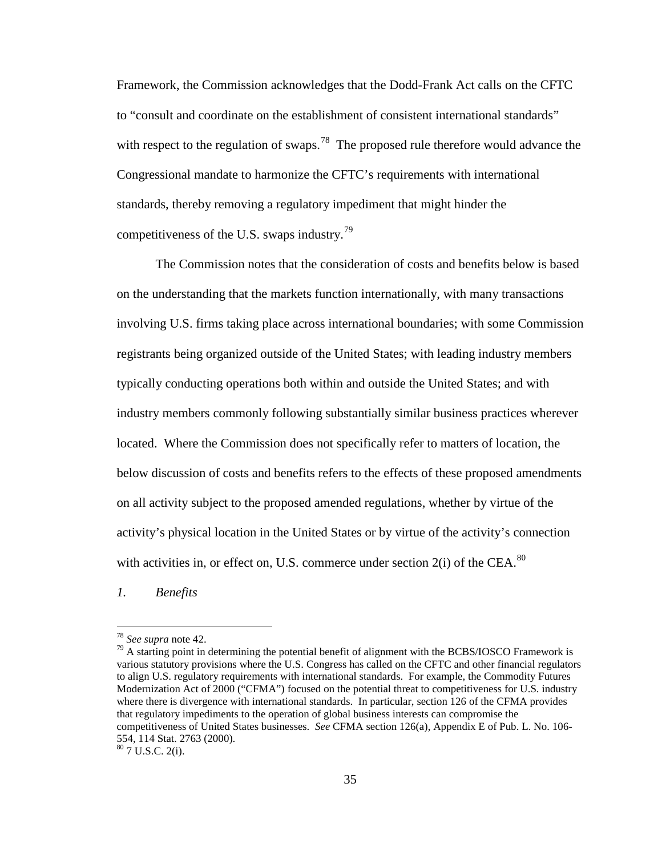Framework, the Commission acknowledges that the Dodd-Frank Act calls on the CFTC to "consult and coordinate on the establishment of consistent international standards" with respect to the regulation of swaps.<sup>[78](#page-34-0)</sup> The proposed rule therefore would advance the Congressional mandate to harmonize the CFTC's requirements with international standards, thereby removing a regulatory impediment that might hinder the competitiveness of the U.S. swaps industry.<sup>[79](#page-34-1)</sup>

The Commission notes that the consideration of costs and benefits below is based on the understanding that the markets function internationally, with many transactions involving U.S. firms taking place across international boundaries; with some Commission registrants being organized outside of the United States; with leading industry members typically conducting operations both within and outside the United States; and with industry members commonly following substantially similar business practices wherever located. Where the Commission does not specifically refer to matters of location, the below discussion of costs and benefits refers to the effects of these proposed amendments on all activity subject to the proposed amended regulations, whether by virtue of the activity's physical location in the United States or by virtue of the activity's connection with activities in, or effect on, U.S. commerce under section  $2(i)$  of the CEA.<sup>[80](#page-34-2)</sup>

*1. Benefits*

<span id="page-34-1"></span><span id="page-34-0"></span><sup>&</sup>lt;sup>78</sup> *See supra* note 42.<br><sup>79</sup> A starting point in determining the potential benefit of alignment with the BCBS/IOSCO Framework is various statutory provisions where the U.S. Congress has called on the CFTC and other financial regulators to align U.S. regulatory requirements with international standards. For example, the Commodity Futures Modernization Act of 2000 ("CFMA") focused on the potential threat to competitiveness for U.S. industry where there is divergence with international standards. In particular, section 126 of the CFMA provides that regulatory impediments to the operation of global business interests can compromise the competitiveness of United States businesses. *See* CFMA section 126(a), Appendix E of Pub. L. No. 106- 554, 114 Stat. 2763 (2000).

<span id="page-34-2"></span><sup>80</sup> 7 U.S.C. 2(i).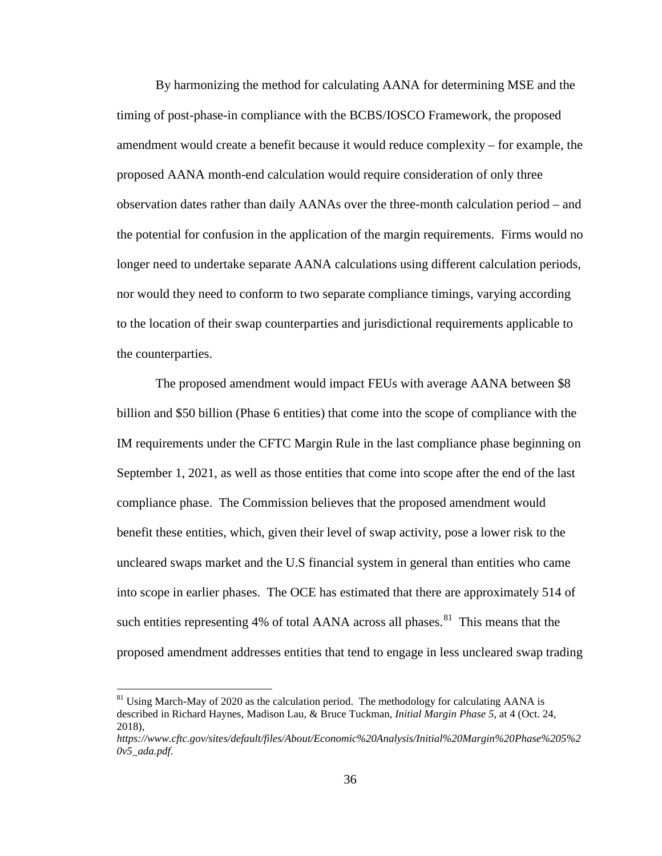By harmonizing the method for calculating AANA for determining MSE and the timing of post-phase-in compliance with the BCBS/IOSCO Framework, the proposed amendment would create a benefit because it would reduce complexity – for example, the proposed AANA month-end calculation would require consideration of only three observation dates rather than daily AANAs over the three-month calculation period – and the potential for confusion in the application of the margin requirements. Firms would no longer need to undertake separate AANA calculations using different calculation periods, nor would they need to conform to two separate compliance timings, varying according to the location of their swap counterparties and jurisdictional requirements applicable to the counterparties.

The proposed amendment would impact FEUs with average AANA between \$8 billion and \$50 billion (Phase 6 entities) that come into the scope of compliance with the IM requirements under the CFTC Margin Rule in the last compliance phase beginning on September 1, 2021, as well as those entities that come into scope after the end of the last compliance phase. The Commission believes that the proposed amendment would benefit these entities, which, given their level of swap activity, pose a lower risk to the uncleared swaps market and the U.S financial system in general than entities who came into scope in earlier phases. The OCE has estimated that there are approximately 514 of such entities representing 4% of total AANA across all phases. $81$  This means that the proposed amendment addresses entities that tend to engage in less uncleared swap trading

<span id="page-35-0"></span> $81$  Using March-May of 2020 as the calculation period. The methodology for calculating AANA is described in Richard Haynes, Madison Lau, & Bruce Tuckman, *Initial Margin Phase 5*, at 4 (Oct. 24, 2018),

*https://www.cftc.gov/sites/default/files/About/Economic%20Analysis/Initial%20Margin%20Phase%205%2 0v5\_ada.pdf*.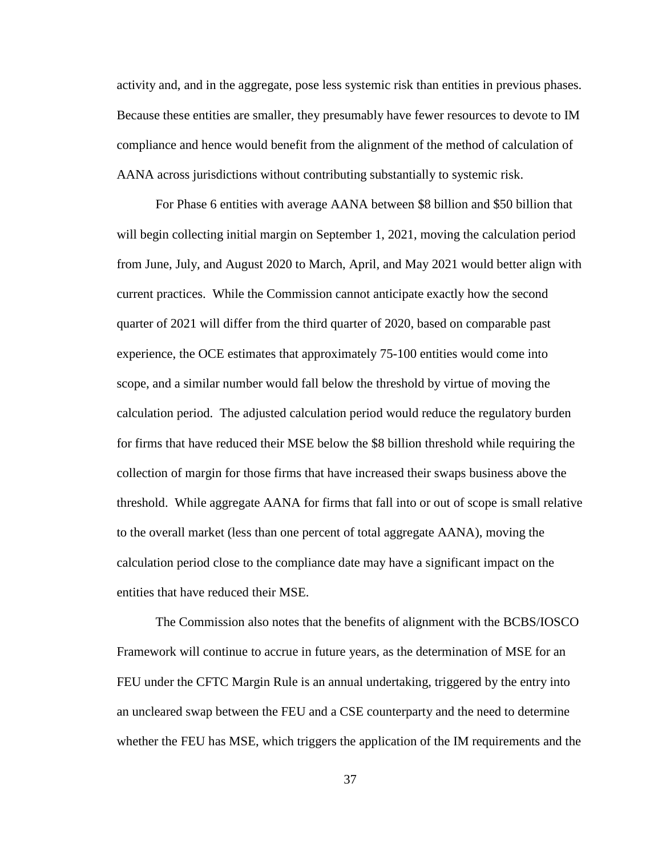activity and, and in the aggregate, pose less systemic risk than entities in previous phases. Because these entities are smaller, they presumably have fewer resources to devote to IM compliance and hence would benefit from the alignment of the method of calculation of AANA across jurisdictions without contributing substantially to systemic risk.

For Phase 6 entities with average AANA between \$8 billion and \$50 billion that will begin collecting initial margin on September 1, 2021, moving the calculation period from June, July, and August 2020 to March, April, and May 2021 would better align with current practices. While the Commission cannot anticipate exactly how the second quarter of 2021 will differ from the third quarter of 2020, based on comparable past experience, the OCE estimates that approximately 75-100 entities would come into scope, and a similar number would fall below the threshold by virtue of moving the calculation period. The adjusted calculation period would reduce the regulatory burden for firms that have reduced their MSE below the \$8 billion threshold while requiring the collection of margin for those firms that have increased their swaps business above the threshold. While aggregate AANA for firms that fall into or out of scope is small relative to the overall market (less than one percent of total aggregate AANA), moving the calculation period close to the compliance date may have a significant impact on the entities that have reduced their MSE.

The Commission also notes that the benefits of alignment with the BCBS/IOSCO Framework will continue to accrue in future years, as the determination of MSE for an FEU under the CFTC Margin Rule is an annual undertaking, triggered by the entry into an uncleared swap between the FEU and a CSE counterparty and the need to determine whether the FEU has MSE, which triggers the application of the IM requirements and the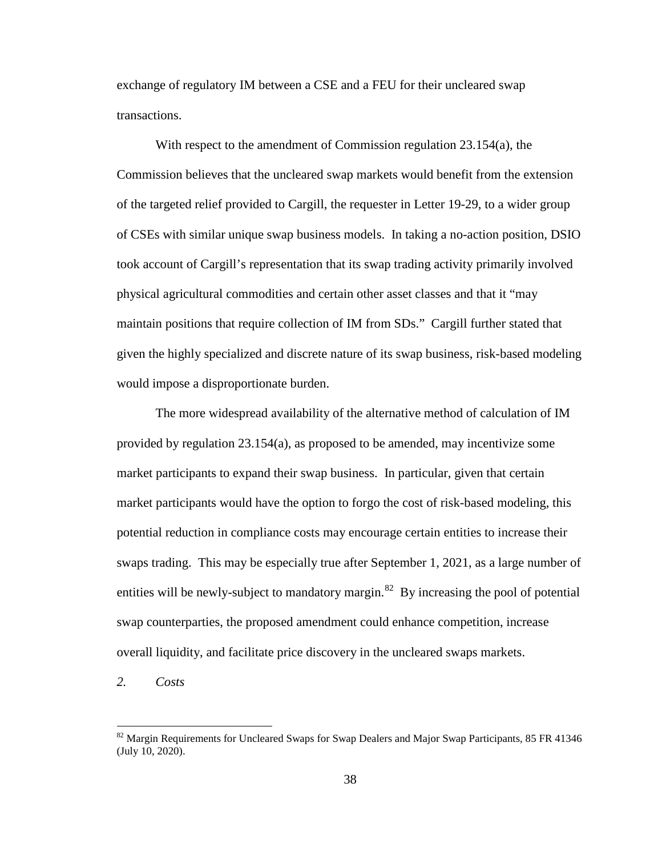exchange of regulatory IM between a CSE and a FEU for their uncleared swap transactions.

With respect to the amendment of Commission regulation 23.154(a), the Commission believes that the uncleared swap markets would benefit from the extension of the targeted relief provided to Cargill, the requester in Letter 19-29, to a wider group of CSEs with similar unique swap business models. In taking a no-action position, DSIO took account of Cargill's representation that its swap trading activity primarily involved physical agricultural commodities and certain other asset classes and that it "may maintain positions that require collection of IM from SDs." Cargill further stated that given the highly specialized and discrete nature of its swap business, risk-based modeling would impose a disproportionate burden.

The more widespread availability of the alternative method of calculation of IM provided by regulation 23.154(a), as proposed to be amended, may incentivize some market participants to expand their swap business. In particular, given that certain market participants would have the option to forgo the cost of risk-based modeling, this potential reduction in compliance costs may encourage certain entities to increase their swaps trading. This may be especially true after September 1, 2021, as a large number of entities will be newly-subject to mandatory margin.<sup>[82](#page-37-0)</sup> By increasing the pool of potential swap counterparties, the proposed amendment could enhance competition, increase overall liquidity, and facilitate price discovery in the uncleared swaps markets.

*2. Costs*

<span id="page-37-0"></span><sup>&</sup>lt;sup>82</sup> Margin Requirements for Uncleared Swaps for Swap Dealers and Major Swap Participants, 85 FR 41346 (July 10, 2020).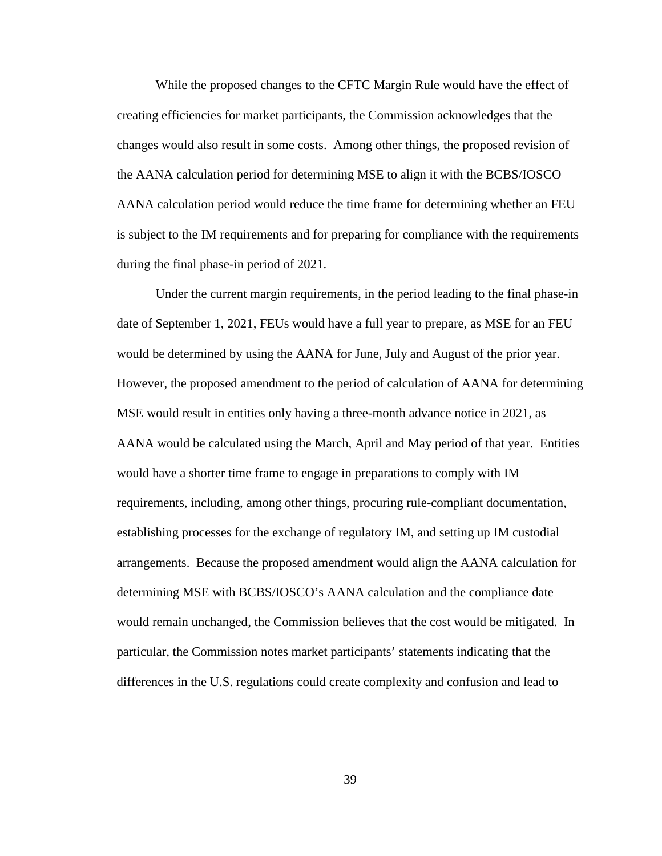While the proposed changes to the CFTC Margin Rule would have the effect of creating efficiencies for market participants, the Commission acknowledges that the changes would also result in some costs. Among other things, the proposed revision of the AANA calculation period for determining MSE to align it with the BCBS/IOSCO AANA calculation period would reduce the time frame for determining whether an FEU is subject to the IM requirements and for preparing for compliance with the requirements during the final phase-in period of 2021.

Under the current margin requirements, in the period leading to the final phase-in date of September 1, 2021, FEUs would have a full year to prepare, as MSE for an FEU would be determined by using the AANA for June, July and August of the prior year. However, the proposed amendment to the period of calculation of AANA for determining MSE would result in entities only having a three-month advance notice in 2021, as AANA would be calculated using the March, April and May period of that year. Entities would have a shorter time frame to engage in preparations to comply with IM requirements, including, among other things, procuring rule-compliant documentation, establishing processes for the exchange of regulatory IM, and setting up IM custodial arrangements. Because the proposed amendment would align the AANA calculation for determining MSE with BCBS/IOSCO's AANA calculation and the compliance date would remain unchanged, the Commission believes that the cost would be mitigated. In particular, the Commission notes market participants' statements indicating that the differences in the U.S. regulations could create complexity and confusion and lead to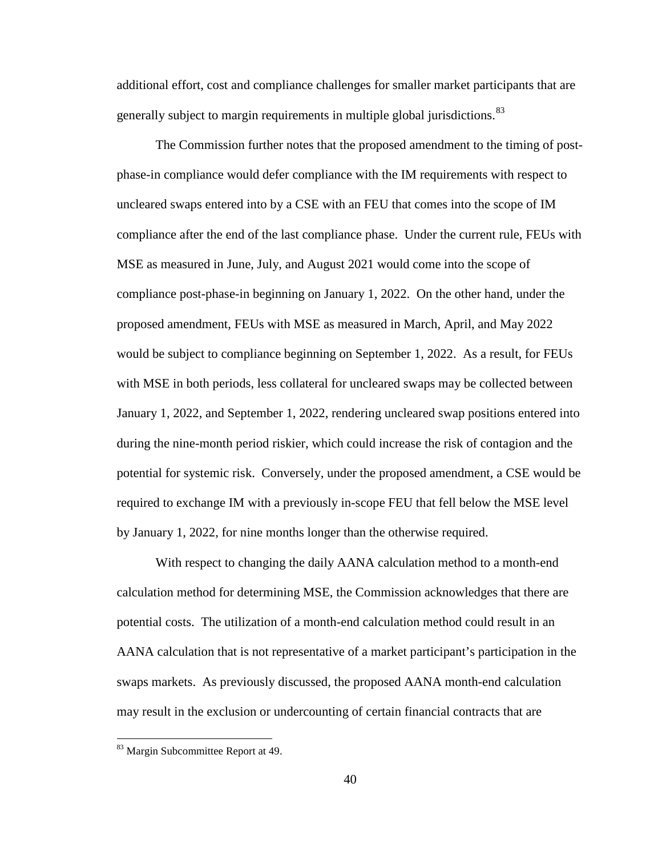additional effort, cost and compliance challenges for smaller market participants that are generally subject to margin requirements in multiple global jurisdictions.<sup>[83](#page-39-0)</sup>

The Commission further notes that the proposed amendment to the timing of postphase-in compliance would defer compliance with the IM requirements with respect to uncleared swaps entered into by a CSE with an FEU that comes into the scope of IM compliance after the end of the last compliance phase. Under the current rule, FEUs with MSE as measured in June, July, and August 2021 would come into the scope of compliance post-phase-in beginning on January 1, 2022. On the other hand, under the proposed amendment, FEUs with MSE as measured in March, April, and May 2022 would be subject to compliance beginning on September 1, 2022. As a result, for FEUs with MSE in both periods, less collateral for uncleared swaps may be collected between January 1, 2022, and September 1, 2022, rendering uncleared swap positions entered into during the nine-month period riskier, which could increase the risk of contagion and the potential for systemic risk. Conversely, under the proposed amendment, a CSE would be required to exchange IM with a previously in-scope FEU that fell below the MSE level by January 1, 2022, for nine months longer than the otherwise required.

With respect to changing the daily AANA calculation method to a month-end calculation method for determining MSE, the Commission acknowledges that there are potential costs. The utilization of a month-end calculation method could result in an AANA calculation that is not representative of a market participant's participation in the swaps markets. As previously discussed, the proposed AANA month-end calculation may result in the exclusion or undercounting of certain financial contracts that are

<span id="page-39-0"></span><sup>83</sup> Margin Subcommittee Report at 49.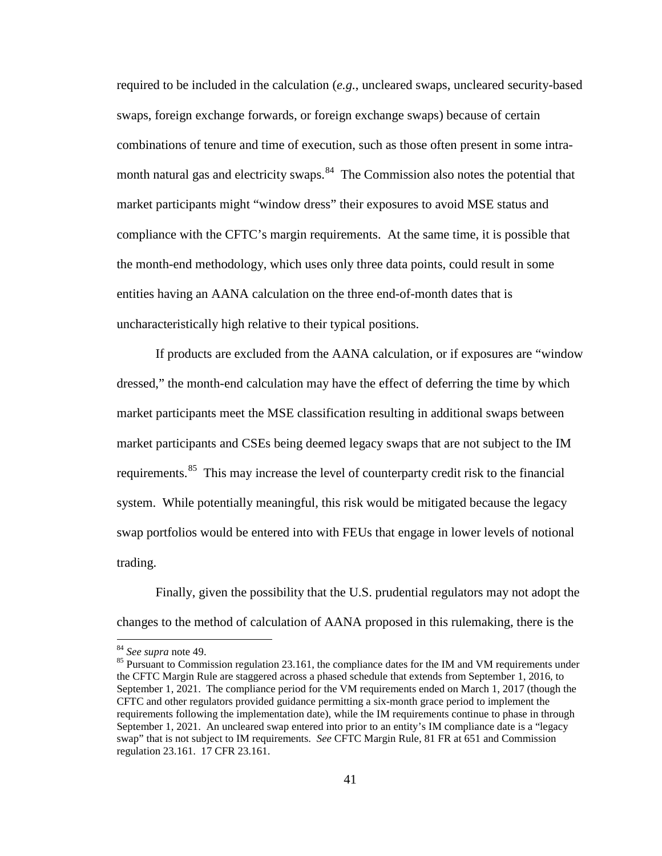required to be included in the calculation (*e.g.*, uncleared swaps, uncleared security-based swaps, foreign exchange forwards, or foreign exchange swaps) because of certain combinations of tenure and time of execution, such as those often present in some intra-month natural gas and electricity swaps.<sup>[84](#page-40-0)</sup> The Commission also notes the potential that market participants might "window dress" their exposures to avoid MSE status and compliance with the CFTC's margin requirements. At the same time, it is possible that the month-end methodology, which uses only three data points, could result in some entities having an AANA calculation on the three end-of-month dates that is uncharacteristically high relative to their typical positions.

If products are excluded from the AANA calculation, or if exposures are "window dressed," the month-end calculation may have the effect of deferring the time by which market participants meet the MSE classification resulting in additional swaps between market participants and CSEs being deemed legacy swaps that are not subject to the IM requirements.<sup>[85](#page-40-1)</sup> This may increase the level of counterparty credit risk to the financial system. While potentially meaningful, this risk would be mitigated because the legacy swap portfolios would be entered into with FEUs that engage in lower levels of notional trading.

Finally, given the possibility that the U.S. prudential regulators may not adopt the changes to the method of calculation of AANA proposed in this rulemaking, there is the

<span id="page-40-1"></span><span id="page-40-0"></span><sup>&</sup>lt;sup>84</sup> *See supra* note [49.](#page-18-4)<br><sup>85</sup> Pursuant to Commission regulation 23.161, the compliance dates for the IM and VM requirements under the CFTC Margin Rule are staggered across a phased schedule that extends from September 1, 2016, to September 1, 2021. The compliance period for the VM requirements ended on March 1, 2017 (though the CFTC and other regulators provided guidance permitting a six-month grace period to implement the requirements following the implementation date), while the IM requirements continue to phase in through September 1, 2021. An uncleared swap entered into prior to an entity's IM compliance date is a "legacy swap" that is not subject to IM requirements. *See* CFTC Margin Rule, 81 FR at 651 and Commission regulation 23.161. 17 CFR 23.161.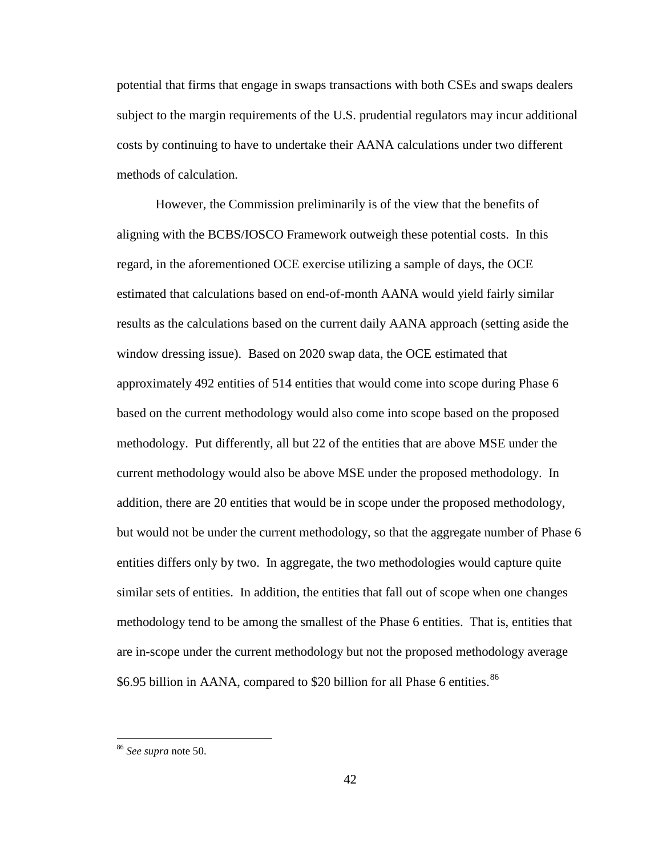potential that firms that engage in swaps transactions with both CSEs and swaps dealers subject to the margin requirements of the U.S. prudential regulators may incur additional costs by continuing to have to undertake their AANA calculations under two different methods of calculation.

However, the Commission preliminarily is of the view that the benefits of aligning with the BCBS/IOSCO Framework outweigh these potential costs. In this regard, in the aforementioned OCE exercise utilizing a sample of days, the OCE estimated that calculations based on end-of-month AANA would yield fairly similar results as the calculations based on the current daily AANA approach (setting aside the window dressing issue). Based on 2020 swap data, the OCE estimated that approximately 492 entities of 514 entities that would come into scope during Phase 6 based on the current methodology would also come into scope based on the proposed methodology. Put differently, all but 22 of the entities that are above MSE under the current methodology would also be above MSE under the proposed methodology. In addition, there are 20 entities that would be in scope under the proposed methodology, but would not be under the current methodology, so that the aggregate number of Phase 6 entities differs only by two. In aggregate, the two methodologies would capture quite similar sets of entities. In addition, the entities that fall out of scope when one changes methodology tend to be among the smallest of the Phase 6 entities. That is, entities that are in-scope under the current methodology but not the proposed methodology average \$6.95 billion in AANA, compared to \$20 billion for all Phase 6 entities.<sup>[86](#page-41-0)</sup>

<span id="page-41-0"></span> <sup>86</sup> *See supra* note [50.](#page-19-1)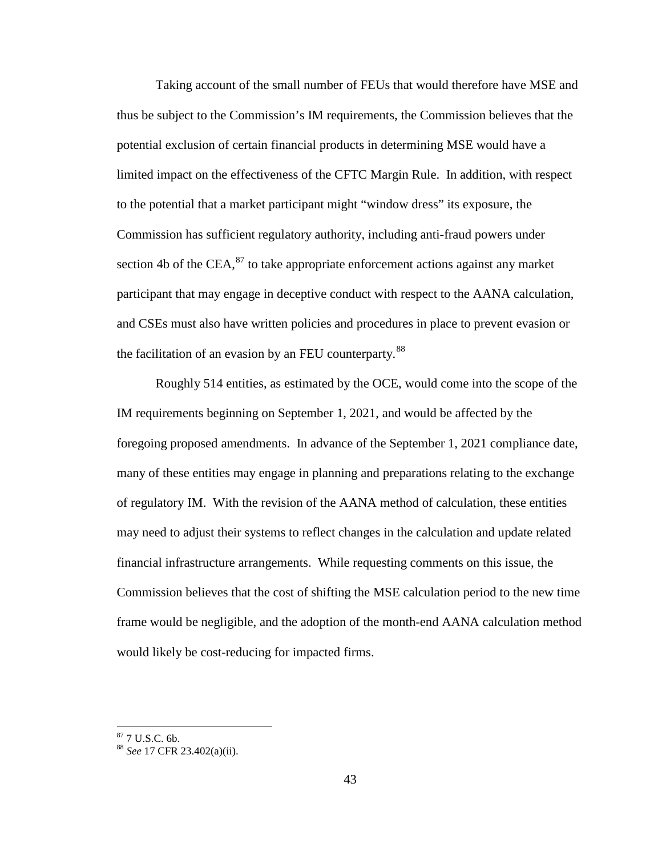Taking account of the small number of FEUs that would therefore have MSE and thus be subject to the Commission's IM requirements, the Commission believes that the potential exclusion of certain financial products in determining MSE would have a limited impact on the effectiveness of the CFTC Margin Rule. In addition, with respect to the potential that a market participant might "window dress" its exposure, the Commission has sufficient regulatory authority, including anti-fraud powers under section 4b of the CEA, $^{87}$  $^{87}$  $^{87}$  to take appropriate enforcement actions against any market participant that may engage in deceptive conduct with respect to the AANA calculation, and CSEs must also have written policies and procedures in place to prevent evasion or the facilitation of an evasion by an FEU counterparty.<sup>88</sup>

Roughly 514 entities, as estimated by the OCE, would come into the scope of the IM requirements beginning on September 1, 2021, and would be affected by the foregoing proposed amendments. In advance of the September 1, 2021 compliance date, many of these entities may engage in planning and preparations relating to the exchange of regulatory IM. With the revision of the AANA method of calculation, these entities may need to adjust their systems to reflect changes in the calculation and update related financial infrastructure arrangements. While requesting comments on this issue, the Commission believes that the cost of shifting the MSE calculation period to the new time frame would be negligible, and the adoption of the month-end AANA calculation method would likely be cost-reducing for impacted firms.

<span id="page-42-1"></span><span id="page-42-0"></span><sup>87</sup> 7 U.S.C. 6b. <sup>88</sup> *See* 17 CFR 23.402(a)(ii).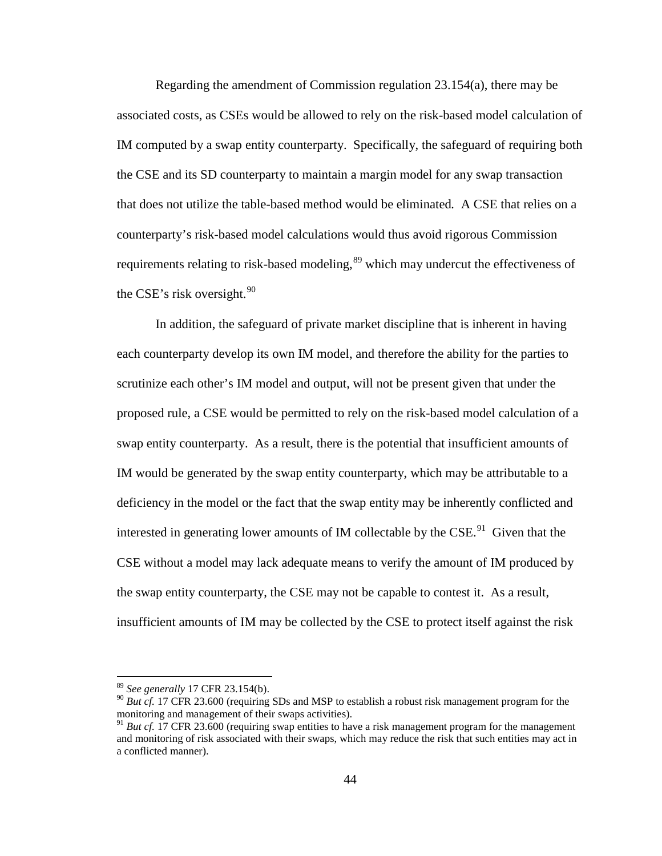Regarding the amendment of Commission regulation 23.154(a), there may be associated costs, as CSEs would be allowed to rely on the risk-based model calculation of IM computed by a swap entity counterparty. Specifically, the safeguard of requiring both the CSE and its SD counterparty to maintain a margin model for any swap transaction that does not utilize the table-based method would be eliminated*.* A CSE that relies on a counterparty's risk-based model calculations would thus avoid rigorous Commission requirements relating to risk-based modeling,<sup>[89](#page-43-0)</sup> which may undercut the effectiveness of the CSE's risk oversight. $90$ 

In addition, the safeguard of private market discipline that is inherent in having each counterparty develop its own IM model, and therefore the ability for the parties to scrutinize each other's IM model and output, will not be present given that under the proposed rule, a CSE would be permitted to rely on the risk-based model calculation of a swap entity counterparty. As a result, there is the potential that insufficient amounts of IM would be generated by the swap entity counterparty, which may be attributable to a deficiency in the model or the fact that the swap entity may be inherently conflicted and interested in generating lower amounts of IM collectable by the CSE.<sup>91</sup> Given that the CSE without a model may lack adequate means to verify the amount of IM produced by the swap entity counterparty, the CSE may not be capable to contest it. As a result, insufficient amounts of IM may be collected by the CSE to protect itself against the risk

<span id="page-43-0"></span> <sup>89</sup> *See generally* 17 CFR 23.154(b).

<span id="page-43-1"></span><sup>&</sup>lt;sup>90</sup> *But cf.* 17 CFR 23.600 (requiring SDs and MSP to establish a robust risk management program for the monitoring and management of their swaps activities).

<span id="page-43-2"></span><sup>&</sup>lt;sup>91</sup> *But cf.* 17 CFR 23.600 (requiring swap entities to have a risk management program for the management and monitoring of risk associated with their swaps, which may reduce the risk that such entities may act in a conflicted manner).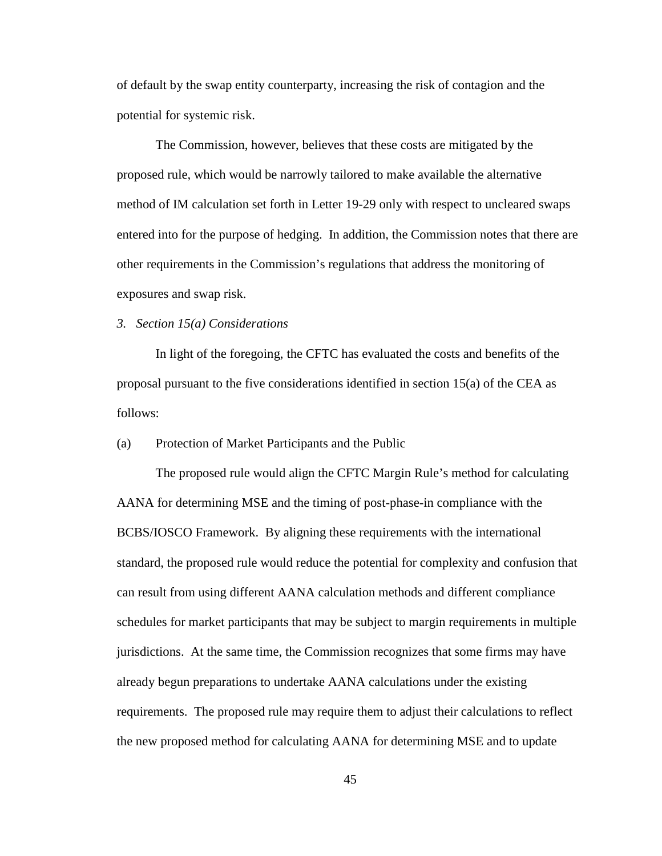of default by the swap entity counterparty, increasing the risk of contagion and the potential for systemic risk.

The Commission, however, believes that these costs are mitigated by the proposed rule, which would be narrowly tailored to make available the alternative method of IM calculation set forth in Letter 19-29 only with respect to uncleared swaps entered into for the purpose of hedging. In addition, the Commission notes that there are other requirements in the Commission's regulations that address the monitoring of exposures and swap risk.

## *3. Section 15(a) Considerations*

In light of the foregoing, the CFTC has evaluated the costs and benefits of the proposal pursuant to the five considerations identified in section 15(a) of the CEA as follows:

(a) Protection of Market Participants and the Public

The proposed rule would align the CFTC Margin Rule's method for calculating AANA for determining MSE and the timing of post-phase-in compliance with the BCBS/IOSCO Framework. By aligning these requirements with the international standard, the proposed rule would reduce the potential for complexity and confusion that can result from using different AANA calculation methods and different compliance schedules for market participants that may be subject to margin requirements in multiple jurisdictions. At the same time, the Commission recognizes that some firms may have already begun preparations to undertake AANA calculations under the existing requirements. The proposed rule may require them to adjust their calculations to reflect the new proposed method for calculating AANA for determining MSE and to update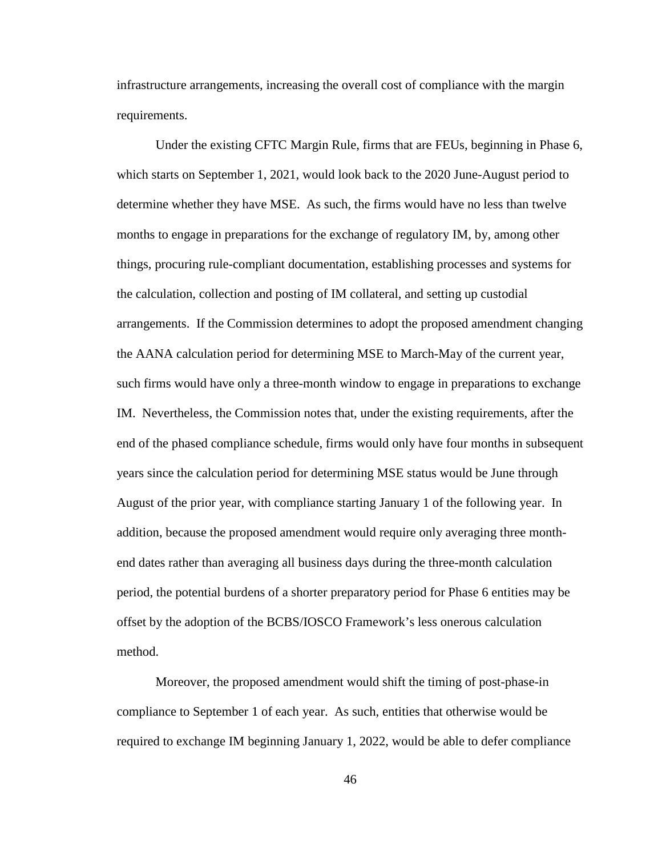infrastructure arrangements, increasing the overall cost of compliance with the margin requirements.

Under the existing CFTC Margin Rule, firms that are FEUs, beginning in Phase 6, which starts on September 1, 2021, would look back to the 2020 June-August period to determine whether they have MSE. As such, the firms would have no less than twelve months to engage in preparations for the exchange of regulatory IM, by, among other things, procuring rule-compliant documentation, establishing processes and systems for the calculation, collection and posting of IM collateral, and setting up custodial arrangements. If the Commission determines to adopt the proposed amendment changing the AANA calculation period for determining MSE to March-May of the current year, such firms would have only a three-month window to engage in preparations to exchange IM. Nevertheless, the Commission notes that, under the existing requirements, after the end of the phased compliance schedule, firms would only have four months in subsequent years since the calculation period for determining MSE status would be June through August of the prior year, with compliance starting January 1 of the following year. In addition, because the proposed amendment would require only averaging three monthend dates rather than averaging all business days during the three-month calculation period, the potential burdens of a shorter preparatory period for Phase 6 entities may be offset by the adoption of the BCBS/IOSCO Framework's less onerous calculation method.

Moreover, the proposed amendment would shift the timing of post-phase-in compliance to September 1 of each year. As such, entities that otherwise would be required to exchange IM beginning January 1, 2022, would be able to defer compliance

46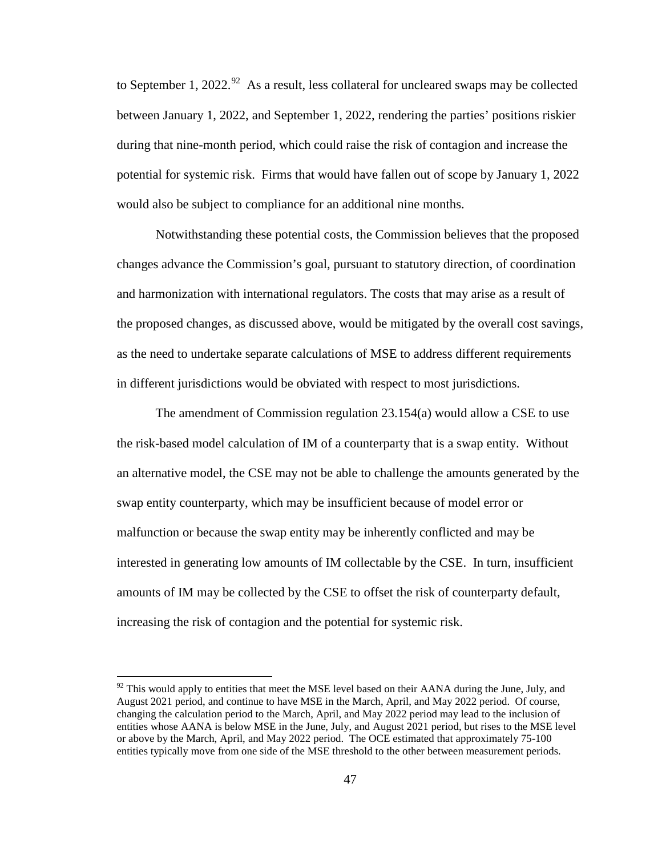to September 1, 2022.<sup>[92](#page-46-0)</sup> As a result, less collateral for uncleared swaps may be collected between January 1, 2022, and September 1, 2022, rendering the parties' positions riskier during that nine-month period, which could raise the risk of contagion and increase the potential for systemic risk. Firms that would have fallen out of scope by January 1, 2022 would also be subject to compliance for an additional nine months.

Notwithstanding these potential costs, the Commission believes that the proposed changes advance the Commission's goal, pursuant to statutory direction, of coordination and harmonization with international regulators. The costs that may arise as a result of the proposed changes, as discussed above, would be mitigated by the overall cost savings, as the need to undertake separate calculations of MSE to address different requirements in different jurisdictions would be obviated with respect to most jurisdictions.

The amendment of Commission regulation 23.154(a) would allow a CSE to use the risk-based model calculation of IM of a counterparty that is a swap entity. Without an alternative model, the CSE may not be able to challenge the amounts generated by the swap entity counterparty, which may be insufficient because of model error or malfunction or because the swap entity may be inherently conflicted and may be interested in generating low amounts of IM collectable by the CSE. In turn, insufficient amounts of IM may be collected by the CSE to offset the risk of counterparty default, increasing the risk of contagion and the potential for systemic risk.

<span id="page-46-0"></span> $92$  This would apply to entities that meet the MSE level based on their AANA during the June, July, and August 2021 period, and continue to have MSE in the March, April, and May 2022 period. Of course, changing the calculation period to the March, April, and May 2022 period may lead to the inclusion of entities whose AANA is below MSE in the June, July, and August 2021 period, but rises to the MSE level or above by the March, April, and May 2022 period. The OCE estimated that approximately 75-100 entities typically move from one side of the MSE threshold to the other between measurement periods.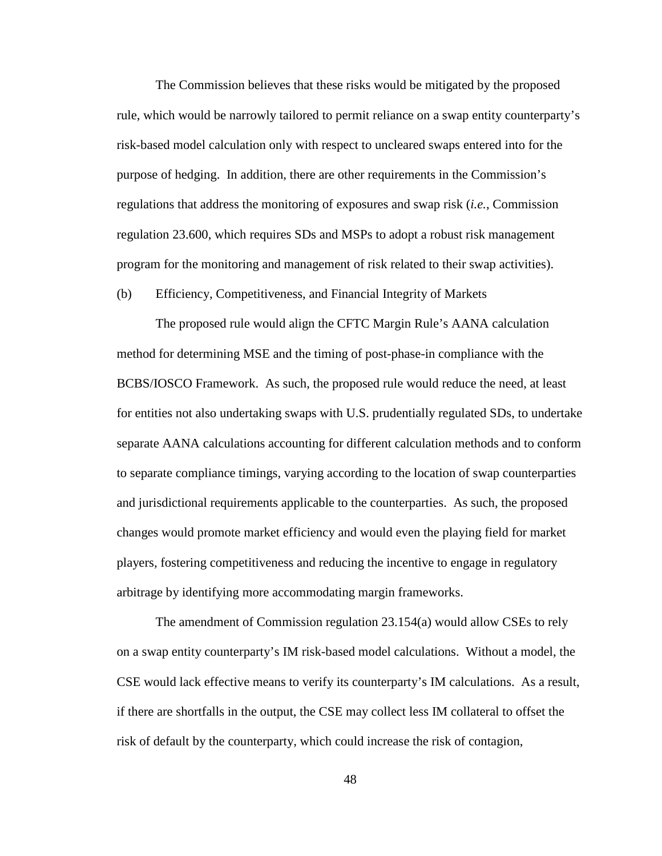The Commission believes that these risks would be mitigated by the proposed rule, which would be narrowly tailored to permit reliance on a swap entity counterparty's risk-based model calculation only with respect to uncleared swaps entered into for the purpose of hedging. In addition, there are other requirements in the Commission's regulations that address the monitoring of exposures and swap risk (*i.e.*, Commission regulation 23.600, which requires SDs and MSPs to adopt a robust risk management program for the monitoring and management of risk related to their swap activities).

(b) Efficiency, Competitiveness, and Financial Integrity of Markets

The proposed rule would align the CFTC Margin Rule's AANA calculation method for determining MSE and the timing of post-phase-in compliance with the BCBS/IOSCO Framework. As such, the proposed rule would reduce the need, at least for entities not also undertaking swaps with U.S. prudentially regulated SDs, to undertake separate AANA calculations accounting for different calculation methods and to conform to separate compliance timings, varying according to the location of swap counterparties and jurisdictional requirements applicable to the counterparties. As such, the proposed changes would promote market efficiency and would even the playing field for market players, fostering competitiveness and reducing the incentive to engage in regulatory arbitrage by identifying more accommodating margin frameworks.

The amendment of Commission regulation 23.154(a) would allow CSEs to rely on a swap entity counterparty's IM risk-based model calculations. Without a model, the CSE would lack effective means to verify its counterparty's IM calculations. As a result, if there are shortfalls in the output, the CSE may collect less IM collateral to offset the risk of default by the counterparty, which could increase the risk of contagion,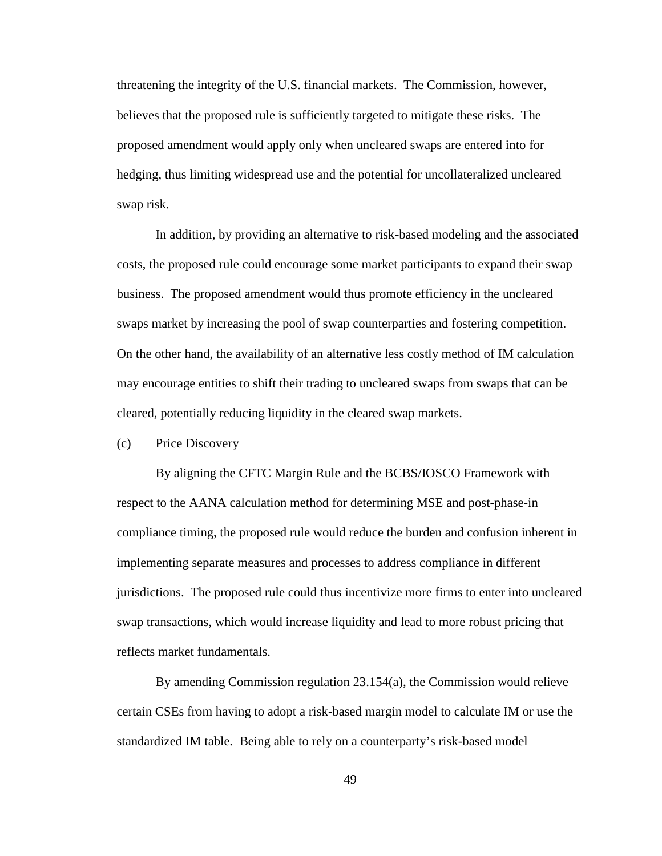threatening the integrity of the U.S. financial markets. The Commission, however, believes that the proposed rule is sufficiently targeted to mitigate these risks. The proposed amendment would apply only when uncleared swaps are entered into for hedging, thus limiting widespread use and the potential for uncollateralized uncleared swap risk.

In addition, by providing an alternative to risk-based modeling and the associated costs, the proposed rule could encourage some market participants to expand their swap business. The proposed amendment would thus promote efficiency in the uncleared swaps market by increasing the pool of swap counterparties and fostering competition. On the other hand, the availability of an alternative less costly method of IM calculation may encourage entities to shift their trading to uncleared swaps from swaps that can be cleared, potentially reducing liquidity in the cleared swap markets.

## (c) Price Discovery

By aligning the CFTC Margin Rule and the BCBS/IOSCO Framework with respect to the AANA calculation method for determining MSE and post-phase-in compliance timing, the proposed rule would reduce the burden and confusion inherent in implementing separate measures and processes to address compliance in different jurisdictions. The proposed rule could thus incentivize more firms to enter into uncleared swap transactions, which would increase liquidity and lead to more robust pricing that reflects market fundamentals.

By amending Commission regulation 23.154(a), the Commission would relieve certain CSEs from having to adopt a risk-based margin model to calculate IM or use the standardized IM table. Being able to rely on a counterparty's risk-based model

49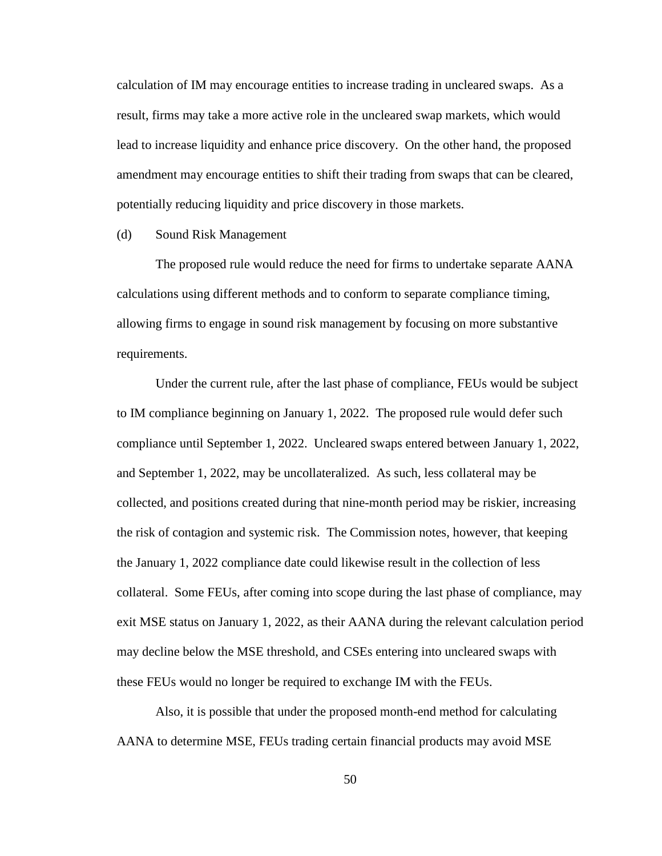calculation of IM may encourage entities to increase trading in uncleared swaps. As a result, firms may take a more active role in the uncleared swap markets, which would lead to increase liquidity and enhance price discovery. On the other hand, the proposed amendment may encourage entities to shift their trading from swaps that can be cleared, potentially reducing liquidity and price discovery in those markets.

### (d) Sound Risk Management

The proposed rule would reduce the need for firms to undertake separate AANA calculations using different methods and to conform to separate compliance timing, allowing firms to engage in sound risk management by focusing on more substantive requirements.

Under the current rule, after the last phase of compliance, FEUs would be subject to IM compliance beginning on January 1, 2022. The proposed rule would defer such compliance until September 1, 2022. Uncleared swaps entered between January 1, 2022, and September 1, 2022, may be uncollateralized. As such, less collateral may be collected, and positions created during that nine-month period may be riskier, increasing the risk of contagion and systemic risk. The Commission notes, however, that keeping the January 1, 2022 compliance date could likewise result in the collection of less collateral. Some FEUs, after coming into scope during the last phase of compliance, may exit MSE status on January 1, 2022, as their AANA during the relevant calculation period may decline below the MSE threshold, and CSEs entering into uncleared swaps with these FEUs would no longer be required to exchange IM with the FEUs.

Also, it is possible that under the proposed month-end method for calculating AANA to determine MSE, FEUs trading certain financial products may avoid MSE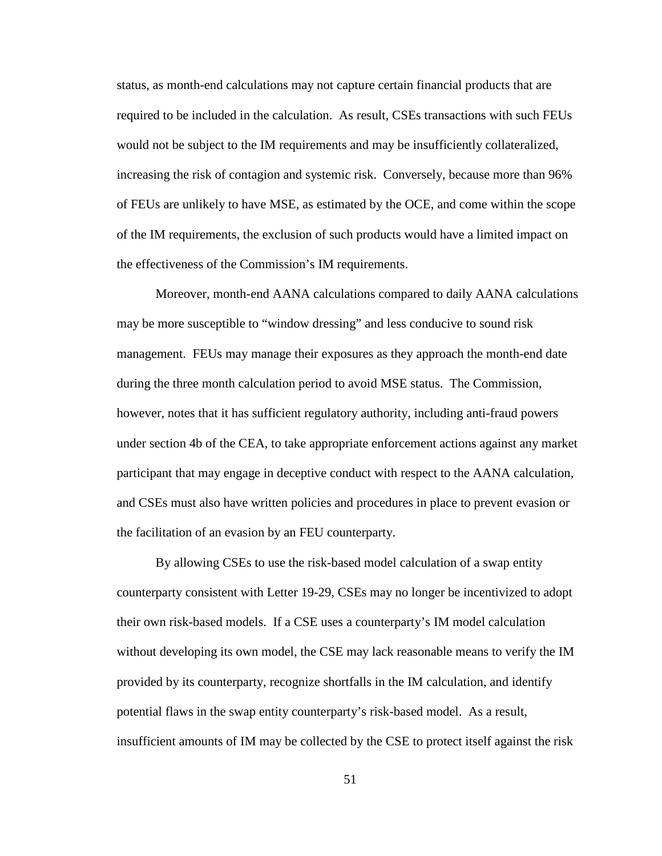status, as month-end calculations may not capture certain financial products that are required to be included in the calculation. As result, CSEs transactions with such FEUs would not be subject to the IM requirements and may be insufficiently collateralized, increasing the risk of contagion and systemic risk. Conversely, because more than 96% of FEUs are unlikely to have MSE, as estimated by the OCE, and come within the scope of the IM requirements, the exclusion of such products would have a limited impact on the effectiveness of the Commission's IM requirements.

Moreover, month-end AANA calculations compared to daily AANA calculations may be more susceptible to "window dressing" and less conducive to sound risk management. FEUs may manage their exposures as they approach the month-end date during the three month calculation period to avoid MSE status. The Commission, however, notes that it has sufficient regulatory authority, including anti-fraud powers under section 4b of the CEA, to take appropriate enforcement actions against any market participant that may engage in deceptive conduct with respect to the AANA calculation, and CSEs must also have written policies and procedures in place to prevent evasion or the facilitation of an evasion by an FEU counterparty.

By allowing CSEs to use the risk-based model calculation of a swap entity counterparty consistent with Letter 19-29, CSEs may no longer be incentivized to adopt their own risk-based models. If a CSE uses a counterparty's IM model calculation without developing its own model, the CSE may lack reasonable means to verify the IM provided by its counterparty, recognize shortfalls in the IM calculation, and identify potential flaws in the swap entity counterparty's risk-based model. As a result, insufficient amounts of IM may be collected by the CSE to protect itself against the risk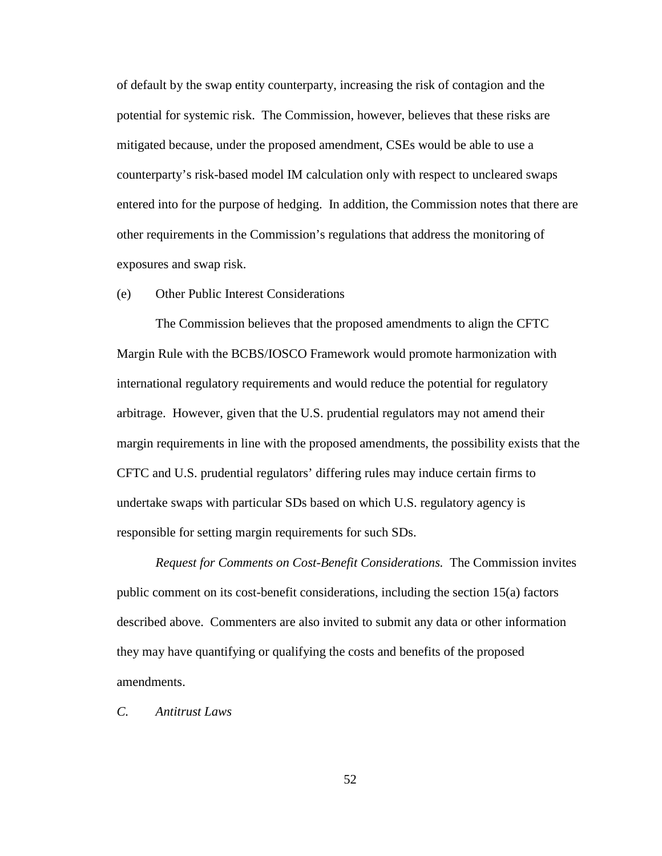of default by the swap entity counterparty, increasing the risk of contagion and the potential for systemic risk. The Commission, however, believes that these risks are mitigated because, under the proposed amendment, CSEs would be able to use a counterparty's risk-based model IM calculation only with respect to uncleared swaps entered into for the purpose of hedging. In addition, the Commission notes that there are other requirements in the Commission's regulations that address the monitoring of exposures and swap risk.

## (e) Other Public Interest Considerations

The Commission believes that the proposed amendments to align the CFTC Margin Rule with the BCBS/IOSCO Framework would promote harmonization with international regulatory requirements and would reduce the potential for regulatory arbitrage. However, given that the U.S. prudential regulators may not amend their margin requirements in line with the proposed amendments, the possibility exists that the CFTC and U.S. prudential regulators' differing rules may induce certain firms to undertake swaps with particular SDs based on which U.S. regulatory agency is responsible for setting margin requirements for such SDs.

*Request for Comments on Cost-Benefit Considerations.* The Commission invites public comment on its cost-benefit considerations, including the section 15(a) factors described above. Commenters are also invited to submit any data or other information they may have quantifying or qualifying the costs and benefits of the proposed amendments.

*C. Antitrust Laws*

52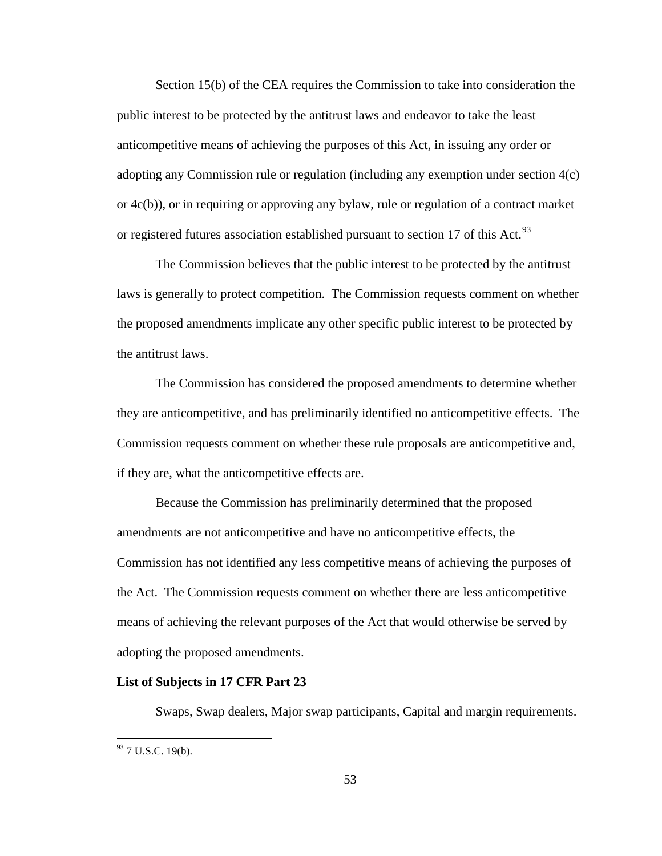Section 15(b) of the CEA requires the Commission to take into consideration the public interest to be protected by the antitrust laws and endeavor to take the least anticompetitive means of achieving the purposes of this Act, in issuing any order or adopting any Commission rule or regulation (including any exemption under section 4(c) or 4c(b)), or in requiring or approving any bylaw, rule or regulation of a contract market or registered futures association established pursuant to section 17 of this Act.<sup>[93](#page-52-0)</sup>

The Commission believes that the public interest to be protected by the antitrust laws is generally to protect competition. The Commission requests comment on whether the proposed amendments implicate any other specific public interest to be protected by the antitrust laws.

The Commission has considered the proposed amendments to determine whether they are anticompetitive, and has preliminarily identified no anticompetitive effects. The Commission requests comment on whether these rule proposals are anticompetitive and, if they are, what the anticompetitive effects are.

Because the Commission has preliminarily determined that the proposed amendments are not anticompetitive and have no anticompetitive effects, the Commission has not identified any less competitive means of achieving the purposes of the Act. The Commission requests comment on whether there are less anticompetitive means of achieving the relevant purposes of the Act that would otherwise be served by adopting the proposed amendments.

#### **List of Subjects in 17 CFR Part 23**

Swaps, Swap dealers, Major swap participants, Capital and margin requirements.

<span id="page-52-0"></span> $93$  7 U.S.C. 19(b).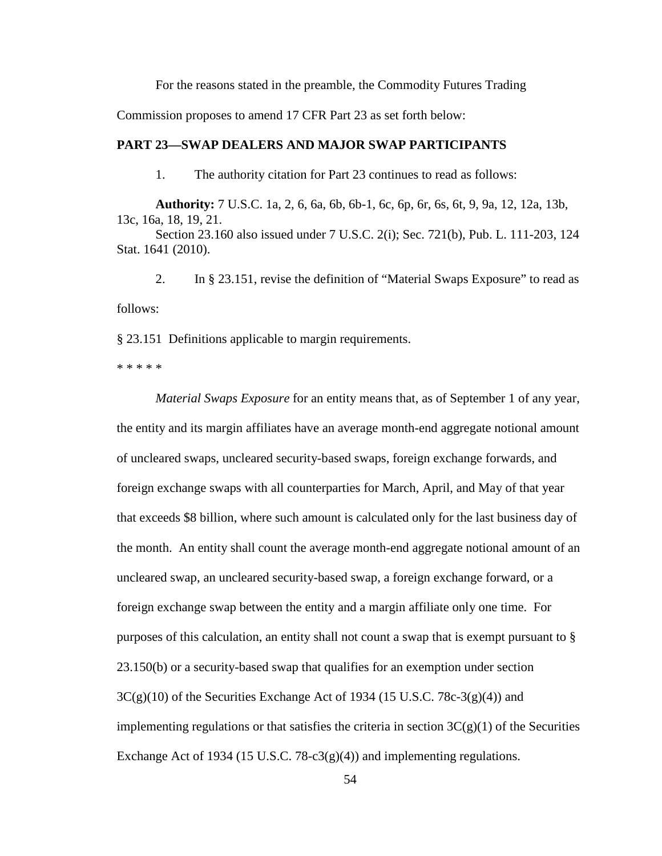For the reasons stated in the preamble, the Commodity Futures Trading

Commission proposes to amend 17 CFR Part 23 as set forth below:

## **PART 23—SWAP DEALERS AND MAJOR SWAP PARTICIPANTS**

1. The authority citation for Part 23 continues to read as follows:

**Authority:** 7 U.S.C. 1a, 2, 6, 6a, 6b, 6b-1, 6c, 6p, 6r, 6s, 6t, 9, 9a, 12, 12a, 13b, 13c, 16a, 18, 19, 21.

Section 23.160 also issued under 7 U.S.C. 2(i); Sec. 721(b), Pub. L. 111-203, 124 Stat. 1641 (2010).

2. In § 23.151, revise the definition of "Material Swaps Exposure" to read as follows:

§ 23.151 Definitions applicable to margin requirements.

\* \* \* \* \*

*Material Swaps Exposure* for an entity means that, as of September 1 of any year, the entity and its margin affiliates have an average month-end aggregate notional amount of uncleared swaps, uncleared security-based swaps, foreign exchange forwards, and foreign exchange swaps with all counterparties for March, April, and May of that year that exceeds \$8 billion, where such amount is calculated only for the last business day of the month. An entity shall count the average month-end aggregate notional amount of an uncleared swap, an uncleared security-based swap, a foreign exchange forward, or a foreign exchange swap between the entity and a margin affiliate only one time. For purposes of this calculation, an entity shall not count a swap that is exempt pursuant to § 23.150(b) or a security-based swap that qualifies for an exemption under section  $3C(g)(10)$  of the Securities Exchange Act of 1934 (15 U.S.C. 78c-3(g)(4)) and implementing regulations or that satisfies the criteria in section  $3C(g)(1)$  of the Securities Exchange Act of 1934 (15 U.S.C.  $78-c3(g)(4)$ ) and implementing regulations.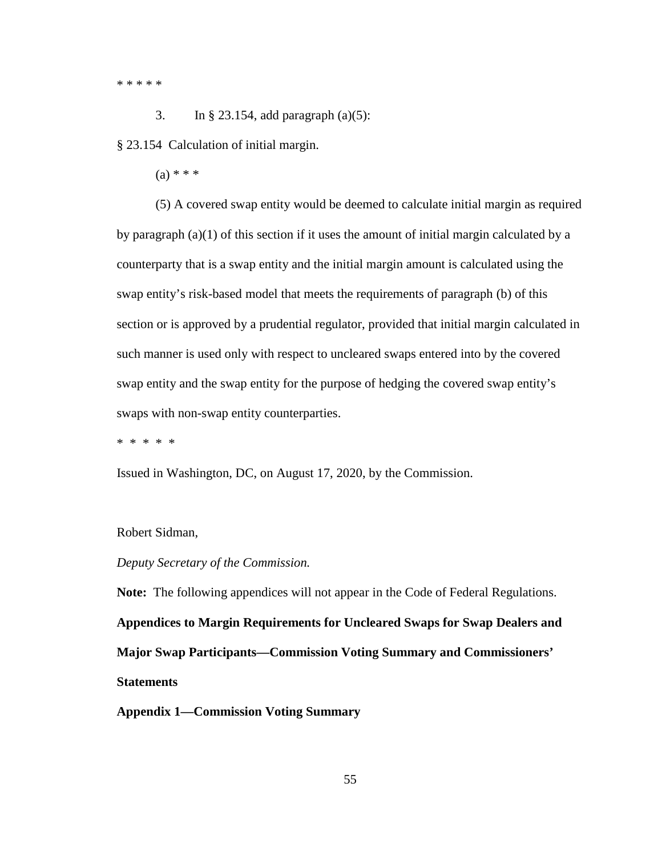\* \* \* \* \*

3. In § 23.154, add paragraph (a)(5):

§ 23.154 Calculation of initial margin.

 $(a) * * * *$ 

(5) A covered swap entity would be deemed to calculate initial margin as required by paragraph (a)(1) of this section if it uses the amount of initial margin calculated by a counterparty that is a swap entity and the initial margin amount is calculated using the swap entity's risk-based model that meets the requirements of paragraph (b) of this section or is approved by a prudential regulator, provided that initial margin calculated in such manner is used only with respect to uncleared swaps entered into by the covered swap entity and the swap entity for the purpose of hedging the covered swap entity's swaps with non-swap entity counterparties.

\* \* \* \* \*

Issued in Washington, DC, on August 17, 2020, by the Commission.

#### Robert Sidman,

#### *Deputy Secretary of the Commission.*

**Note:** The following appendices will not appear in the Code of Federal Regulations. **Appendices to Margin Requirements for Uncleared Swaps for Swap Dealers and Major Swap Participants—Commission Voting Summary and Commissioners' Statements**

**Appendix 1—Commission Voting Summary**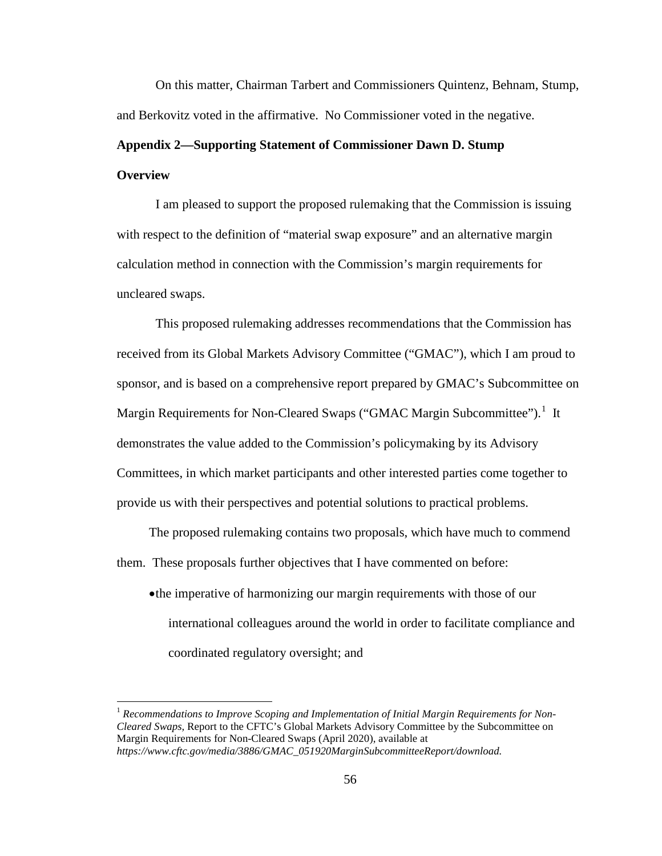On this matter, Chairman Tarbert and Commissioners Quintenz, Behnam, Stump, and Berkovitz voted in the affirmative. No Commissioner voted in the negative.

# **Appendix 2—Supporting Statement of Commissioner Dawn D. Stump Overview**

I am pleased to support the proposed rulemaking that the Commission is issuing with respect to the definition of "material swap exposure" and an alternative margin calculation method in connection with the Commission's margin requirements for uncleared swaps.

This proposed rulemaking addresses recommendations that the Commission has received from its Global Markets Advisory Committee ("GMAC"), which I am proud to sponsor, and is based on a comprehensive report prepared by GMAC's Subcommittee on Margin Requirements for Non-Cleared Swaps ("GMAC Margin Subcommittee").<sup>[1](#page-55-0)</sup> It demonstrates the value added to the Commission's policymaking by its Advisory Committees, in which market participants and other interested parties come together to provide us with their perspectives and potential solutions to practical problems.

The proposed rulemaking contains two proposals, which have much to commend them. These proposals further objectives that I have commented on before:

•the imperative of harmonizing our margin requirements with those of our international colleagues around the world in order to facilitate compliance and coordinated regulatory oversight; and

<span id="page-55-0"></span><sup>&</sup>lt;sup>1</sup> Recommendations to Improve Scoping and Implementation of Initial Margin Requirements for Non-*Cleared Swaps,* Report to the CFTC's Global Markets Advisory Committee by the Subcommittee on Margin Requirements for Non-Cleared Swaps (April 2020), available at *https://www.cftc.gov/media/3886/GMAC\_051920MarginSubcommitteeReport/download.*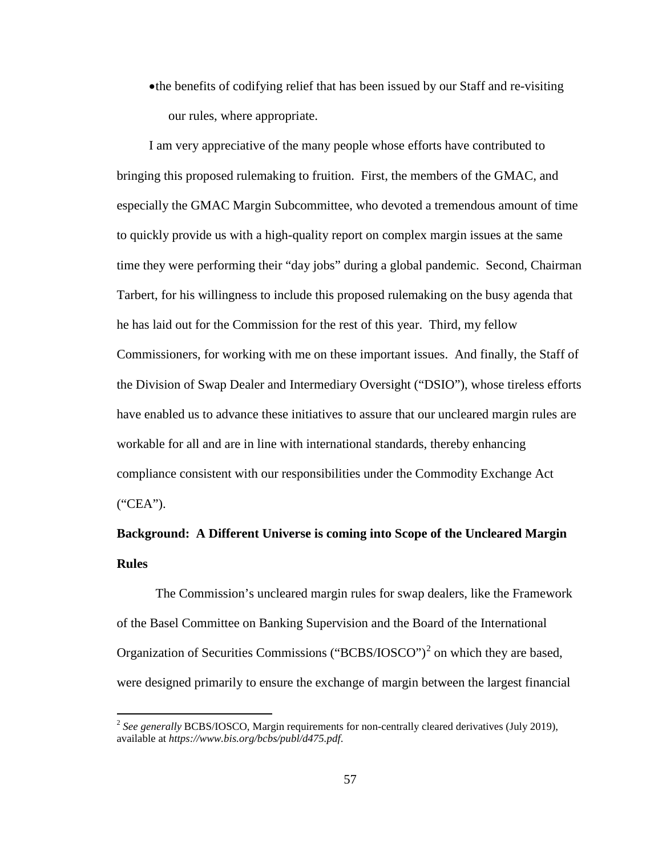•the benefits of codifying relief that has been issued by our Staff and re-visiting our rules, where appropriate.

I am very appreciative of the many people whose efforts have contributed to bringing this proposed rulemaking to fruition. First, the members of the GMAC, and especially the GMAC Margin Subcommittee, who devoted a tremendous amount of time to quickly provide us with a high-quality report on complex margin issues at the same time they were performing their "day jobs" during a global pandemic. Second, Chairman Tarbert, for his willingness to include this proposed rulemaking on the busy agenda that he has laid out for the Commission for the rest of this year. Third, my fellow Commissioners, for working with me on these important issues. And finally, the Staff of the Division of Swap Dealer and Intermediary Oversight ("DSIO"), whose tireless efforts have enabled us to advance these initiatives to assure that our uncleared margin rules are workable for all and are in line with international standards, thereby enhancing compliance consistent with our responsibilities under the Commodity Exchange Act ("CEA").

## **Background: A Different Universe is coming into Scope of the Uncleared Margin Rules**

The Commission's uncleared margin rules for swap dealers, like the Framework of the Basel Committee on Banking Supervision and the Board of the International Organization of Securities Commissions ("BCBS/IOSCO")<sup>[2](#page-56-0)</sup> on which they are based, were designed primarily to ensure the exchange of margin between the largest financial

<span id="page-56-0"></span><sup>&</sup>lt;sup>2</sup> See generally BCBS/IOSCO, Margin requirements for non-centrally cleared derivatives (July 2019), available at *https://www.bis.org/bcbs/publ/d475.pdf*.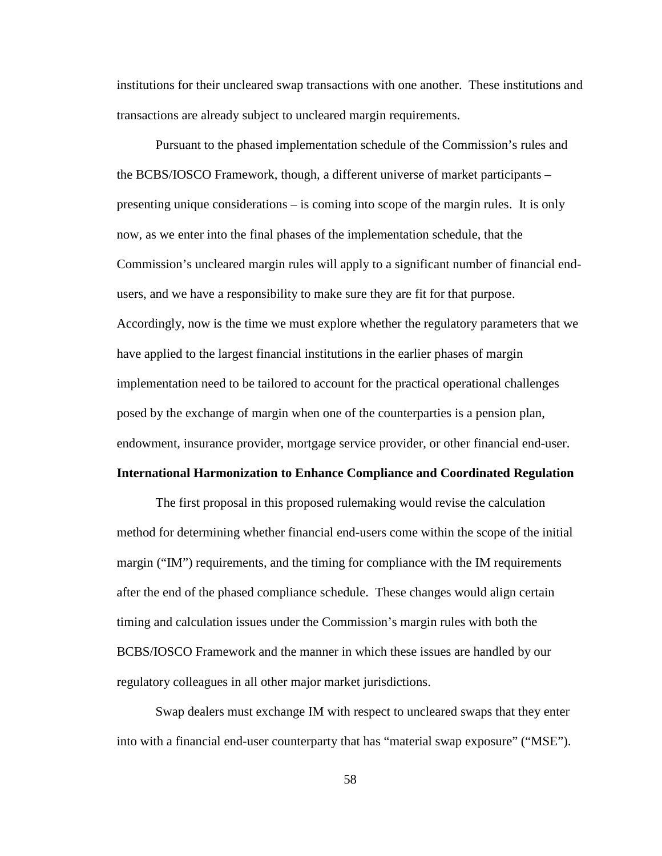institutions for their uncleared swap transactions with one another. These institutions and transactions are already subject to uncleared margin requirements.

Pursuant to the phased implementation schedule of the Commission's rules and the BCBS/IOSCO Framework, though, a different universe of market participants – presenting unique considerations – is coming into scope of the margin rules. It is only now, as we enter into the final phases of the implementation schedule, that the Commission's uncleared margin rules will apply to a significant number of financial endusers, and we have a responsibility to make sure they are fit for that purpose. Accordingly, now is the time we must explore whether the regulatory parameters that we have applied to the largest financial institutions in the earlier phases of margin implementation need to be tailored to account for the practical operational challenges posed by the exchange of margin when one of the counterparties is a pension plan, endowment, insurance provider, mortgage service provider, or other financial end-user.

#### **International Harmonization to Enhance Compliance and Coordinated Regulation**

The first proposal in this proposed rulemaking would revise the calculation method for determining whether financial end-users come within the scope of the initial margin ("IM") requirements, and the timing for compliance with the IM requirements after the end of the phased compliance schedule. These changes would align certain timing and calculation issues under the Commission's margin rules with both the BCBS/IOSCO Framework and the manner in which these issues are handled by our regulatory colleagues in all other major market jurisdictions.

Swap dealers must exchange IM with respect to uncleared swaps that they enter into with a financial end-user counterparty that has "material swap exposure" ("MSE").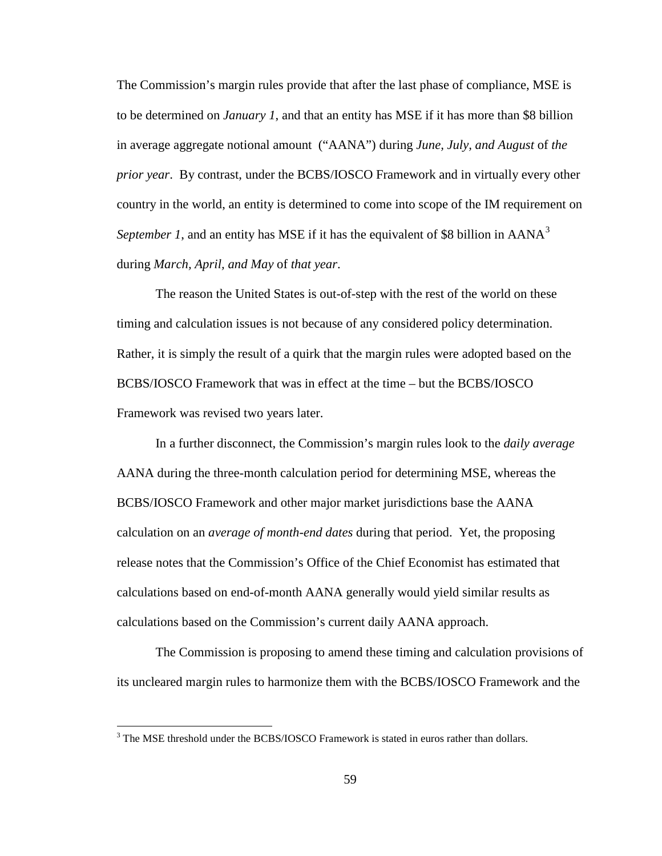The Commission's margin rules provide that after the last phase of compliance, MSE is to be determined on *January 1*, and that an entity has MSE if it has more than \$8 billion in average aggregate notional amount ("AANA") during *June, July, and August* of *the prior year*. By contrast, under the BCBS/IOSCO Framework and in virtually every other country in the world, an entity is determined to come into scope of the IM requirement on *September 1*, and an entity has MSE if it has the equivalent of \$8 billion in  $AANA<sup>3</sup>$  $AANA<sup>3</sup>$  $AANA<sup>3</sup>$ during *March, April, and May* of *that year*.

The reason the United States is out-of-step with the rest of the world on these timing and calculation issues is not because of any considered policy determination. Rather, it is simply the result of a quirk that the margin rules were adopted based on the BCBS/IOSCO Framework that was in effect at the time – but the BCBS/IOSCO Framework was revised two years later.

In a further disconnect, the Commission's margin rules look to the *daily average* AANA during the three-month calculation period for determining MSE, whereas the BCBS/IOSCO Framework and other major market jurisdictions base the AANA calculation on an *average of month-end dates* during that period. Yet, the proposing release notes that the Commission's Office of the Chief Economist has estimated that calculations based on end-of-month AANA generally would yield similar results as calculations based on the Commission's current daily AANA approach.

The Commission is proposing to amend these timing and calculation provisions of its uncleared margin rules to harmonize them with the BCBS/IOSCO Framework and the

<span id="page-58-0"></span><sup>&</sup>lt;sup>3</sup> The MSE threshold under the BCBS/IOSCO Framework is stated in euros rather than dollars.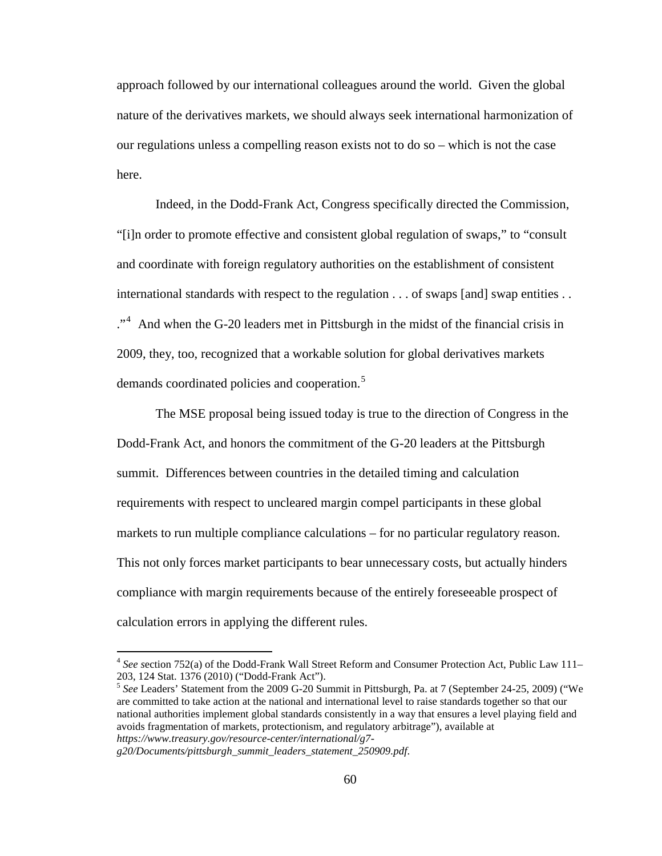approach followed by our international colleagues around the world. Given the global nature of the derivatives markets, we should always seek international harmonization of our regulations unless a compelling reason exists not to do so – which is not the case here.

Indeed, in the Dodd-Frank Act, Congress specifically directed the Commission, "[i]n order to promote effective and consistent global regulation of swaps," to "consult and coordinate with foreign regulatory authorities on the establishment of consistent international standards with respect to the regulation . . . of swaps [and] swap entities . .  $\cdot$ <sup>[4](#page-59-0)</sup>. And when the G-20 leaders met in Pittsburgh in the midst of the financial crisis in 2009, they, too, recognized that a workable solution for global derivatives markets demands coordinated policies and cooperation.<sup>[5](#page-59-1)</sup>

The MSE proposal being issued today is true to the direction of Congress in the Dodd-Frank Act, and honors the commitment of the G-20 leaders at the Pittsburgh summit. Differences between countries in the detailed timing and calculation requirements with respect to uncleared margin compel participants in these global markets to run multiple compliance calculations – for no particular regulatory reason. This not only forces market participants to bear unnecessary costs, but actually hinders compliance with margin requirements because of the entirely foreseeable prospect of calculation errors in applying the different rules.

<span id="page-59-0"></span> <sup>4</sup> *See s*ection 752(a) of the Dodd-Frank Wall Street Reform and Consumer Protection Act, Public Law 111– 203, 124 Stat. 1376 (2010) ("Dodd-Frank Act"). <sup>5</sup> *See* Leaders' Statement from the 2009 G-20 Summit in Pittsburgh, Pa. at 7 (September 24-25, 2009) ("We

<span id="page-59-1"></span>are committed to take action at the national and international level to raise standards together so that our national authorities implement global standards consistently in a way that ensures a level playing field and avoids fragmentation of markets, protectionism, and regulatory arbitrage"), available at *https://www.treasury.gov/resource-center/international/g7-*

*g20/Documents/pittsburgh\_summit\_leaders\_statement\_250909.pdf*.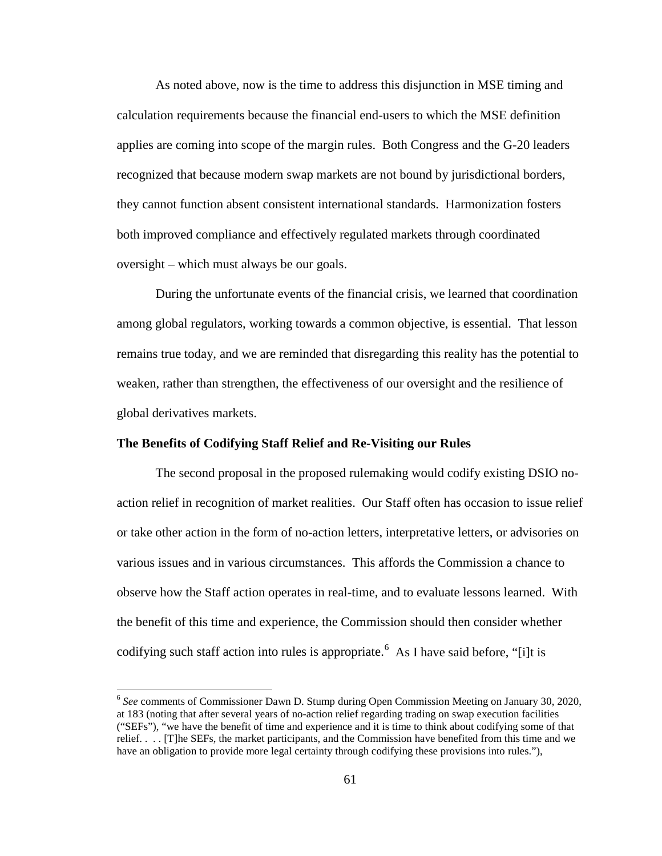As noted above, now is the time to address this disjunction in MSE timing and calculation requirements because the financial end-users to which the MSE definition applies are coming into scope of the margin rules. Both Congress and the G-20 leaders recognized that because modern swap markets are not bound by jurisdictional borders, they cannot function absent consistent international standards. Harmonization fosters both improved compliance and effectively regulated markets through coordinated oversight – which must always be our goals.

During the unfortunate events of the financial crisis, we learned that coordination among global regulators, working towards a common objective, is essential. That lesson remains true today, and we are reminded that disregarding this reality has the potential to weaken, rather than strengthen, the effectiveness of our oversight and the resilience of global derivatives markets.

## **The Benefits of Codifying Staff Relief and Re-Visiting our Rules**

The second proposal in the proposed rulemaking would codify existing DSIO noaction relief in recognition of market realities. Our Staff often has occasion to issue relief or take other action in the form of no-action letters, interpretative letters, or advisories on various issues and in various circumstances. This affords the Commission a chance to observe how the Staff action operates in real-time, and to evaluate lessons learned. With the benefit of this time and experience, the Commission should then consider whether codifying such staff action into rules is appropriate.<sup>[6](#page-60-0)</sup> As I have said before, "[i]t is

<span id="page-60-0"></span> <sup>6</sup> *See* comments of Commissioner Dawn D. Stump during Open Commission Meeting on January 30, 2020, at 183 (noting that after several years of no-action relief regarding trading on swap execution facilities ("SEFs"), "we have the benefit of time and experience and it is time to think about codifying some of that relief. . . . [T]he SEFs, the market participants, and the Commission have benefited from this time and we have an obligation to provide more legal certainty through codifying these provisions into rules."),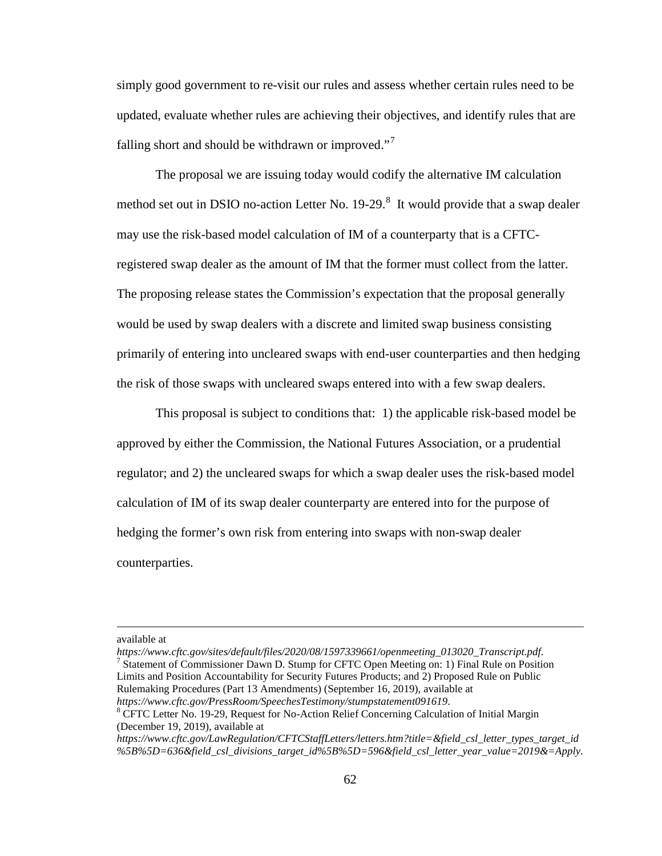simply good government to re-visit our rules and assess whether certain rules need to be updated, evaluate whether rules are achieving their objectives, and identify rules that are falling short and should be withdrawn or improved."<sup>[7](#page-61-0)</sup>

The proposal we are issuing today would codify the alternative IM calculation method set out in DSIO no-action Letter No.  $19-29$ .<sup>[8](#page-61-1)</sup> It would provide that a swap dealer may use the risk-based model calculation of IM of a counterparty that is a CFTCregistered swap dealer as the amount of IM that the former must collect from the latter. The proposing release states the Commission's expectation that the proposal generally would be used by swap dealers with a discrete and limited swap business consisting primarily of entering into uncleared swaps with end-user counterparties and then hedging the risk of those swaps with uncleared swaps entered into with a few swap dealers.

This proposal is subject to conditions that: 1) the applicable risk-based model be approved by either the Commission, the National Futures Association, or a prudential regulator; and 2) the uncleared swaps for which a swap dealer uses the risk-based model calculation of IM of its swap dealer counterparty are entered into for the purpose of hedging the former's own risk from entering into swaps with non-swap dealer counterparties.

 $\overline{a}$ 

available at<br>https://www.cftc.gov/sites/default/files/2020/08/1597339661/openmeeting\_013020\_Transcript.pdf.

<span id="page-61-0"></span><sup>7</sup> Statement of Commissioner Dawn D. Stump for CFTC Open Meeting on: 1) Final Rule on Position Limits and Position Accountability for Security Futures Products; and 2) Proposed Rule on Public Rulemaking Procedures (Part 13 Amendments) (September 16, 2019), available at

<span id="page-61-1"></span>*https://www.cftc.gov/PressRoom/SpeechesTestimony/stumpstatement091619*. 8 CFTC Letter No. 19-29, Request for No-Action Relief Concerning Calculation of Initial Margin (December 19, 2019), available at

*https://www.cftc.gov/LawRegulation/CFTCStaffLetters/letters.htm?title=&field\_csl\_letter\_types\_target\_id %5B%5D=636&field\_csl\_divisions\_target\_id%5B%5D=596&field\_csl\_letter\_year\_value=2019&=Apply.*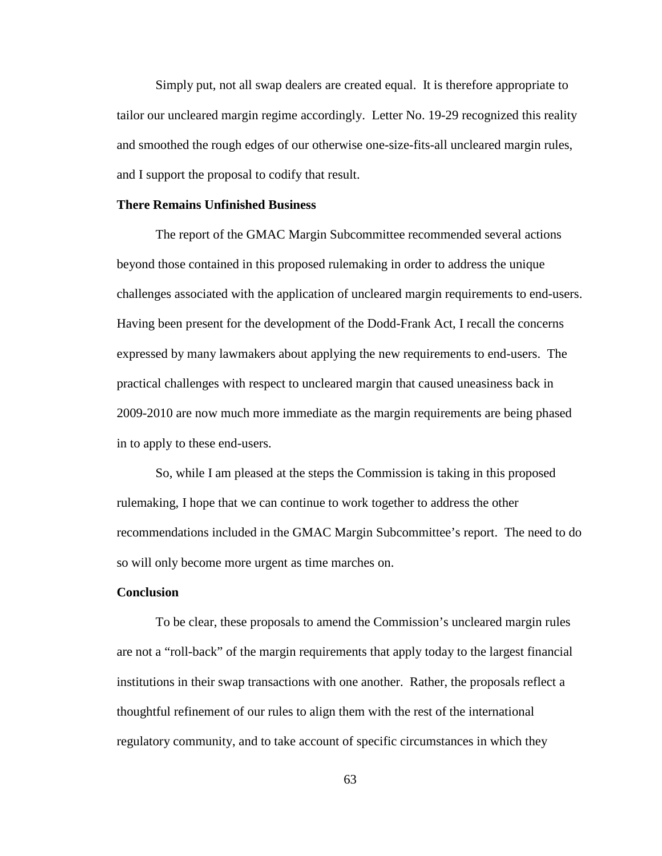Simply put, not all swap dealers are created equal. It is therefore appropriate to tailor our uncleared margin regime accordingly. Letter No. 19-29 recognized this reality and smoothed the rough edges of our otherwise one-size-fits-all uncleared margin rules, and I support the proposal to codify that result.

## **There Remains Unfinished Business**

The report of the GMAC Margin Subcommittee recommended several actions beyond those contained in this proposed rulemaking in order to address the unique challenges associated with the application of uncleared margin requirements to end-users. Having been present for the development of the Dodd-Frank Act, I recall the concerns expressed by many lawmakers about applying the new requirements to end-users. The practical challenges with respect to uncleared margin that caused uneasiness back in 2009-2010 are now much more immediate as the margin requirements are being phased in to apply to these end-users.

So, while I am pleased at the steps the Commission is taking in this proposed rulemaking, I hope that we can continue to work together to address the other recommendations included in the GMAC Margin Subcommittee's report. The need to do so will only become more urgent as time marches on.

## **Conclusion**

To be clear, these proposals to amend the Commission's uncleared margin rules are not a "roll-back" of the margin requirements that apply today to the largest financial institutions in their swap transactions with one another. Rather, the proposals reflect a thoughtful refinement of our rules to align them with the rest of the international regulatory community, and to take account of specific circumstances in which they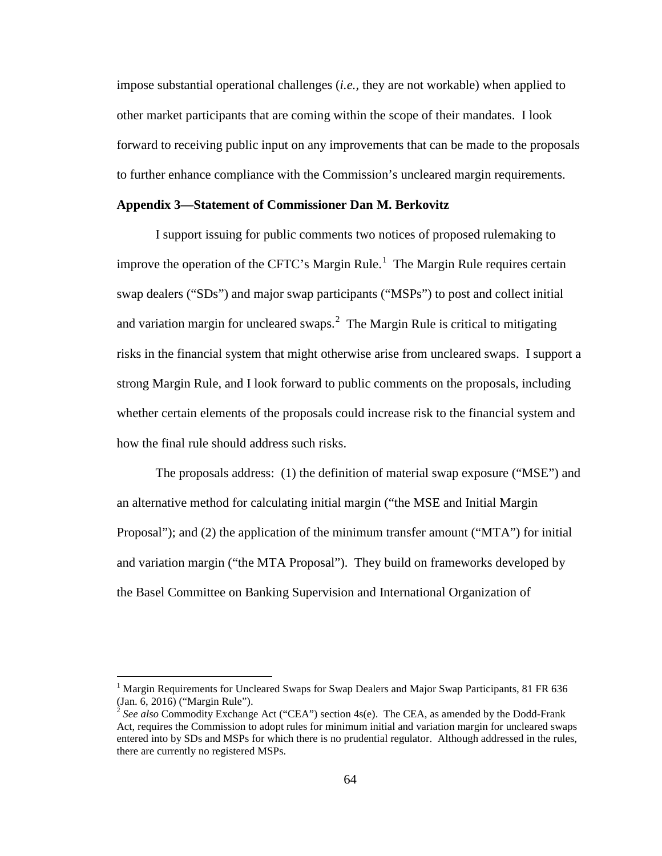impose substantial operational challenges (*i.e.,* they are not workable) when applied to other market participants that are coming within the scope of their mandates. I look forward to receiving public input on any improvements that can be made to the proposals to further enhance compliance with the Commission's uncleared margin requirements.

## **Appendix 3—Statement of Commissioner Dan M. Berkovitz**

I support issuing for public comments two notices of proposed rulemaking to improve the operation of the CFTC's Margin Rule.<sup>[1](#page-63-0)</sup> The Margin Rule requires certain swap dealers ("SDs") and major swap participants ("MSPs") to post and collect initial and variation margin for uncleared swaps. $^2$  $^2$  The Margin Rule is critical to mitigating risks in the financial system that might otherwise arise from uncleared swaps. I support a strong Margin Rule, and I look forward to public comments on the proposals, including whether certain elements of the proposals could increase risk to the financial system and how the final rule should address such risks.

The proposals address: (1) the definition of material swap exposure ("MSE") and an alternative method for calculating initial margin ("the MSE and Initial Margin Proposal"); and (2) the application of the minimum transfer amount ("MTA") for initial and variation margin ("the MTA Proposal"). They build on frameworks developed by the Basel Committee on Banking Supervision and International Organization of

<span id="page-63-0"></span><sup>&</sup>lt;sup>1</sup> Margin Requirements for Uncleared Swaps for Swap Dealers and Major Swap Participants, 81 FR 636 (Jan. 6, 2016) ("Margin Rule"). <sup>2</sup> *See also* Commodity Exchange Act ("CEA") section 4s(e). The CEA, as amended by the Dodd-Frank

<span id="page-63-1"></span>Act, requires the Commission to adopt rules for minimum initial and variation margin for uncleared swaps entered into by SDs and MSPs for which there is no prudential regulator. Although addressed in the rules, there are currently no registered MSPs.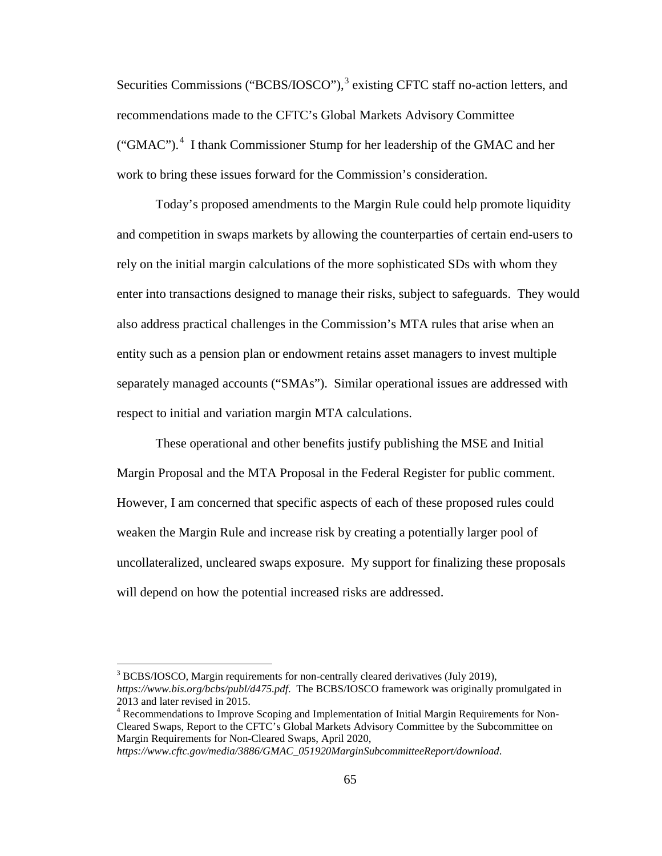Securities Commissions ("BCBS/IOSCO"),<sup>[3](#page-64-0)</sup> existing CFTC staff no-action letters, and recommendations made to the CFTC's Global Markets Advisory Committee ("GMAC").<sup>[4](#page-64-1)</sup> I thank Commissioner Stump for her leadership of the GMAC and her work to bring these issues forward for the Commission's consideration.

Today's proposed amendments to the Margin Rule could help promote liquidity and competition in swaps markets by allowing the counterparties of certain end-users to rely on the initial margin calculations of the more sophisticated SDs with whom they enter into transactions designed to manage their risks, subject to safeguards. They would also address practical challenges in the Commission's MTA rules that arise when an entity such as a pension plan or endowment retains asset managers to invest multiple separately managed accounts ("SMAs"). Similar operational issues are addressed with respect to initial and variation margin MTA calculations.

These operational and other benefits justify publishing the MSE and Initial Margin Proposal and the MTA Proposal in the Federal Register for public comment. However, I am concerned that specific aspects of each of these proposed rules could weaken the Margin Rule and increase risk by creating a potentially larger pool of uncollateralized, uncleared swaps exposure. My support for finalizing these proposals will depend on how the potential increased risks are addressed.

<span id="page-64-0"></span><sup>&</sup>lt;sup>3</sup> BCBS/IOSCO, Margin requirements for non-centrally cleared derivatives (July 2019), *https://www.bis.org/bcbs/publ/d475.pdf*. The BCBS/IOSCO framework was originally promulgated in 2013 and later revised in 2015.

<span id="page-64-1"></span><sup>&</sup>lt;sup>4</sup> Recommendations to Improve Scoping and Implementation of Initial Margin Requirements for Non-Cleared Swaps, Report to the CFTC's Global Markets Advisory Committee by the Subcommittee on Margin Requirements for Non-Cleared Swaps, April 2020,

*https://www.cftc.gov/media/3886/GMAC\_051920MarginSubcommitteeReport/download*.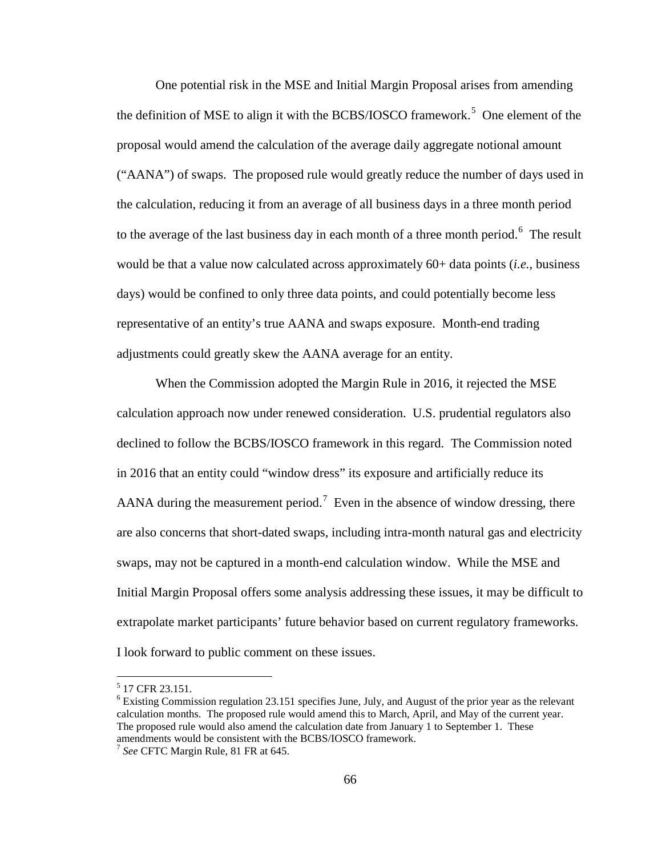One potential risk in the MSE and Initial Margin Proposal arises from amending the definition of MSE to align it with the BCBS/IOSCO framework.<sup>[5](#page-65-0)</sup> One element of the proposal would amend the calculation of the average daily aggregate notional amount ("AANA") of swaps. The proposed rule would greatly reduce the number of days used in the calculation, reducing it from an average of all business days in a three month period to the average of the last business day in each month of a three month period.<sup>[6](#page-65-1)</sup> The result would be that a value now calculated across approximately 60+ data points (*i.e.*, business days) would be confined to only three data points, and could potentially become less representative of an entity's true AANA and swaps exposure. Month-end trading adjustments could greatly skew the AANA average for an entity.

When the Commission adopted the Margin Rule in 2016, it rejected the MSE calculation approach now under renewed consideration. U.S. prudential regulators also declined to follow the BCBS/IOSCO framework in this regard. The Commission noted in 2016 that an entity could "window dress" its exposure and artificially reduce its AANA during the measurement period.<sup>[7](#page-65-2)</sup> Even in the absence of window dressing, there are also concerns that short-dated swaps, including intra-month natural gas and electricity swaps, may not be captured in a month-end calculation window. While the MSE and Initial Margin Proposal offers some analysis addressing these issues, it may be difficult to extrapolate market participants' future behavior based on current regulatory frameworks. I look forward to public comment on these issues.

<span id="page-65-0"></span> $5$  17 CFR 23.151.

<span id="page-65-1"></span> $6$  Existing Commission regulation 23.151 specifies June, July, and August of the prior year as the relevant calculation months. The proposed rule would amend this to March, April, and May of the current year. The proposed rule would also amend the calculation date from January 1 to September 1. These amendments would be consistent with the BCBS/IOSCO framework. <sup>7</sup> *See* CFTC Margin Rule, 81 FR at 645.

<span id="page-65-2"></span>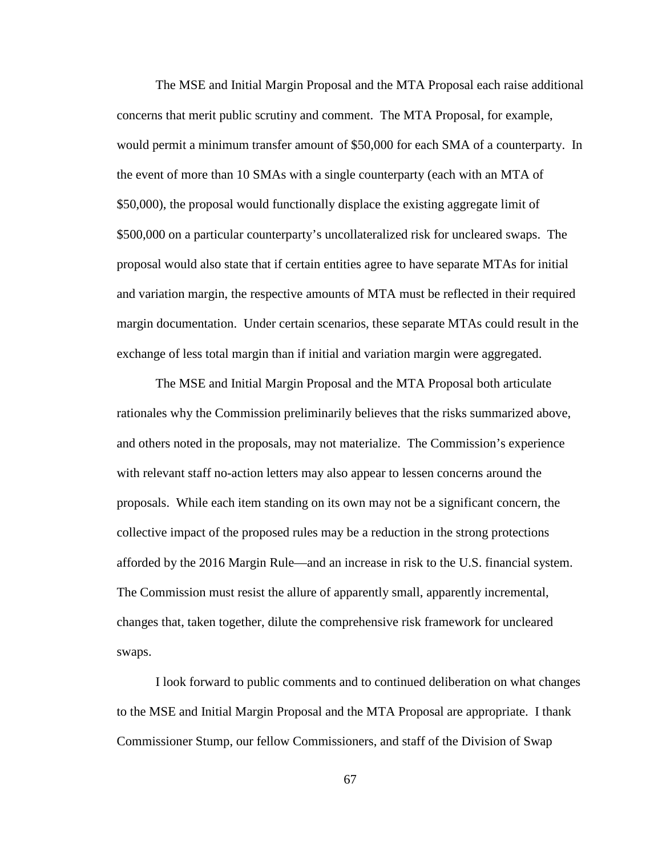The MSE and Initial Margin Proposal and the MTA Proposal each raise additional concerns that merit public scrutiny and comment. The MTA Proposal, for example, would permit a minimum transfer amount of \$50,000 for each SMA of a counterparty. In the event of more than 10 SMAs with a single counterparty (each with an MTA of \$50,000), the proposal would functionally displace the existing aggregate limit of \$500,000 on a particular counterparty's uncollateralized risk for uncleared swaps. The proposal would also state that if certain entities agree to have separate MTAs for initial and variation margin, the respective amounts of MTA must be reflected in their required margin documentation. Under certain scenarios, these separate MTAs could result in the exchange of less total margin than if initial and variation margin were aggregated.

The MSE and Initial Margin Proposal and the MTA Proposal both articulate rationales why the Commission preliminarily believes that the risks summarized above, and others noted in the proposals, may not materialize. The Commission's experience with relevant staff no-action letters may also appear to lessen concerns around the proposals. While each item standing on its own may not be a significant concern, the collective impact of the proposed rules may be a reduction in the strong protections afforded by the 2016 Margin Rule—and an increase in risk to the U.S. financial system. The Commission must resist the allure of apparently small, apparently incremental, changes that, taken together, dilute the comprehensive risk framework for uncleared swaps.

I look forward to public comments and to continued deliberation on what changes to the MSE and Initial Margin Proposal and the MTA Proposal are appropriate. I thank Commissioner Stump, our fellow Commissioners, and staff of the Division of Swap

67